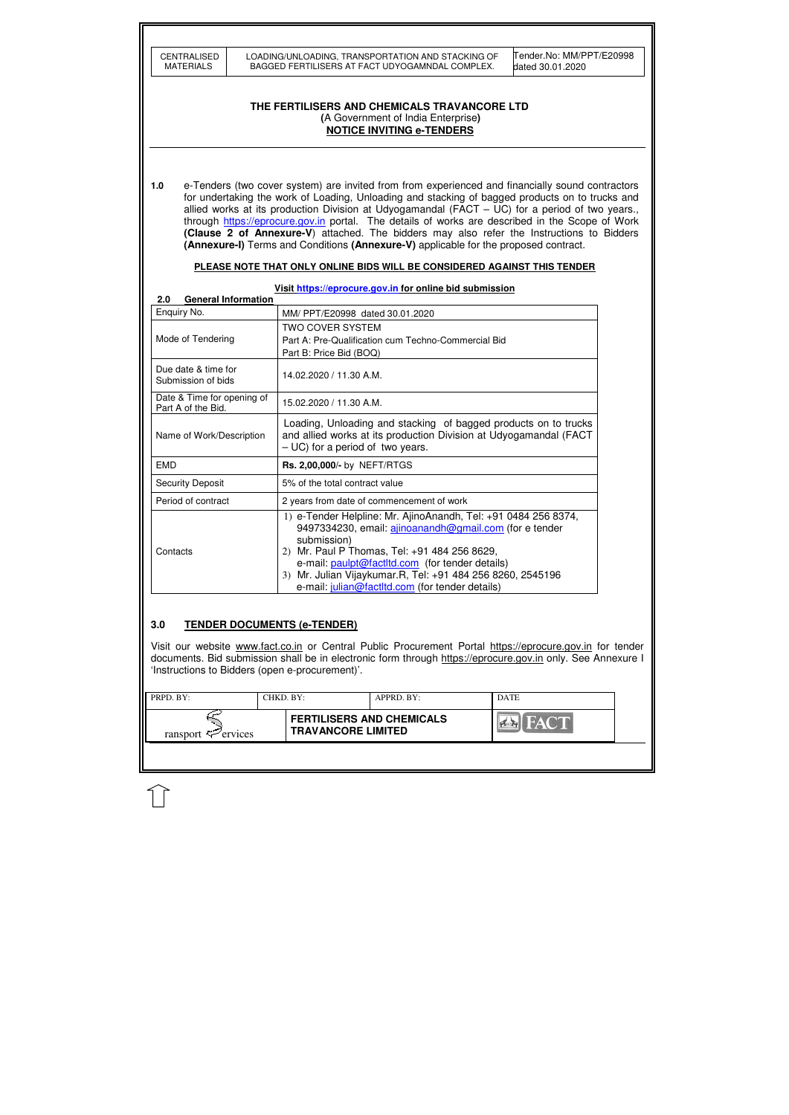| <b>CENTRALISED</b> |
|--------------------|
| MATERIALS          |

| <b>PRPD. BY:</b>               | CHKD. BY: |                                                               | APPRD. BY: | <b>DATE</b> |  |
|--------------------------------|-----------|---------------------------------------------------------------|------------|-------------|--|
| ransport $\mathcal{F}$ ervices |           | <b>FERTILISERS AND CHEMICALS</b><br><b>TRAVANCORE LIMITED</b> |            | <b>FACT</b> |  |
|                                |           |                                                               |            |             |  |

Tender.No: MM/PPT/E20998 dated 30.01.2020

### **THE FERTILISERS AND CHEMICALS TRAVANCORE LTD (**A Government of India Enterprise**) NOTICE INVITING e-TENDERS**

**1.0** e-Tenders (two cover system) are invited from from experienced and financially sound contractors for undertaking the work of Loading, Unloading and stacking of bagged products on to trucks and allied works at its production Division at Udyogamandal ( $FACT - UC$ ) for a period of two years., through https://eprocure.gov.in portal. The details of works are described in the Scope of Work **(Clause 2 of Annexure-V**) attached. The bidders may also refer the Instructions to Bidders **(Annexure-I)** Terms and Conditions **(Annexure-V)** applicable for the proposed contract.

#### **PLEASE NOTE THAT ONLY ONLINE BIDS WILL BE CONSIDERED AGAINST THIS TENDER**

**Visit https://eprocure.gov.in for online bid submission** 

| <b>General Information</b><br>2.0                |                                                                                                                                                                                                                                                                                                                                                             |
|--------------------------------------------------|-------------------------------------------------------------------------------------------------------------------------------------------------------------------------------------------------------------------------------------------------------------------------------------------------------------------------------------------------------------|
| Enquiry No.                                      | MM/ PPT/E20998 dated 30.01.2020                                                                                                                                                                                                                                                                                                                             |
| Mode of Tendering                                | TWO COVER SYSTEM<br>Part A: Pre-Qualification cum Techno-Commercial Bid<br>Part B: Price Bid (BOQ)                                                                                                                                                                                                                                                          |
| Due date & time for<br>Submission of bids        | 14.02.2020 / 11.30 A.M.                                                                                                                                                                                                                                                                                                                                     |
| Date & Time for opening of<br>Part A of the Bid. | 15.02.2020 / 11.30 A.M.                                                                                                                                                                                                                                                                                                                                     |
| Name of Work/Description                         | Loading, Unloading and stacking of bagged products on to trucks<br>and allied works at its production Division at Udyogamandal (FACT<br>$-UC$ ) for a period of two years.                                                                                                                                                                                  |
| <b>EMD</b>                                       | Rs. 2,00,000/- by NEFT/RTGS                                                                                                                                                                                                                                                                                                                                 |
| <b>Security Deposit</b>                          | 5% of the total contract value                                                                                                                                                                                                                                                                                                                              |
| Period of contract                               | 2 years from date of commencement of work                                                                                                                                                                                                                                                                                                                   |
| Contacts                                         | 1) e-Tender Helpline: Mr. AjinoAnandh, Tel: +91 0484 256 8374,<br>9497334230, email: ajinoanandh@gmail.com (for e tender<br>submission)<br>2) Mr. Paul P Thomas, Tel: +91 484 256 8629,<br>e-mail: paulpt@factltd.com (for tender details)<br>3) Mr. Julian Vijaykumar.R, Tel: +91 484 256 8260, 2545196<br>e-mail: julian@factltd.com (for tender details) |

## **3.0 TENDER DOCUMENTS (e-TENDER)**

Visit our website www.fact.co.in or Central Public Procurement Portal https://eprocure.gov.in for tender documents. Bid submission shall be in electronic form through https://eprocure.gov.in only. See Annexure I 'Instructions to Bidders (open e-procurement)'.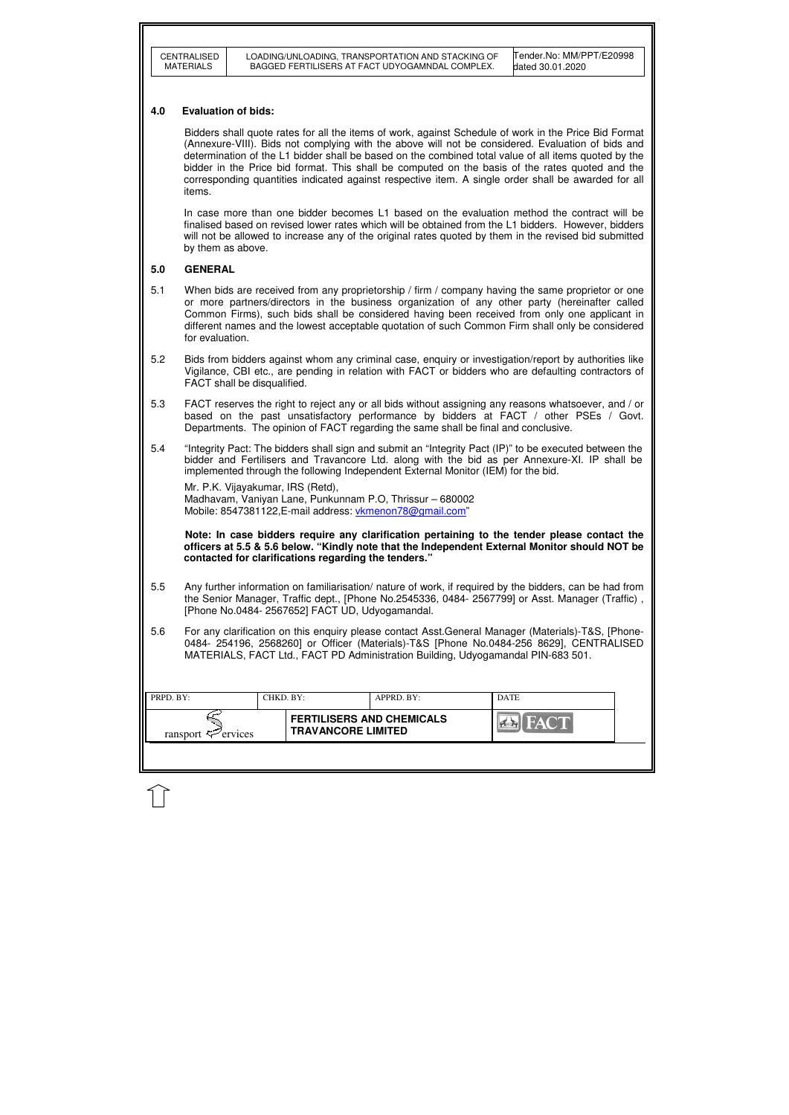| <b>CENTRALISED</b> |
|--------------------|
| MATERIALS          |

| $\blacksquare$ PRPD. BY:       | CHKD. BY: |                                                               | APPRD. BY: | <b>DATE</b> |
|--------------------------------|-----------|---------------------------------------------------------------|------------|-------------|
| ransport $\mathcal{F}$ ervices |           | <b>FERTILISERS AND CHEMICALS</b><br><b>TRAVANCORE LIMITED</b> |            |             |
|                                |           |                                                               |            |             |

Tender.No: MM/PPT/E20998 dated 30.01.2020

### **4.0 Evaluation of bids:**

Bidders shall quote rates for all the items of work, against Schedule of work in the Price Bid Format (Annexure-VIII). Bids not complying with the above will not be considered. Evaluation of bids and determination of the L1 bidder shall be based on the combined total value of all items quoted by the bidder in the Price bid format. This shall be computed on the basis of the rates quoted and the corresponding quantities indicated against respective item. A single order shall be awarded for all items.

 In case more than one bidder becomes L1 based on the evaluation method the contract will be finalised based on revised lower rates which will be obtained from the L1 bidders. However, bidders will not be allowed to increase any of the original rates quoted by them in the revised bid submitted by them as above.

### **5.0 GENERAL**

Mr. P.K. Vijayakumar, IRS (Retd), Madhavam, Vaniyan Lane, Punkunnam P.O, Thrissur – 680002 Mobile: 8547381122.E-mail address: vkmenon78@gmail.com"

- 5.1 When bids are received from any proprietorship / firm / company having the same proprietor or one or more partners/directors in the business organization of any other party (hereinafter called Common Firms), such bids shall be considered having been received from only one applicant in different names and the lowest acceptable quotation of such Common Firm shall only be considered for evaluation.
- 5.2 Bids from bidders against whom any criminal case, enquiry or investigation/report by authorities like Vigilance, CBI etc., are pending in relation with FACT or bidders who are defaulting contractors of FACT shall be disqualified.
- 5.3 FACT reserves the right to reject any or all bids without assigning any reasons whatsoever, and / or based on the past unsatisfactory performance by bidders at FACT / other PSEs / Govt. Departments. The opinion of FACT regarding the same shall be final and conclusive.
- 5.4 "Integrity Pact: The bidders shall sign and submit an "Integrity Pact (IP)" to be executed between the bidder and Fertilisers and Travancore Ltd. along with the bid as per Annexure-XI. IP shall be implemented through the following Independent External Monitor (IEM) for the bid.

 **Note: In case bidders require any clarification pertaining to the tender please contact the officers at 5.5 & 5.6 below. "Kindly note that the Independent External Monitor should NOT be contacted for clarifications regarding the tenders."**

- 5.5 Any further information on familiarisation/ nature of work, if required by the bidders, can be had from the Senior Manager, Traffic dept., [Phone No.2545336, 0484- 2567799] or Asst. Manager (Traffic) , [Phone No.0484- 2567652] FACT UD, Udyogamandal.
- 5.6 For any clarification on this enquiry please contact Asst.General Manager (Materials)-T&S, [Phone-0484- 254196, 2568260] or Officer (Materials)-T&S [Phone No.0484-256 8629], CENTRALISED MATERIALS, FACT Ltd., FACT PD Administration Building, Udyogamandal PIN-683 501.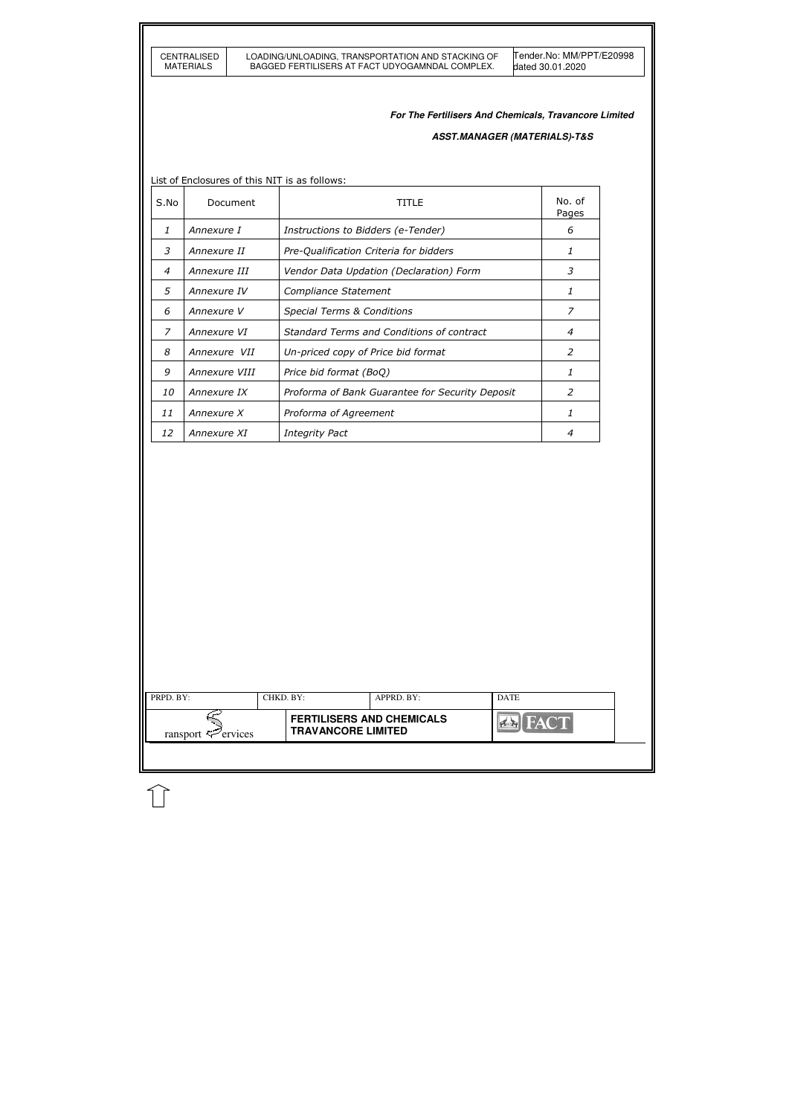|                | CENTRALISED<br><b>MATERIALS</b> |          |                                               | LOADING/UNLOADING, TRANSPORTATION AND STACKING OF<br>BAGGED FERTILISERS AT FACT UDYOGAMNDAL COMPLEX. | Tender.No: MM/PPT/E20998<br>dated 30.01.2020          |
|----------------|---------------------------------|----------|-----------------------------------------------|------------------------------------------------------------------------------------------------------|-------------------------------------------------------|
|                |                                 |          |                                               |                                                                                                      | For The Fertilisers And Chemicals, Travancore Limited |
|                |                                 |          |                                               |                                                                                                      | <b>ASST.MANAGER (MATERIALS)-T&amp;S</b>               |
|                |                                 |          |                                               |                                                                                                      |                                                       |
|                |                                 |          | List of Enclosures of this NIT is as follows: |                                                                                                      |                                                       |
| S.No           |                                 | Document |                                               | <b>TITLE</b>                                                                                         | No. of<br>Pages                                       |
| 1              | Annexure I                      |          | Instructions to Bidders (e-Tender)            |                                                                                                      | 6                                                     |
| 3              | Annexure II                     |          |                                               | Pre-Qualification Criteria for bidders                                                               | 1                                                     |
| $\overline{4}$ | Annexure III                    |          |                                               | Vendor Data Updation (Declaration) Form                                                              | 3                                                     |
| 5              | Annexure IV                     |          | Compliance Statement                          |                                                                                                      | 1                                                     |
| 6              | Annexure V                      |          | <b>Special Terms &amp; Conditions</b>         |                                                                                                      | $\overline{z}$                                        |
| $\overline{z}$ | Annexure VI                     |          |                                               | Standard Terms and Conditions of contract                                                            | 4                                                     |
| 8              | Annexure VII                    |          | Un-priced copy of Price bid format            |                                                                                                      | $\overline{2}$                                        |
| 9              | Annexure VIII                   |          | Price bid format (BoQ)                        |                                                                                                      | 1                                                     |
| 10             | Annexure IX                     |          |                                               | Proforma of Bank Guarantee for Security Deposit                                                      | $\overline{2}$                                        |
| 11             | Annexure X                      |          | Proforma of Agreement                         |                                                                                                      | $\mathbf{1}$                                          |
| 12             | Annexure XI                     |          | <b>Integrity Pact</b>                         |                                                                                                      | 4                                                     |
|                |                                 |          |                                               |                                                                                                      |                                                       |
| PRPD. BY:      |                                 |          | CHKD. BY:                                     | APPRD. BY:                                                                                           | <b>DATE</b>                                           |
|                |                                 |          |                                               | <b>FERTILISERS AND CHEMICALS</b>                                                                     | <b>FACT</b>                                           |

 $\lceil$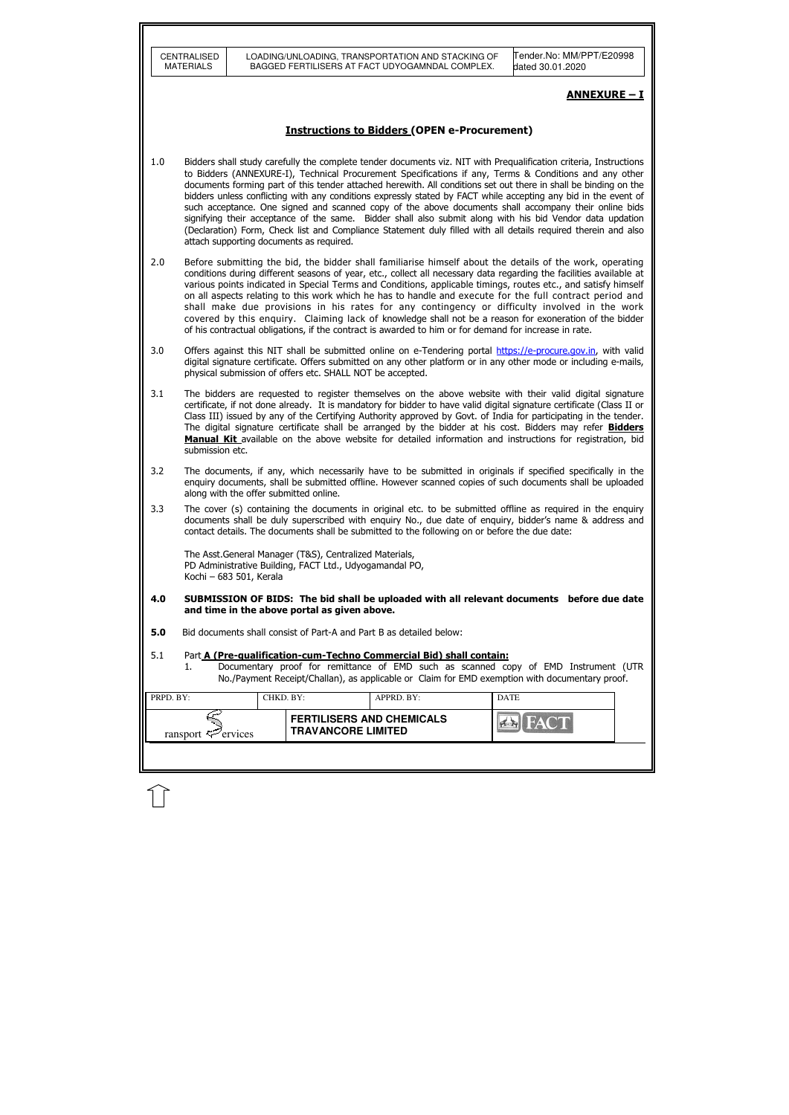|                                                                                                                                                                                                                                                                           | CENTRALISED<br><b>MATERIALS</b>                                                                                                                                                                                                                                                                                                                                                                                                                                                                                                                                                                                                                                                                                                                                                    |                                          | LOADING/UNLOADING, TRANSPORTATION AND STACKING OF<br>BAGGED FERTILISERS AT FACT UDYOGAMNDAL COMPLEX.                                                                                                                                                                                                                                                                                                                                                                                                                                                                                                                                                                                                                                                                                                       | Tender.No: MM/PPT/E20998<br>dated 30.01.2020 |  |  |  |
|---------------------------------------------------------------------------------------------------------------------------------------------------------------------------------------------------------------------------------------------------------------------------|------------------------------------------------------------------------------------------------------------------------------------------------------------------------------------------------------------------------------------------------------------------------------------------------------------------------------------------------------------------------------------------------------------------------------------------------------------------------------------------------------------------------------------------------------------------------------------------------------------------------------------------------------------------------------------------------------------------------------------------------------------------------------------|------------------------------------------|------------------------------------------------------------------------------------------------------------------------------------------------------------------------------------------------------------------------------------------------------------------------------------------------------------------------------------------------------------------------------------------------------------------------------------------------------------------------------------------------------------------------------------------------------------------------------------------------------------------------------------------------------------------------------------------------------------------------------------------------------------------------------------------------------------|----------------------------------------------|--|--|--|
|                                                                                                                                                                                                                                                                           |                                                                                                                                                                                                                                                                                                                                                                                                                                                                                                                                                                                                                                                                                                                                                                                    |                                          |                                                                                                                                                                                                                                                                                                                                                                                                                                                                                                                                                                                                                                                                                                                                                                                                            | <b>ANNEXURE - I</b>                          |  |  |  |
|                                                                                                                                                                                                                                                                           |                                                                                                                                                                                                                                                                                                                                                                                                                                                                                                                                                                                                                                                                                                                                                                                    |                                          | <b>Instructions to Bidders (OPEN e-Procurement)</b>                                                                                                                                                                                                                                                                                                                                                                                                                                                                                                                                                                                                                                                                                                                                                        |                                              |  |  |  |
| 1.0                                                                                                                                                                                                                                                                       |                                                                                                                                                                                                                                                                                                                                                                                                                                                                                                                                                                                                                                                                                                                                                                                    | attach supporting documents as required. | Bidders shall study carefully the complete tender documents viz. NIT with Prequalification criteria, Instructions<br>to Bidders (ANNEXURE-I), Technical Procurement Specifications if any, Terms & Conditions and any other<br>documents forming part of this tender attached herewith. All conditions set out there in shall be binding on the<br>bidders unless conflicting with any conditions expressly stated by FACT while accepting any bid in the event of<br>such acceptance. One signed and scanned copy of the above documents shall accompany their online bids<br>signifying their acceptance of the same. Bidder shall also submit along with his bid Vendor data updation<br>(Declaration) Form, Check list and Compliance Statement duly filled with all details required therein and also |                                              |  |  |  |
| 2.0                                                                                                                                                                                                                                                                       | Before submitting the bid, the bidder shall familiarise himself about the details of the work, operating<br>conditions during different seasons of year, etc., collect all necessary data regarding the facilities available at<br>various points indicated in Special Terms and Conditions, applicable timings, routes etc., and satisfy himself<br>on all aspects relating to this work which he has to handle and execute for the full contract period and<br>shall make due provisions in his rates for any contingency or difficulty involved in the work<br>covered by this enquiry. Claiming lack of knowledge shall not be a reason for exoneration of the bidder<br>of his contractual obligations, if the contract is awarded to him or for demand for increase in rate. |                                          |                                                                                                                                                                                                                                                                                                                                                                                                                                                                                                                                                                                                                                                                                                                                                                                                            |                                              |  |  |  |
| 3.0                                                                                                                                                                                                                                                                       | Offers against this NIT shall be submitted online on e-Tendering portal https://e-procure.gov.in, with valid<br>digital signature certificate. Offers submitted on any other platform or in any other mode or including e-mails,<br>physical submission of offers etc. SHALL NOT be accepted.                                                                                                                                                                                                                                                                                                                                                                                                                                                                                      |                                          |                                                                                                                                                                                                                                                                                                                                                                                                                                                                                                                                                                                                                                                                                                                                                                                                            |                                              |  |  |  |
| 3.1                                                                                                                                                                                                                                                                       | The bidders are requested to register themselves on the above website with their valid digital signature<br>certificate, if not done already. It is mandatory for bidder to have valid digital signature certificate (Class II or<br>Class III) issued by any of the Certifying Authority approved by Govt. of India for participating in the tender.<br>The digital signature certificate shall be arranged by the bidder at his cost. Bidders may refer <b>Bidders</b><br>Manual Kit available on the above website for detailed information and instructions for registration, bid<br>submission etc.                                                                                                                                                                           |                                          |                                                                                                                                                                                                                                                                                                                                                                                                                                                                                                                                                                                                                                                                                                                                                                                                            |                                              |  |  |  |
| 3.2                                                                                                                                                                                                                                                                       | The documents, if any, which necessarily have to be submitted in originals if specified specifically in the<br>enquiry documents, shall be submitted offline. However scanned copies of such documents shall be uploaded<br>along with the offer submitted online.                                                                                                                                                                                                                                                                                                                                                                                                                                                                                                                 |                                          |                                                                                                                                                                                                                                                                                                                                                                                                                                                                                                                                                                                                                                                                                                                                                                                                            |                                              |  |  |  |
| 3.3                                                                                                                                                                                                                                                                       | The cover (s) containing the documents in original etc. to be submitted offline as required in the enquiry<br>documents shall be duly superscribed with enquiry No., due date of enquiry, bidder's name & address and<br>contact details. The documents shall be submitted to the following on or before the due date:                                                                                                                                                                                                                                                                                                                                                                                                                                                             |                                          |                                                                                                                                                                                                                                                                                                                                                                                                                                                                                                                                                                                                                                                                                                                                                                                                            |                                              |  |  |  |
|                                                                                                                                                                                                                                                                           | The Asst. General Manager (T&S), Centralized Materials,<br>PD Administrative Building, FACT Ltd., Udyogamandal PO,<br>Kochi - 683 501, Kerala                                                                                                                                                                                                                                                                                                                                                                                                                                                                                                                                                                                                                                      |                                          |                                                                                                                                                                                                                                                                                                                                                                                                                                                                                                                                                                                                                                                                                                                                                                                                            |                                              |  |  |  |
| 4.0                                                                                                                                                                                                                                                                       | SUBMISSION OF BIDS: The bid shall be uploaded with all relevant documents before due date<br>and time in the above portal as given above.                                                                                                                                                                                                                                                                                                                                                                                                                                                                                                                                                                                                                                          |                                          |                                                                                                                                                                                                                                                                                                                                                                                                                                                                                                                                                                                                                                                                                                                                                                                                            |                                              |  |  |  |
| 5.0                                                                                                                                                                                                                                                                       | Bid documents shall consist of Part-A and Part B as detailed below:                                                                                                                                                                                                                                                                                                                                                                                                                                                                                                                                                                                                                                                                                                                |                                          |                                                                                                                                                                                                                                                                                                                                                                                                                                                                                                                                                                                                                                                                                                                                                                                                            |                                              |  |  |  |
| 5.1<br>Part A (Pre-qualification-cum-Techno Commercial Bid) shall contain:<br>Documentary proof for remittance of EMD such as scanned copy of EMD Instrument (UTR<br>1.<br>No./Payment Receipt/Challan), as applicable or Claim for EMD exemption with documentary proof. |                                                                                                                                                                                                                                                                                                                                                                                                                                                                                                                                                                                                                                                                                                                                                                                    |                                          |                                                                                                                                                                                                                                                                                                                                                                                                                                                                                                                                                                                                                                                                                                                                                                                                            |                                              |  |  |  |
| PRPD. BY:                                                                                                                                                                                                                                                                 |                                                                                                                                                                                                                                                                                                                                                                                                                                                                                                                                                                                                                                                                                                                                                                                    | CHKD. BY:                                | APPRD. BY:                                                                                                                                                                                                                                                                                                                                                                                                                                                                                                                                                                                                                                                                                                                                                                                                 | <b>DATE</b>                                  |  |  |  |
|                                                                                                                                                                                                                                                                           | ransport $\sharp$ <sup><math>\mathcal{P}</math></sup> ervices                                                                                                                                                                                                                                                                                                                                                                                                                                                                                                                                                                                                                                                                                                                      |                                          | <b>FERTILISERS AND CHEMICALS</b><br><b>TRAVANCORE LIMITED</b>                                                                                                                                                                                                                                                                                                                                                                                                                                                                                                                                                                                                                                                                                                                                              |                                              |  |  |  |

 $\widehat{\mathbb{U}}$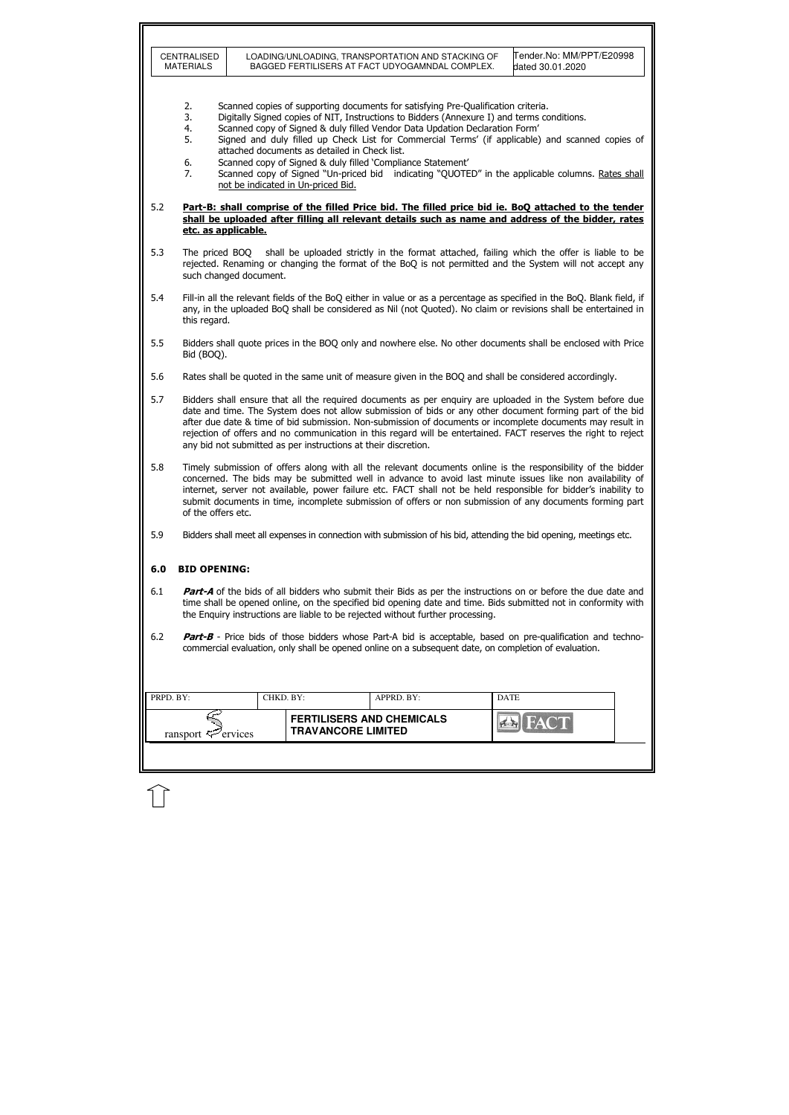|           | CENTRALISED<br><b>MATERIALS</b>                                                                                                                                                                                                                                                                                                                                                                                                                                                                                                                                                                                                                                                                                                                                         |                        |                           | LOADING/UNLOADING, TRANSPORTATION AND STACKING OF<br>BAGGED FERTILISERS AT FACT UDYOGAMNDAL COMPLEX. | Tender.No: MM/PPT/E20998<br>dated 30.01.2020                                                                                                                                                                                              |  |  |  |
|-----------|-------------------------------------------------------------------------------------------------------------------------------------------------------------------------------------------------------------------------------------------------------------------------------------------------------------------------------------------------------------------------------------------------------------------------------------------------------------------------------------------------------------------------------------------------------------------------------------------------------------------------------------------------------------------------------------------------------------------------------------------------------------------------|------------------------|---------------------------|------------------------------------------------------------------------------------------------------|-------------------------------------------------------------------------------------------------------------------------------------------------------------------------------------------------------------------------------------------|--|--|--|
|           | Scanned copies of supporting documents for satisfying Pre-Qualification criteria.<br>2.<br>Digitally Signed copies of NIT, Instructions to Bidders (Annexure I) and terms conditions.<br>3.<br>Scanned copy of Signed & duly filled Vendor Data Updation Declaration Form'<br>4.<br>Signed and duly filled up Check List for Commercial Terms' (if applicable) and scanned copies of<br>5.<br>attached documents as detailed in Check list.<br>Scanned copy of Signed & duly filled 'Compliance Statement'<br>6.<br>Scanned copy of Signed "Un-priced bid indicating "QUOTED" in the applicable columns. Rates shall<br>7.<br>not be indicated in Un-priced Bid.<br>Part-B: shall comprise of the filled Price bid. The filled price bid ie. BoQ attached to the tender |                        |                           |                                                                                                      |                                                                                                                                                                                                                                           |  |  |  |
| 5.2       | etc. as applicable.                                                                                                                                                                                                                                                                                                                                                                                                                                                                                                                                                                                                                                                                                                                                                     |                        |                           |                                                                                                      | shall be uploaded after filling all relevant details such as name and address of the bidder, rates                                                                                                                                        |  |  |  |
| 5.3       |                                                                                                                                                                                                                                                                                                                                                                                                                                                                                                                                                                                                                                                                                                                                                                         | such changed document. |                           |                                                                                                      | The priced BOQ shall be uploaded strictly in the format attached, failing which the offer is liable to be<br>rejected. Renaming or changing the format of the BoQ is not permitted and the System will not accept any                     |  |  |  |
| 5.4       | this regard.                                                                                                                                                                                                                                                                                                                                                                                                                                                                                                                                                                                                                                                                                                                                                            |                        |                           |                                                                                                      | Fill-in all the relevant fields of the BoQ either in value or as a percentage as specified in the BoQ. Blank field, if<br>any, in the uploaded BoQ shall be considered as Nil (not Quoted). No claim or revisions shall be entertained in |  |  |  |
| 5.5       | Bidders shall quote prices in the BOQ only and nowhere else. No other documents shall be enclosed with Price<br>Bid (BOQ).                                                                                                                                                                                                                                                                                                                                                                                                                                                                                                                                                                                                                                              |                        |                           |                                                                                                      |                                                                                                                                                                                                                                           |  |  |  |
| 5.6       | Rates shall be quoted in the same unit of measure given in the BOQ and shall be considered accordingly.                                                                                                                                                                                                                                                                                                                                                                                                                                                                                                                                                                                                                                                                 |                        |                           |                                                                                                      |                                                                                                                                                                                                                                           |  |  |  |
| 5.7       | Bidders shall ensure that all the required documents as per enquiry are uploaded in the System before due<br>date and time. The System does not allow submission of bids or any other document forming part of the bid<br>after due date & time of bid submission. Non-submission of documents or incomplete documents may result in<br>rejection of offers and no communication in this regard will be entertained. FACT reserves the right to reject<br>any bid not submitted as per instructions at their discretion.                                                                                                                                                                                                                                                |                        |                           |                                                                                                      |                                                                                                                                                                                                                                           |  |  |  |
| 5.8       | Timely submission of offers along with all the relevant documents online is the responsibility of the bidder<br>concerned. The bids may be submitted well in advance to avoid last minute issues like non availability of<br>internet, server not available, power failure etc. FACT shall not be held responsible for bidder's inability to<br>submit documents in time, incomplete submission of offers or non submission of any documents forming part<br>of the offers etc.                                                                                                                                                                                                                                                                                         |                        |                           |                                                                                                      |                                                                                                                                                                                                                                           |  |  |  |
| 5.9       | Bidders shall meet all expenses in connection with submission of his bid, attending the bid opening, meetings etc.                                                                                                                                                                                                                                                                                                                                                                                                                                                                                                                                                                                                                                                      |                        |                           |                                                                                                      |                                                                                                                                                                                                                                           |  |  |  |
| 6.0       | <b>BID OPENING:</b>                                                                                                                                                                                                                                                                                                                                                                                                                                                                                                                                                                                                                                                                                                                                                     |                        |                           |                                                                                                      |                                                                                                                                                                                                                                           |  |  |  |
| 6.1       | <b>Part-A</b> of the bids of all bidders who submit their Bids as per the instructions on or before the due date and<br>time shall be opened online, on the specified bid opening date and time. Bids submitted not in conformity with<br>the Enquiry instructions are liable to be rejected without further processing.                                                                                                                                                                                                                                                                                                                                                                                                                                                |                        |                           |                                                                                                      |                                                                                                                                                                                                                                           |  |  |  |
| 6.2       | <b>Part-B</b> - Price bids of those bidders whose Part-A bid is acceptable, based on pre-qualification and techno-<br>commercial evaluation, only shall be opened online on a subsequent date, on completion of evaluation.                                                                                                                                                                                                                                                                                                                                                                                                                                                                                                                                             |                        |                           |                                                                                                      |                                                                                                                                                                                                                                           |  |  |  |
| PRPD. BY: |                                                                                                                                                                                                                                                                                                                                                                                                                                                                                                                                                                                                                                                                                                                                                                         | CHKD. BY:              |                           | APPRD. BY:                                                                                           | <b>DATE</b>                                                                                                                                                                                                                               |  |  |  |
|           | ransport $\mathcal{F}$ ervices                                                                                                                                                                                                                                                                                                                                                                                                                                                                                                                                                                                                                                                                                                                                          |                        | <b>TRAVANCORE LIMITED</b> | <b>FERTILISERS AND CHEMICALS</b>                                                                     |                                                                                                                                                                                                                                           |  |  |  |
|           |                                                                                                                                                                                                                                                                                                                                                                                                                                                                                                                                                                                                                                                                                                                                                                         |                        |                           |                                                                                                      |                                                                                                                                                                                                                                           |  |  |  |

 $\bigcup$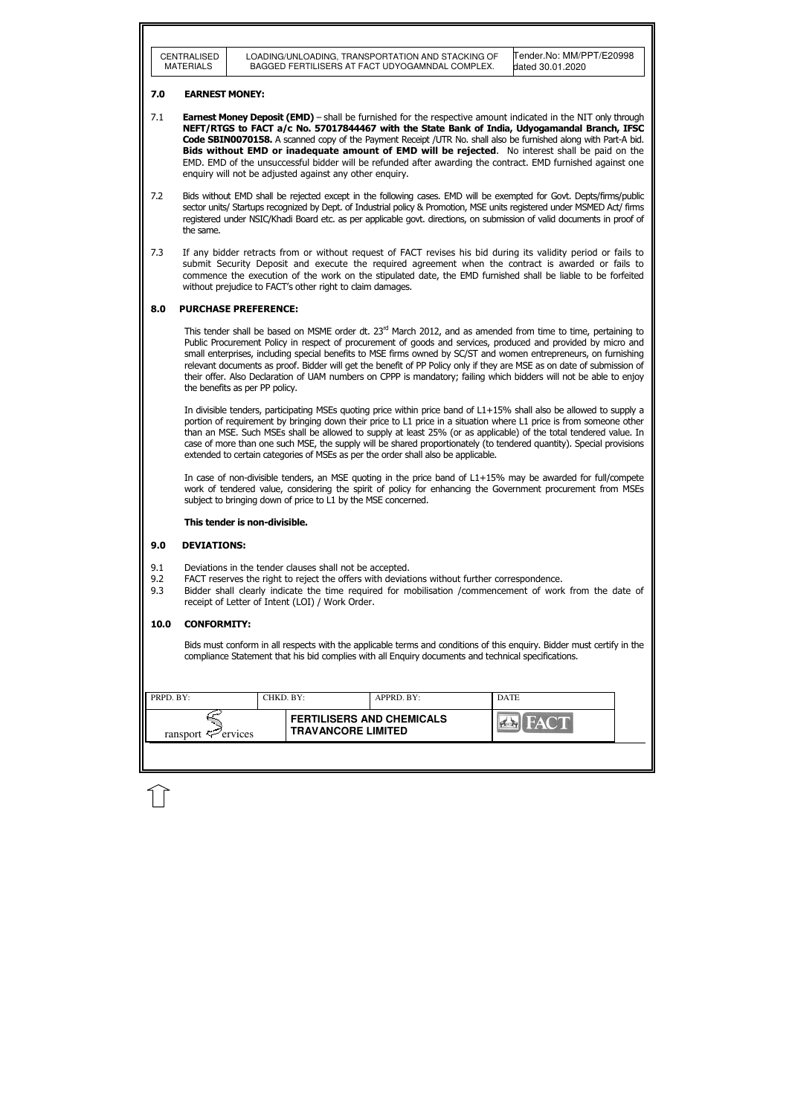| LOADING/UNLOADING, TRANSPORTATION AND STACKING OF<br>CENTRALISED                        |  |                          |
|-----------------------------------------------------------------------------------------|--|--------------------------|
| <b>MATERIALS</b><br>BAGGED FERTILISERS AT FACT UDYOGAMNDAL COMPLEX.<br>dated 30.01.2020 |  | Tender.No: MM/PPT/E20998 |

| PRPD. BY:                      | CHKD. BY: |                                                               | APPRD. BY: | <b>DATE</b> |  |
|--------------------------------|-----------|---------------------------------------------------------------|------------|-------------|--|
| ransport $\mathcal{F}$ ervices |           | <b>FERTILISERS AND CHEMICALS</b><br><b>TRAVANCORE LIMITED</b> |            |             |  |
|                                |           |                                                               |            |             |  |

### 7.0 EARNEST MONEY:

- 7.1 **Earnest Money Deposit (EMD)** shall be furnished for the respective amount indicated in the NIT only through NEFT/RTGS to FACT a/c No. 57017844467 with the State Bank of India, Udyogamandal Branch, IFSC Code SBIN0070158. A scanned copy of the Payment Receipt /UTR No. shall also be furnished along with Part-A bid. **Bids without EMD or inadequate amount of EMD will be rejected.** No interest shall be paid on the EMD. EMD of the unsuccessful bidder will be refunded after awarding the contract. EMD furnished against one enquiry will not be adjusted against any other enquiry.
- 7.2 Bids without EMD shall be rejected except in the following cases. EMD will be exempted for Govt. Depts/firms/public sector units/ Startups recognized by Dept. of Industrial policy & Promotion, MSE units registered under MSMED Act/ firms registered under NSIC/Khadi Board etc. as per applicable govt. directions, on submission of valid documents in proof of the same.
- 7.3 If any bidder retracts from or without request of FACT revises his bid during its validity period or fails to submit Security Deposit and execute the required agreement when the contract is awarded or fails to commence the execution of the work on the stipulated date, the EMD furnished shall be liable to be forfeited without prejudice to FACT's other right to claim damages.

This tender shall be based on MSME order dt.  $23<sup>rd</sup>$  March 2012, and as amended from time to time, pertaining to Public Procurement Policy in respect of procurement of goods and services, produced and provided by micro and small enterprises, including special benefits to MSE firms owned by SC/ST and women entrepreneurs, on furnishing relevant documents as proof. Bidder will get the benefit of PP Policy only if they are MSE as on date of submission of their offer. Also Declaration of UAM numbers on CPPP is mandatory; failing which bidders will not be able to enjoy the benefits as per PP policy.

## 8.0 PURCHASE PREFERENCE:

In divisible tenders, participating MSEs quoting price within price band of L1+15% shall also be allowed to supply a portion of requirement by bringing down their price to L1 price in a situation where L1 price is from someone other than an MSE. Such MSEs shall be allowed to supply at least 25% (or as applicable) of the total tendered value. In case of more than one such MSE, the supply will be shared proportionately (to tendered quantity). Special provisions extended to certain categories of MSEs as per the order shall also be applicable.

In case of non-divisible tenders, an MSE quoting in the price band of L1+15% may be awarded for full/compete work of tendered value, considering the spirit of policy for enhancing the Government procurement from MSEs subject to bringing down of price to L1 by the MSE concerned.

#### This tender is non-divisible.

#### 9.0 DEVIATIONS:

- 9.1 Deviations in the tender clauses shall not be accepted.
- 9.2 FACT reserves the right to reject the offers with deviations without further correspondence.
- 9.3 Bidder shall clearly indicate the time required for mobilisation /commencement of work from the date of receipt of Letter of Intent (LOI) / Work Order.

#### 10.0 CONFORMITY:

Bids must conform in all respects with the applicable terms and conditions of this enquiry. Bidder must certify in the compliance Statement that his bid complies with all Enquiry documents and technical specifications.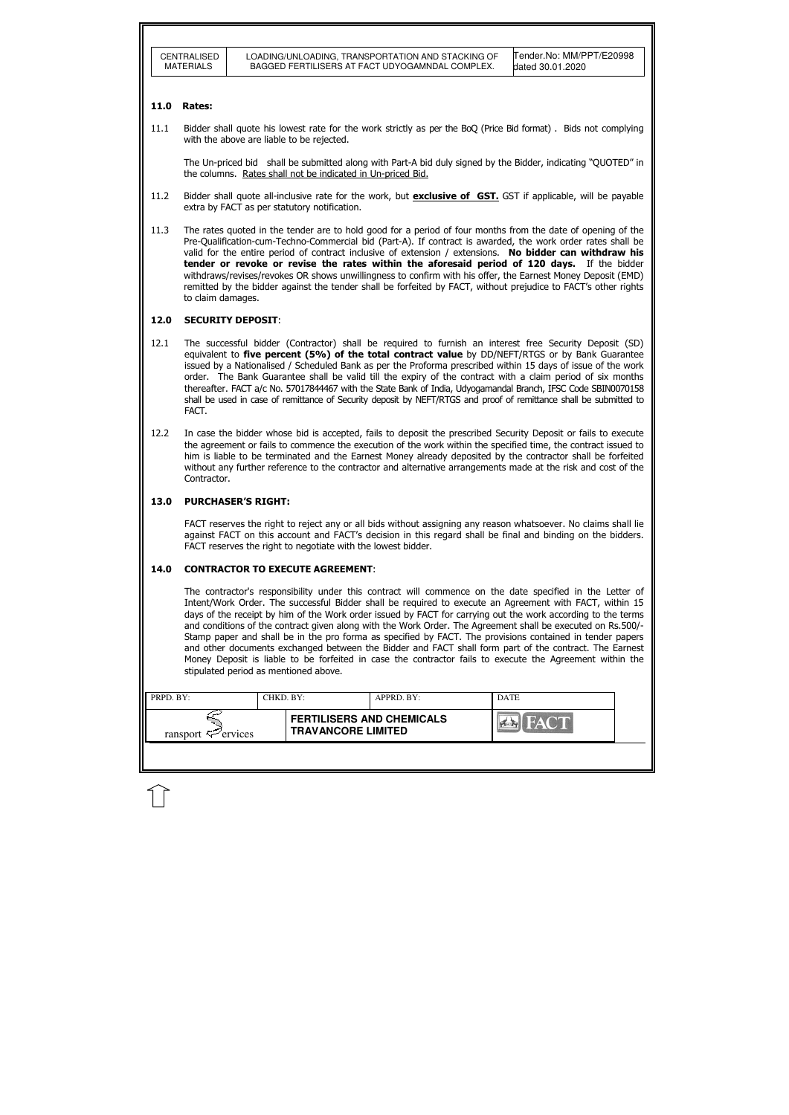| <b>FERTILISERS AND CHEMICALS</b><br><b>TRAVANCORE LIMITED</b> | PRPD. BY:                      | CHKD. BY: | APPRD. BY: | <b>DATE</b> |
|---------------------------------------------------------------|--------------------------------|-----------|------------|-------------|
|                                                               | ransport $\mathcal{F}$ ervices |           |            |             |

#### 11.0 Rates:

11.1 Bidder shall quote his lowest rate for the work strictly as per the BoQ (Price Bid format) . Bids not complying with the above are liable to be rejected.

11.2 Bidder shall quote all-inclusive rate for the work, but **exclusive of GST.** GST if applicable, will be payable extra by FACT as per statutory notification.

The Un-priced bid shall be submitted along with Part-A bid duly signed by the Bidder, indicating "QUOTED" in the columns. Rates shall not be indicated in Un-priced Bid.

11.3 The rates quoted in the tender are to hold good for a period of four months from the date of opening of the Pre-Qualification-cum-Techno-Commercial bid (Part-A). If contract is awarded, the work order rates shall be valid for the entire period of contract inclusive of extension / extensions. No bidder can withdraw his tender or revoke or revise the rates within the aforesaid period of 120 days. If the bidder withdraws/revises/revokes OR shows unwillingness to confirm with his offer, the Earnest Money Deposit (EMD) remitted by the bidder against the tender shall be forfeited by FACT, without prejudice to FACT's other rights to claim damages.

#### 12.0 SECURITY DEPOSIT:

- 12.1 The successful bidder (Contractor) shall be required to furnish an interest free Security Deposit (SD) equivalent to five percent (5%) of the total contract value by DD/NEFT/RTGS or by Bank Guarantee issued by a Nationalised / Scheduled Bank as per the Proforma prescribed within 15 days of issue of the work order. The Bank Guarantee shall be valid till the expiry of the contract with a claim period of six months thereafter. FACT a/c No. 57017844467 with the State Bank of India, Udyogamandal Branch, IFSC Code SBIN0070158 shall be used in case of remittance of Security deposit by NEFT/RTGS and proof of remittance shall be submitted to FACT.
- 12.2 In case the bidder whose bid is accepted, fails to deposit the prescribed Security Deposit or fails to execute the agreement or fails to commence the execution of the work within the specified time, the contract issued to him is liable to be terminated and the Earnest Money already deposited by the contractor shall be forfeited without any further reference to the contractor and alternative arrangements made at the risk and cost of the Contractor.

#### 13.0 PURCHASER'S RIGHT:

 FACT reserves the right to reject any or all bids without assigning any reason whatsoever. No claims shall lie against FACT on this account and FACT's decision in this regard shall be final and binding on the bidders. FACT reserves the right to negotiate with the lowest bidder.

#### 14.0 CONTRACTOR TO EXECUTE AGREEMENT:

 The contractor's responsibility under this contract will commence on the date specified in the Letter of Intent/Work Order. The successful Bidder shall be required to execute an Agreement with FACT, within 15 days of the receipt by him of the Work order issued by FACT for carrying out the work according to the terms and conditions of the contract given along with the Work Order. The Agreement shall be executed on Rs.500/- Stamp paper and shall be in the pro forma as specified by FACT. The provisions contained in tender papers and other documents exchanged between the Bidder and FACT shall form part of the contract. The Earnest Money Deposit is liable to be forfeited in case the contractor fails to execute the Agreement within the stipulated period as mentioned above.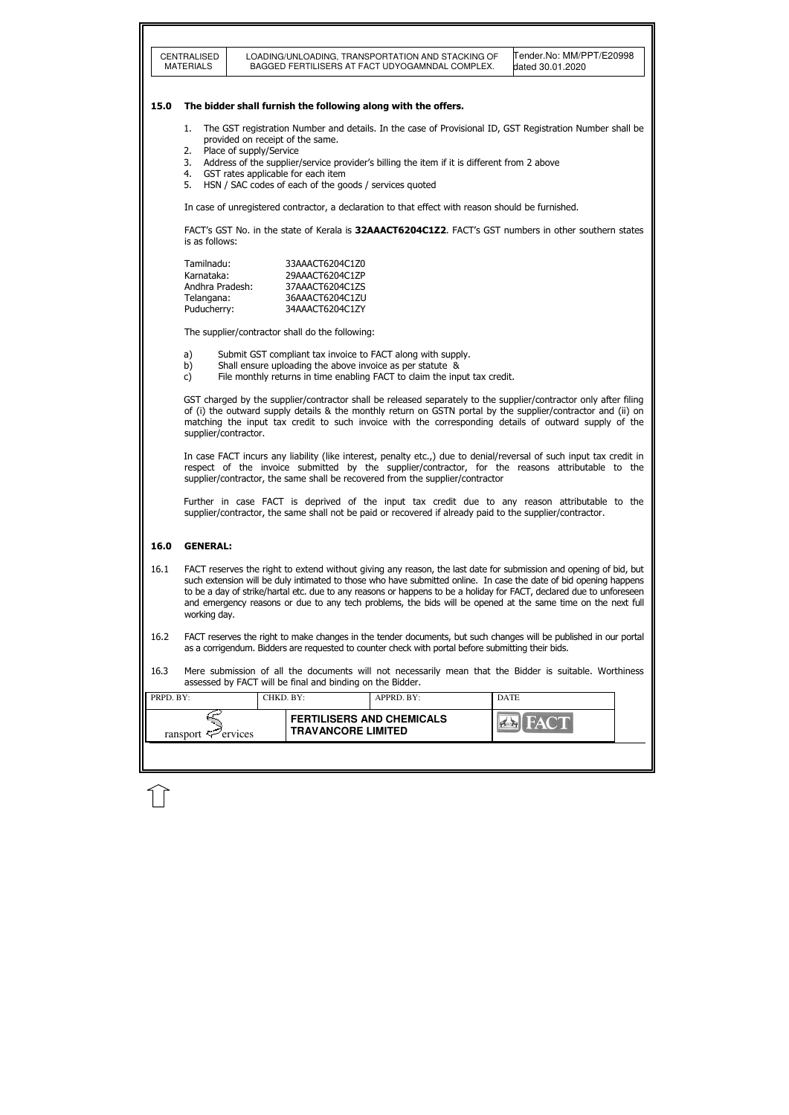|           | CENTRALISED<br><b>MATERIALS</b>                                                                                                                                                                                                                                                                                                                                                                                                                                                                |  |                                                           |  | LOADING/UNLOADING, TRANSPORTATION AND STACKING OF<br>BAGGED FERTILISERS AT FACT UDYOGAMNDAL COMPLEX. |  | Tender.No: MM/PPT/E20998<br>dated 30.01.2020                                                                      |  |  |  |
|-----------|------------------------------------------------------------------------------------------------------------------------------------------------------------------------------------------------------------------------------------------------------------------------------------------------------------------------------------------------------------------------------------------------------------------------------------------------------------------------------------------------|--|-----------------------------------------------------------|--|------------------------------------------------------------------------------------------------------|--|-------------------------------------------------------------------------------------------------------------------|--|--|--|
| 15.0      | The bidder shall furnish the following along with the offers.                                                                                                                                                                                                                                                                                                                                                                                                                                  |  |                                                           |  |                                                                                                      |  |                                                                                                                   |  |  |  |
|           | The GST registration Number and details. In the case of Provisional ID, GST Registration Number shall be<br>1.<br>provided on receipt of the same.<br>Place of supply/Service<br>2.<br>3.<br>Address of the supplier/service provider's billing the item if it is different from 2 above                                                                                                                                                                                                       |  |                                                           |  |                                                                                                      |  |                                                                                                                   |  |  |  |
|           | GST rates applicable for each item<br>4.<br>5.<br>HSN / SAC codes of each of the goods / services quoted                                                                                                                                                                                                                                                                                                                                                                                       |  |                                                           |  |                                                                                                      |  |                                                                                                                   |  |  |  |
|           | In case of unregistered contractor, a declaration to that effect with reason should be furnished.                                                                                                                                                                                                                                                                                                                                                                                              |  |                                                           |  |                                                                                                      |  |                                                                                                                   |  |  |  |
|           | FACT's GST No. in the state of Kerala is 32AAACT6204C1Z2. FACT's GST numbers in other southern states<br>is as follows:                                                                                                                                                                                                                                                                                                                                                                        |  |                                                           |  |                                                                                                      |  |                                                                                                                   |  |  |  |
|           | Tamilnadu:<br>33AAACT6204C1Z0<br>Karnataka:<br>29AAACT6204C1ZP<br>Andhra Pradesh:<br>37AAACT6204C1ZS<br>Telangana:<br>36AAACT6204C1ZU<br>34AAACT6204C1ZY<br>Puducherry:                                                                                                                                                                                                                                                                                                                        |  |                                                           |  |                                                                                                      |  |                                                                                                                   |  |  |  |
|           | The supplier/contractor shall do the following:                                                                                                                                                                                                                                                                                                                                                                                                                                                |  |                                                           |  |                                                                                                      |  |                                                                                                                   |  |  |  |
|           | a)<br>Submit GST compliant tax invoice to FACT along with supply.<br>Shall ensure uploading the above invoice as per statute &<br>b)<br>File monthly returns in time enabling FACT to claim the input tax credit.<br>$\mathsf{C}$                                                                                                                                                                                                                                                              |  |                                                           |  |                                                                                                      |  |                                                                                                                   |  |  |  |
|           | GST charged by the supplier/contractor shall be released separately to the supplier/contractor only after filing<br>of (i) the outward supply details & the monthly return on GSTN portal by the supplier/contractor and (ii) on<br>matching the input tax credit to such invoice with the corresponding details of outward supply of the<br>supplier/contractor.                                                                                                                              |  |                                                           |  |                                                                                                      |  |                                                                                                                   |  |  |  |
|           | In case FACT incurs any liability (like interest, penalty etc.,) due to denial/reversal of such input tax credit in<br>respect of the invoice submitted by the supplier/contractor, for the reasons attributable to the<br>supplier/contractor, the same shall be recovered from the supplier/contractor                                                                                                                                                                                       |  |                                                           |  |                                                                                                      |  |                                                                                                                   |  |  |  |
|           | Further in case FACT is deprived of the input tax credit due to any reason attributable to the<br>supplier/contractor, the same shall not be paid or recovered if already paid to the supplier/contractor.                                                                                                                                                                                                                                                                                     |  |                                                           |  |                                                                                                      |  |                                                                                                                   |  |  |  |
| 16.0      | <b>GENERAL:</b>                                                                                                                                                                                                                                                                                                                                                                                                                                                                                |  |                                                           |  |                                                                                                      |  |                                                                                                                   |  |  |  |
| 16.1      | FACT reserves the right to extend without giving any reason, the last date for submission and opening of bid, but<br>such extension will be duly intimated to those who have submitted online. In case the date of bid opening happens<br>to be a day of strike/hartal etc. due to any reasons or happens to be a holiday for FACT, declared due to unforeseen<br>and emergency reasons or due to any tech problems, the bids will be opened at the same time on the next full<br>working day. |  |                                                           |  |                                                                                                      |  |                                                                                                                   |  |  |  |
| 16.2      |                                                                                                                                                                                                                                                                                                                                                                                                                                                                                                |  |                                                           |  | as a corrigendum. Bidders are requested to counter check with portal before submitting their bids.   |  | FACT reserves the right to make changes in the tender documents, but such changes will be published in our portal |  |  |  |
| 16.3      |                                                                                                                                                                                                                                                                                                                                                                                                                                                                                                |  | assessed by FACT will be final and binding on the Bidder. |  |                                                                                                      |  | Mere submission of all the documents will not necessarily mean that the Bidder is suitable. Worthiness            |  |  |  |
| PRPD. BY: |                                                                                                                                                                                                                                                                                                                                                                                                                                                                                                |  | CHKD. BY:                                                 |  | APPRD. BY:                                                                                           |  | <b>DATE</b>                                                                                                       |  |  |  |
|           | ransport $\leq$ ervices                                                                                                                                                                                                                                                                                                                                                                                                                                                                        |  | <b>TRAVANCORE LIMITED</b>                                 |  | <b>FERTILISERS AND CHEMICALS</b>                                                                     |  |                                                                                                                   |  |  |  |
|           |                                                                                                                                                                                                                                                                                                                                                                                                                                                                                                |  |                                                           |  |                                                                                                      |  |                                                                                                                   |  |  |  |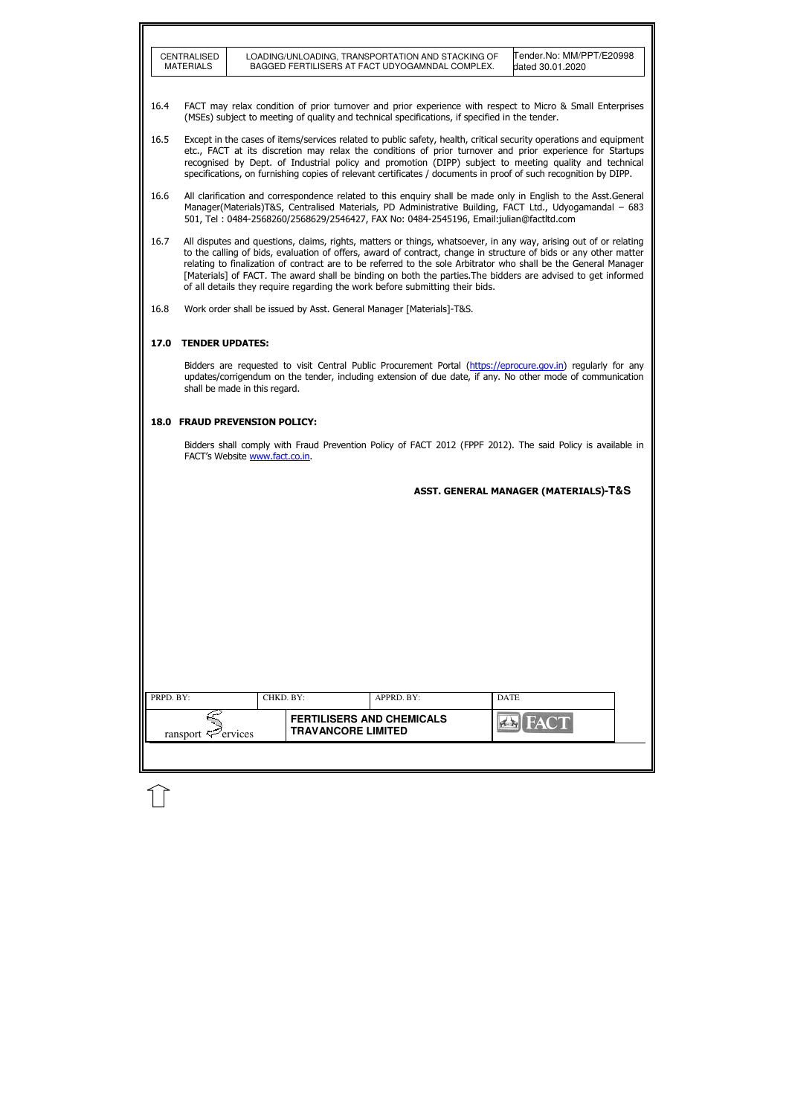|           | CENTRALISED<br><b>MATERIALS</b>                                                                                                                                                                                                                                                                                                                                                                                                                                                                                                                          |           |                           | LOADING/UNLOADING, TRANSPORTATION AND STACKING OF<br>BAGGED FERTILISERS AT FACT UDYOGAMNDAL COMPLEX. |             | Tender.No: MM/PPT/E20998<br>dated 30.01.2020 |  |  |  |
|-----------|----------------------------------------------------------------------------------------------------------------------------------------------------------------------------------------------------------------------------------------------------------------------------------------------------------------------------------------------------------------------------------------------------------------------------------------------------------------------------------------------------------------------------------------------------------|-----------|---------------------------|------------------------------------------------------------------------------------------------------|-------------|----------------------------------------------|--|--|--|
| 16.4      | FACT may relax condition of prior turnover and prior experience with respect to Micro & Small Enterprises<br>(MSEs) subject to meeting of quality and technical specifications, if specified in the tender.                                                                                                                                                                                                                                                                                                                                              |           |                           |                                                                                                      |             |                                              |  |  |  |
| 16.5      | Except in the cases of items/services related to public safety, health, critical security operations and equipment<br>etc., FACT at its discretion may relax the conditions of prior turnover and prior experience for Startups<br>recognised by Dept. of Industrial policy and promotion (DIPP) subject to meeting quality and technical<br>specifications, on furnishing copies of relevant certificates / documents in proof of such recognition by DIPP.                                                                                             |           |                           |                                                                                                      |             |                                              |  |  |  |
| 16.6      | All clarification and correspondence related to this enquiry shall be made only in English to the Asst. General<br>Manager(Materials)T&S, Centralised Materials, PD Administrative Building, FACT Ltd., Udyogamandal - 683<br>501, Tel: 0484-2568260/2568629/2546427, FAX No: 0484-2545196, Email:julian@factltd.com                                                                                                                                                                                                                                     |           |                           |                                                                                                      |             |                                              |  |  |  |
| 16.7      | All disputes and questions, claims, rights, matters or things, whatsoever, in any way, arising out of or relating<br>to the calling of bids, evaluation of offers, award of contract, change in structure of bids or any other matter<br>relating to finalization of contract are to be referred to the sole Arbitrator who shall be the General Manager<br>[Materials] of FACT. The award shall be binding on both the parties. The bidders are advised to get informed<br>of all details they require regarding the work before submitting their bids. |           |                           |                                                                                                      |             |                                              |  |  |  |
| 16.8      |                                                                                                                                                                                                                                                                                                                                                                                                                                                                                                                                                          |           |                           | Work order shall be issued by Asst. General Manager [Materials]-T&S.                                 |             |                                              |  |  |  |
| 17.0      | <b>TENDER UPDATES:</b>                                                                                                                                                                                                                                                                                                                                                                                                                                                                                                                                   |           |                           |                                                                                                      |             |                                              |  |  |  |
|           | Bidders are requested to visit Central Public Procurement Portal (https://eprocure.gov.in) regularly for any<br>updates/corrigendum on the tender, including extension of due date, if any. No other mode of communication<br>shall be made in this regard.                                                                                                                                                                                                                                                                                              |           |                           |                                                                                                      |             |                                              |  |  |  |
|           | <b>18.0 FRAUD PREVENSION POLICY:</b>                                                                                                                                                                                                                                                                                                                                                                                                                                                                                                                     |           |                           |                                                                                                      |             |                                              |  |  |  |
|           | Bidders shall comply with Fraud Prevention Policy of FACT 2012 (FPPF 2012). The said Policy is available in<br>FACT's Website www.fact.co.in.                                                                                                                                                                                                                                                                                                                                                                                                            |           |                           |                                                                                                      |             |                                              |  |  |  |
|           | ASST. GENERAL MANAGER (MATERIALS)-T&S                                                                                                                                                                                                                                                                                                                                                                                                                                                                                                                    |           |                           |                                                                                                      |             |                                              |  |  |  |
|           |                                                                                                                                                                                                                                                                                                                                                                                                                                                                                                                                                          |           |                           |                                                                                                      |             |                                              |  |  |  |
|           |                                                                                                                                                                                                                                                                                                                                                                                                                                                                                                                                                          |           |                           |                                                                                                      |             |                                              |  |  |  |
|           |                                                                                                                                                                                                                                                                                                                                                                                                                                                                                                                                                          |           |                           |                                                                                                      |             |                                              |  |  |  |
|           |                                                                                                                                                                                                                                                                                                                                                                                                                                                                                                                                                          |           |                           |                                                                                                      |             |                                              |  |  |  |
|           |                                                                                                                                                                                                                                                                                                                                                                                                                                                                                                                                                          |           |                           |                                                                                                      |             |                                              |  |  |  |
|           |                                                                                                                                                                                                                                                                                                                                                                                                                                                                                                                                                          |           |                           |                                                                                                      |             |                                              |  |  |  |
| PRPD. BY: |                                                                                                                                                                                                                                                                                                                                                                                                                                                                                                                                                          | CHKD. BY: |                           | APPRD. BY:                                                                                           | <b>DATE</b> |                                              |  |  |  |
|           |                                                                                                                                                                                                                                                                                                                                                                                                                                                                                                                                                          |           |                           | <b>FERTILISERS AND CHEMICALS</b>                                                                     |             |                                              |  |  |  |
|           | ransport $\leq$ ervices                                                                                                                                                                                                                                                                                                                                                                                                                                                                                                                                  |           | <b>TRAVANCORE LIMITED</b> |                                                                                                      |             | <b>FACT</b>                                  |  |  |  |
|           |                                                                                                                                                                                                                                                                                                                                                                                                                                                                                                                                                          |           |                           |                                                                                                      |             |                                              |  |  |  |
|           |                                                                                                                                                                                                                                                                                                                                                                                                                                                                                                                                                          |           |                           |                                                                                                      |             |                                              |  |  |  |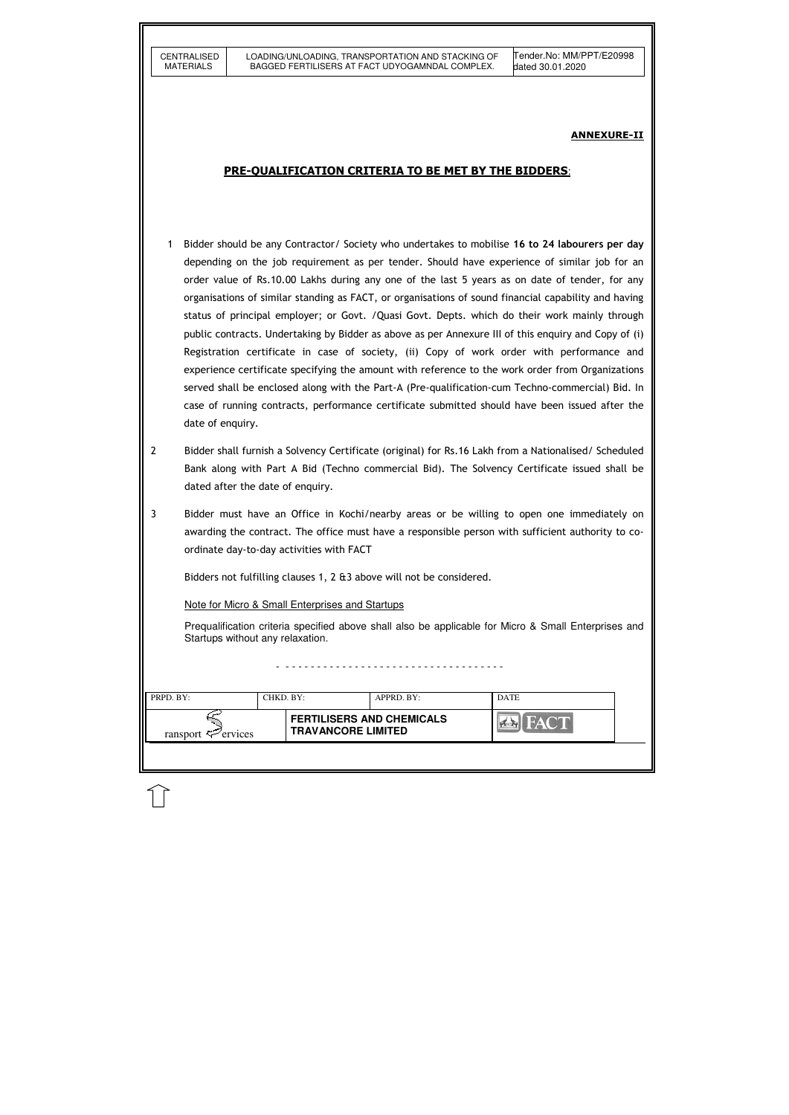|                | <b>CENTRALISED</b>                                                                                                                                                                                                                                                                                                                                                                                                                                                                                                                                                                                                                                                                                                                                                                                                                                                                                                                                                                                                                            |  |                                                 | LOADING/UNLOADING, TRANSPORTATION AND STACKING OF                     |  | Tender.No: MM/PPT/E20998                                                                                                                                                                             |  |  |  |  |
|----------------|-----------------------------------------------------------------------------------------------------------------------------------------------------------------------------------------------------------------------------------------------------------------------------------------------------------------------------------------------------------------------------------------------------------------------------------------------------------------------------------------------------------------------------------------------------------------------------------------------------------------------------------------------------------------------------------------------------------------------------------------------------------------------------------------------------------------------------------------------------------------------------------------------------------------------------------------------------------------------------------------------------------------------------------------------|--|-------------------------------------------------|-----------------------------------------------------------------------|--|------------------------------------------------------------------------------------------------------------------------------------------------------------------------------------------------------|--|--|--|--|
|                | <b>MATERIALS</b>                                                                                                                                                                                                                                                                                                                                                                                                                                                                                                                                                                                                                                                                                                                                                                                                                                                                                                                                                                                                                              |  |                                                 | BAGGED FERTILISERS AT FACT UDYOGAMNDAL COMPLEX.                       |  | dated 30.01.2020                                                                                                                                                                                     |  |  |  |  |
|                | <b>ANNEXURE-II</b><br><b>PRE-OUALIFICATION CRITERIA TO BE MET BY THE BIDDERS:</b>                                                                                                                                                                                                                                                                                                                                                                                                                                                                                                                                                                                                                                                                                                                                                                                                                                                                                                                                                             |  |                                                 |                                                                       |  |                                                                                                                                                                                                      |  |  |  |  |
|                |                                                                                                                                                                                                                                                                                                                                                                                                                                                                                                                                                                                                                                                                                                                                                                                                                                                                                                                                                                                                                                               |  |                                                 |                                                                       |  |                                                                                                                                                                                                      |  |  |  |  |
|                |                                                                                                                                                                                                                                                                                                                                                                                                                                                                                                                                                                                                                                                                                                                                                                                                                                                                                                                                                                                                                                               |  |                                                 |                                                                       |  |                                                                                                                                                                                                      |  |  |  |  |
| 1              | Bidder should be any Contractor/ Society who undertakes to mobilise 16 to 24 labourers per day<br>depending on the job requirement as per tender. Should have experience of similar job for an<br>order value of Rs.10.00 Lakhs during any one of the last 5 years as on date of tender, for any<br>organisations of similar standing as FACT, or organisations of sound financial capability and having<br>status of principal employer; or Govt. / Quasi Govt. Depts. which do their work mainly through<br>public contracts. Undertaking by Bidder as above as per Annexure III of this enquiry and Copy of (i)<br>Registration certificate in case of society, (ii) Copy of work order with performance and<br>experience certificate specifying the amount with reference to the work order from Organizations<br>served shall be enclosed along with the Part-A (Pre-qualification-cum Techno-commercial) Bid. In<br>case of running contracts, performance certificate submitted should have been issued after the<br>date of enquiry. |  |                                                 |                                                                       |  |                                                                                                                                                                                                      |  |  |  |  |
| $\overline{2}$ |                                                                                                                                                                                                                                                                                                                                                                                                                                                                                                                                                                                                                                                                                                                                                                                                                                                                                                                                                                                                                                               |  | dated after the date of enquiry.                |                                                                       |  | Bidder shall furnish a Solvency Certificate (original) for Rs.16 Lakh from a Nationalised/ Scheduled<br>Bank along with Part A Bid (Techno commercial Bid). The Solvency Certificate issued shall be |  |  |  |  |
| $\mathbf{3}$   |                                                                                                                                                                                                                                                                                                                                                                                                                                                                                                                                                                                                                                                                                                                                                                                                                                                                                                                                                                                                                                               |  | ordinate day-to-day activities with FACT        |                                                                       |  | Bidder must have an Office in Kochi/nearby areas or be willing to open one immediately on<br>awarding the contract. The office must have a responsible person with sufficient authority to co-       |  |  |  |  |
|                |                                                                                                                                                                                                                                                                                                                                                                                                                                                                                                                                                                                                                                                                                                                                                                                                                                                                                                                                                                                                                                               |  |                                                 | Bidders not fulfilling clauses 1, 2 & 3 above will not be considered. |  |                                                                                                                                                                                                      |  |  |  |  |
|                |                                                                                                                                                                                                                                                                                                                                                                                                                                                                                                                                                                                                                                                                                                                                                                                                                                                                                                                                                                                                                                               |  | Note for Micro & Small Enterprises and Startups |                                                                       |  |                                                                                                                                                                                                      |  |  |  |  |
|                |                                                                                                                                                                                                                                                                                                                                                                                                                                                                                                                                                                                                                                                                                                                                                                                                                                                                                                                                                                                                                                               |  | Startups without any relaxation.                |                                                                       |  | Prequalification criteria specified above shall also be applicable for Micro & Small Enterprises and                                                                                                 |  |  |  |  |
|                |                                                                                                                                                                                                                                                                                                                                                                                                                                                                                                                                                                                                                                                                                                                                                                                                                                                                                                                                                                                                                                               |  |                                                 |                                                                       |  |                                                                                                                                                                                                      |  |  |  |  |
| PRPD. BY:      |                                                                                                                                                                                                                                                                                                                                                                                                                                                                                                                                                                                                                                                                                                                                                                                                                                                                                                                                                                                                                                               |  | CHKD. BY:                                       | APPRD. BY:                                                            |  | <b>DATE</b>                                                                                                                                                                                          |  |  |  |  |
|                | ransport $\mathbb{Z}$ ervices                                                                                                                                                                                                                                                                                                                                                                                                                                                                                                                                                                                                                                                                                                                                                                                                                                                                                                                                                                                                                 |  |                                                 | <b>FERTILISERS AND CHEMICALS</b><br><b>TRAVANCORE LIMITED</b>         |  |                                                                                                                                                                                                      |  |  |  |  |
|                |                                                                                                                                                                                                                                                                                                                                                                                                                                                                                                                                                                                                                                                                                                                                                                                                                                                                                                                                                                                                                                               |  |                                                 |                                                                       |  |                                                                                                                                                                                                      |  |  |  |  |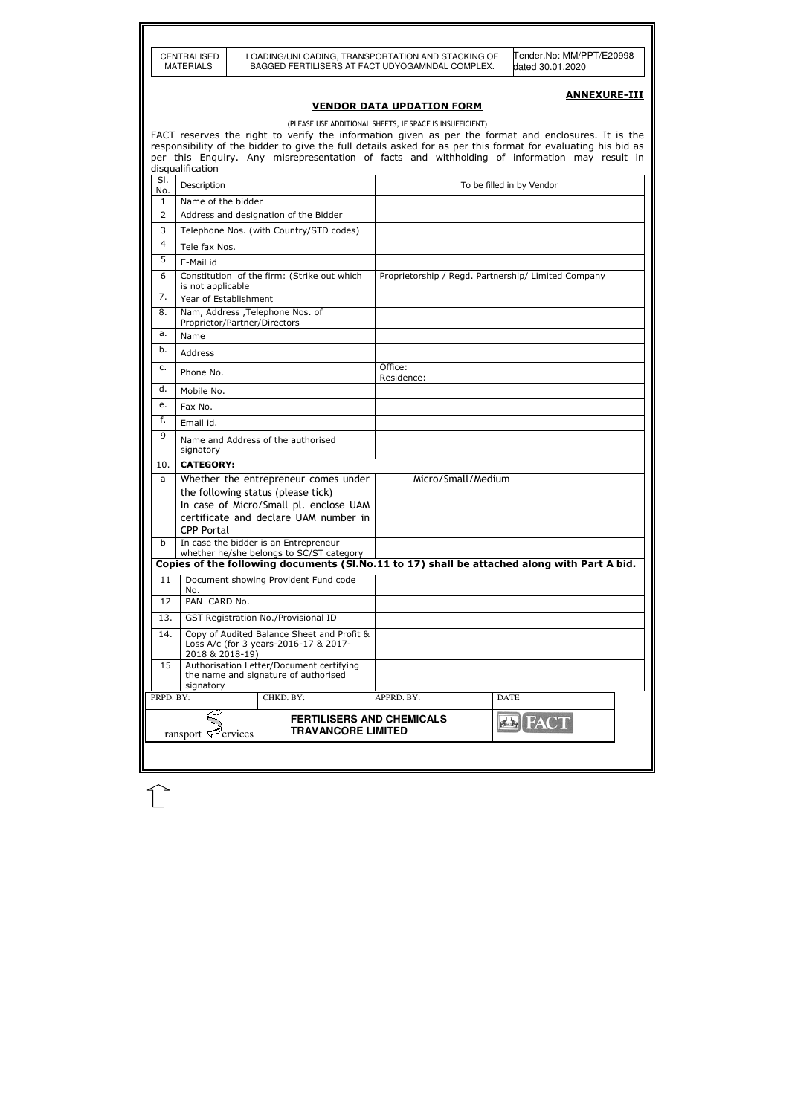|           | <b>CENTRALISED</b><br><b>MATERIALS</b>                           |  |           |                                                                                     |  | LOADING/UNLOADING, TRANSPORTATION AND STACKING OF<br>BAGGED FERTILISERS AT FACT UDYOGAMNDAL COMPLEX. |                    |             | Tender.No: MM/PPT/E20998<br>dated 30.01.2020                                                                                                                                                                        |                     |
|-----------|------------------------------------------------------------------|--|-----------|-------------------------------------------------------------------------------------|--|------------------------------------------------------------------------------------------------------|--------------------|-------------|---------------------------------------------------------------------------------------------------------------------------------------------------------------------------------------------------------------------|---------------------|
|           |                                                                  |  |           |                                                                                     |  |                                                                                                      |                    |             |                                                                                                                                                                                                                     | <b>ANNEXURE-III</b> |
|           |                                                                  |  |           |                                                                                     |  | <b>VENDOR DATA UPDATION FORM</b>                                                                     |                    |             |                                                                                                                                                                                                                     |                     |
|           |                                                                  |  |           |                                                                                     |  | (PLEASE USE ADDITIONAL SHEETS, IF SPACE IS INSUFFICIENT)                                             |                    |             |                                                                                                                                                                                                                     |                     |
|           |                                                                  |  |           |                                                                                     |  |                                                                                                      |                    |             | FACT reserves the right to verify the information given as per the format and enclosures. It is the<br>responsibility of the bidder to give the full details asked for as per this format for evaluating his bid as |                     |
|           |                                                                  |  |           |                                                                                     |  |                                                                                                      |                    |             | per this Enguiry. Any misrepresentation of facts and withholding of information may result in                                                                                                                       |                     |
| SI.       | disqualification                                                 |  |           |                                                                                     |  |                                                                                                      |                    |             |                                                                                                                                                                                                                     |                     |
| No.       | Description                                                      |  |           |                                                                                     |  |                                                                                                      |                    |             | To be filled in by Vendor                                                                                                                                                                                           |                     |
| 1<br>2    | Name of the bidder                                               |  |           | Address and designation of the Bidder                                               |  |                                                                                                      |                    |             |                                                                                                                                                                                                                     |                     |
| 3         |                                                                  |  |           | Telephone Nos. (with Country/STD codes)                                             |  |                                                                                                      |                    |             |                                                                                                                                                                                                                     |                     |
| 4         | Tele fax Nos.                                                    |  |           |                                                                                     |  |                                                                                                      |                    |             |                                                                                                                                                                                                                     |                     |
| 5         | E-Mail id                                                        |  |           |                                                                                     |  |                                                                                                      |                    |             |                                                                                                                                                                                                                     |                     |
| 6         | is not applicable                                                |  |           | Constitution of the firm: (Strike out which                                         |  |                                                                                                      |                    |             | Proprietorship / Regd. Partnership/ Limited Company                                                                                                                                                                 |                     |
| 7.        | Year of Establishment                                            |  |           |                                                                                     |  |                                                                                                      |                    |             |                                                                                                                                                                                                                     |                     |
| 8.        | Nam, Address , Telephone Nos. of<br>Proprietor/Partner/Directors |  |           |                                                                                     |  |                                                                                                      |                    |             |                                                                                                                                                                                                                     |                     |
| a.        | Name                                                             |  |           |                                                                                     |  |                                                                                                      |                    |             |                                                                                                                                                                                                                     |                     |
| b.        | Address                                                          |  |           |                                                                                     |  |                                                                                                      |                    |             |                                                                                                                                                                                                                     |                     |
| c.        | Phone No.                                                        |  |           |                                                                                     |  | Office:<br>Residence:                                                                                |                    |             |                                                                                                                                                                                                                     |                     |
|           | d.<br>Mobile No.                                                 |  |           |                                                                                     |  |                                                                                                      |                    |             |                                                                                                                                                                                                                     |                     |
| е.        | Fax No.                                                          |  |           |                                                                                     |  |                                                                                                      |                    |             |                                                                                                                                                                                                                     |                     |
|           | f.<br>Email id.                                                  |  |           |                                                                                     |  |                                                                                                      |                    |             |                                                                                                                                                                                                                     |                     |
|           | 9<br>Name and Address of the authorised<br>signatory             |  |           |                                                                                     |  |                                                                                                      |                    |             |                                                                                                                                                                                                                     |                     |
| 10.       | <b>CATEGORY:</b>                                                 |  |           |                                                                                     |  |                                                                                                      |                    |             |                                                                                                                                                                                                                     |                     |
| a         | the following status (please tick)                               |  |           | Whether the entrepreneur comes under                                                |  |                                                                                                      | Micro/Small/Medium |             |                                                                                                                                                                                                                     |                     |
|           |                                                                  |  |           | In case of Micro/Small pl. enclose UAM                                              |  |                                                                                                      |                    |             |                                                                                                                                                                                                                     |                     |
|           | <b>CPP Portal</b>                                                |  |           | certificate and declare UAM number in                                               |  |                                                                                                      |                    |             |                                                                                                                                                                                                                     |                     |
| b         |                                                                  |  |           | In case the bidder is an Entrepreneur                                               |  |                                                                                                      |                    |             |                                                                                                                                                                                                                     |                     |
|           |                                                                  |  |           | whether he/she belongs to SC/ST category                                            |  |                                                                                                      |                    |             |                                                                                                                                                                                                                     |                     |
| 11        |                                                                  |  |           | Document showing Provident Fund code                                                |  |                                                                                                      |                    |             | Copies of the following documents (SI.No.11 to 17) shall be attached along with Part A bid.                                                                                                                         |                     |
|           | No.                                                              |  |           |                                                                                     |  |                                                                                                      |                    |             |                                                                                                                                                                                                                     |                     |
| 12        | PAN CARD No.                                                     |  |           |                                                                                     |  |                                                                                                      |                    |             |                                                                                                                                                                                                                     |                     |
| 13.       |                                                                  |  |           | GST Registration No./Provisional ID                                                 |  |                                                                                                      |                    |             |                                                                                                                                                                                                                     |                     |
| 14.       | 2018 & 2018-19)                                                  |  |           | Copy of Audited Balance Sheet and Profit &<br>Loss A/c (for 3 years-2016-17 & 2017- |  |                                                                                                      |                    |             |                                                                                                                                                                                                                     |                     |
| 15        | signatory                                                        |  |           | Authorisation Letter/Document certifying<br>the name and signature of authorised    |  |                                                                                                      |                    |             |                                                                                                                                                                                                                     |                     |
| PRPD. BY: |                                                                  |  | CHKD. BY: |                                                                                     |  | APPRD. BY:                                                                                           |                    | <b>DATE</b> |                                                                                                                                                                                                                     |                     |
|           | ransport $\mathcal{F}$ ervices                                   |  |           | <b>TRAVANCORE LIMITED</b>                                                           |  | <b>FERTILISERS AND CHEMICALS</b>                                                                     |                    | f(x)        |                                                                                                                                                                                                                     |                     |
|           |                                                                  |  |           |                                                                                     |  |                                                                                                      |                    |             |                                                                                                                                                                                                                     |                     |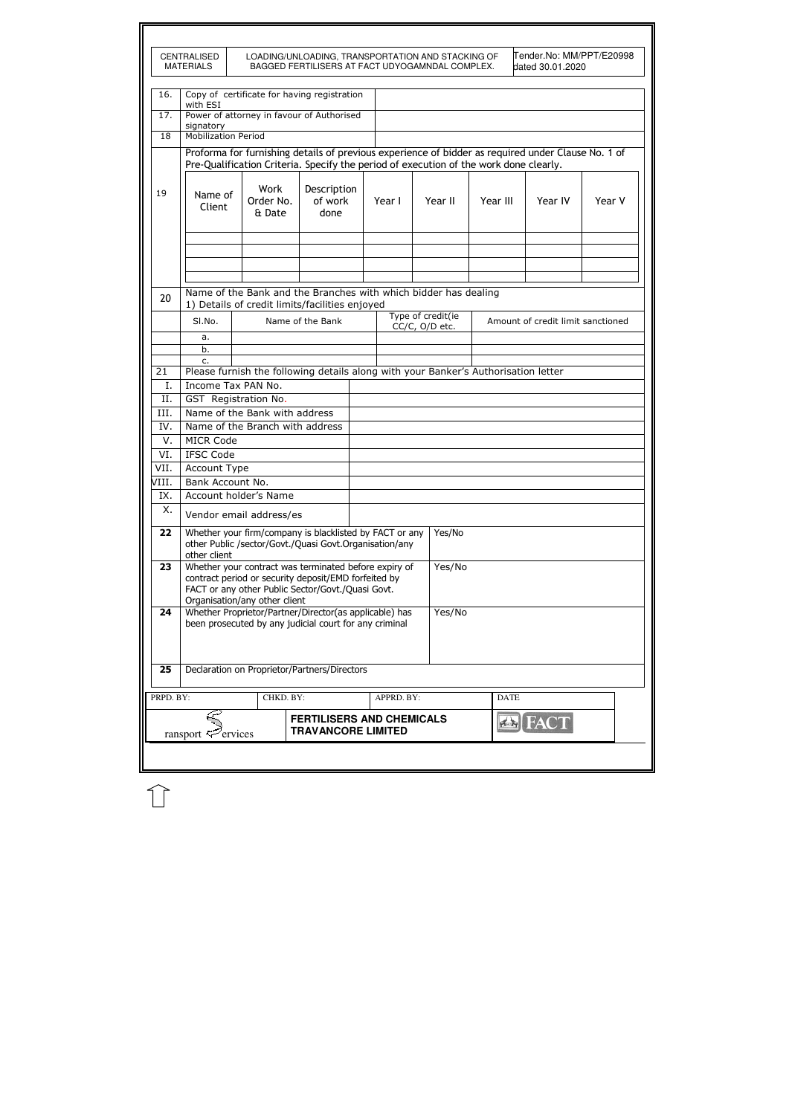|           | <b>CENTRALISED</b><br><b>MATERIALS</b>                                                                                                                                                                        |                                                                                                                                                                                             |                  |  |            | LOADING/UNLOADING, TRANSPORTATION AND STACKING OF<br>BAGGED FERTILISERS AT FACT UDYOGAMNDAL COMPLEX. |             | Tender.No: MM/PPT/E20998<br>dated 30.01.2020 |        |
|-----------|---------------------------------------------------------------------------------------------------------------------------------------------------------------------------------------------------------------|---------------------------------------------------------------------------------------------------------------------------------------------------------------------------------------------|------------------|--|------------|------------------------------------------------------------------------------------------------------|-------------|----------------------------------------------|--------|
| 16.       | with ESI                                                                                                                                                                                                      | Copy of certificate for having registration                                                                                                                                                 |                  |  |            |                                                                                                      |             |                                              |        |
| 17.       |                                                                                                                                                                                                               | Power of attorney in favour of Authorised                                                                                                                                                   |                  |  |            |                                                                                                      |             |                                              |        |
| 18        | signatory<br><b>Mobilization Period</b>                                                                                                                                                                       |                                                                                                                                                                                             |                  |  |            |                                                                                                      |             |                                              |        |
|           |                                                                                                                                                                                                               | Proforma for furnishing details of previous experience of bidder as required under Clause No. 1 of<br>Pre-Qualification Criteria. Specify the period of execution of the work done clearly. |                  |  |            |                                                                                                      |             |                                              |        |
| 19        | Client                                                                                                                                                                                                        | Work<br>Description<br>Name of<br>Order No.<br>of work<br>done<br>& Date                                                                                                                    |                  |  | Year I     | Year II                                                                                              | Year III    | Year IV                                      | Year V |
|           |                                                                                                                                                                                                               |                                                                                                                                                                                             |                  |  |            |                                                                                                      |             |                                              |        |
| 20        |                                                                                                                                                                                                               | Name of the Bank and the Branches with which bidder has dealing<br>1) Details of credit limits/facilities enjoyed                                                                           |                  |  |            |                                                                                                      |             |                                              |        |
|           | SI.No.                                                                                                                                                                                                        |                                                                                                                                                                                             | Name of the Bank |  |            | Type of credit(ie<br>CC/C, O/D etc.                                                                  |             | Amount of credit limit sanctioned            |        |
|           | a.                                                                                                                                                                                                            |                                                                                                                                                                                             |                  |  |            |                                                                                                      |             |                                              |        |
|           | b.                                                                                                                                                                                                            |                                                                                                                                                                                             |                  |  |            |                                                                                                      |             |                                              |        |
|           | c.                                                                                                                                                                                                            |                                                                                                                                                                                             |                  |  |            |                                                                                                      |             |                                              |        |
| 21        | Please furnish the following details along with your Banker's Authorisation letter                                                                                                                            |                                                                                                                                                                                             |                  |  |            |                                                                                                      |             |                                              |        |
| I.        | Income Tax PAN No.                                                                                                                                                                                            |                                                                                                                                                                                             |                  |  |            |                                                                                                      |             |                                              |        |
| II.       |                                                                                                                                                                                                               | GST Registration No.                                                                                                                                                                        |                  |  |            |                                                                                                      |             |                                              |        |
| III.      |                                                                                                                                                                                                               | Name of the Bank with address                                                                                                                                                               |                  |  |            |                                                                                                      |             |                                              |        |
| IV.       |                                                                                                                                                                                                               | Name of the Branch with address                                                                                                                                                             |                  |  |            |                                                                                                      |             |                                              |        |
| V.        | <b>MICR Code</b>                                                                                                                                                                                              |                                                                                                                                                                                             |                  |  |            |                                                                                                      |             |                                              |        |
| VI.       | <b>IFSC Code</b>                                                                                                                                                                                              |                                                                                                                                                                                             |                  |  |            |                                                                                                      |             |                                              |        |
| VII.      | Account Type                                                                                                                                                                                                  |                                                                                                                                                                                             |                  |  |            |                                                                                                      |             |                                              |        |
| VIII.     | Bank Account No.                                                                                                                                                                                              |                                                                                                                                                                                             |                  |  |            |                                                                                                      |             |                                              |        |
| IX.       |                                                                                                                                                                                                               | Account holder's Name                                                                                                                                                                       |                  |  |            |                                                                                                      |             |                                              |        |
| Χ.        |                                                                                                                                                                                                               | Vendor email address/es                                                                                                                                                                     |                  |  |            |                                                                                                      |             |                                              |        |
| 22        | other client                                                                                                                                                                                                  | Whether your firm/company is blacklisted by FACT or any<br>other Public /sector/Govt./Quasi Govt.Organisation/any                                                                           |                  |  |            | Yes/No                                                                                               |             |                                              |        |
| 23        | Yes/No<br>Whether your contract was terminated before expiry of<br>contract period or security deposit/EMD forfeited by<br>FACT or any other Public Sector/Govt./Quasi Govt.<br>Organisation/any other client |                                                                                                                                                                                             |                  |  |            |                                                                                                      |             |                                              |        |
| 24        | Yes/No<br>Whether Proprietor/Partner/Director(as applicable) has<br>been prosecuted by any judicial court for any criminal                                                                                    |                                                                                                                                                                                             |                  |  |            |                                                                                                      |             |                                              |        |
| 25        |                                                                                                                                                                                                               | Declaration on Proprietor/Partners/Directors                                                                                                                                                |                  |  |            |                                                                                                      |             |                                              |        |
| PRPD. BY: |                                                                                                                                                                                                               | CHKD. BY:                                                                                                                                                                                   |                  |  | APPRD. BY: |                                                                                                      | <b>DATE</b> |                                              |        |
|           |                                                                                                                                                                                                               |                                                                                                                                                                                             |                  |  |            |                                                                                                      |             |                                              |        |

 $\mathbb{\hat{}}$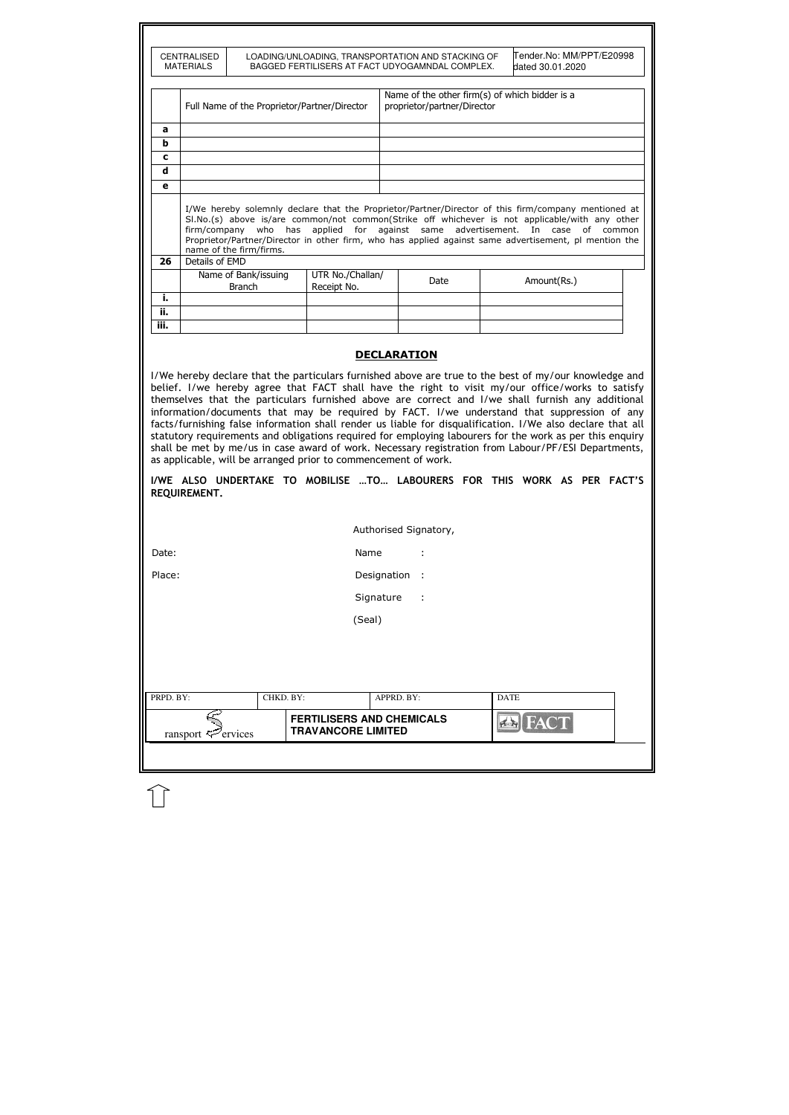|                  | <b>CENTRALISED</b>                                                                                                                                                                                                                                                                                                                                                                                                                                                                                                                                                                                |  |           | LOADING/UNLOADING, TRANSPORTATION AND STACKING OF             |  |                             |  |                                                | lTender.No: MM/PPT/E20998 |  |
|------------------|---------------------------------------------------------------------------------------------------------------------------------------------------------------------------------------------------------------------------------------------------------------------------------------------------------------------------------------------------------------------------------------------------------------------------------------------------------------------------------------------------------------------------------------------------------------------------------------------------|--|-----------|---------------------------------------------------------------|--|-----------------------------|--|------------------------------------------------|---------------------------|--|
|                  | <b>MATERIALS</b>                                                                                                                                                                                                                                                                                                                                                                                                                                                                                                                                                                                  |  |           | BAGGED FERTILISERS AT FACT UDYOGAMNDAL COMPLEX.               |  |                             |  | dated 30.01.2020                               |                           |  |
|                  |                                                                                                                                                                                                                                                                                                                                                                                                                                                                                                                                                                                                   |  |           | Full Name of the Proprietor/Partner/Director                  |  | proprietor/partner/Director |  | Name of the other firm(s) of which bidder is a |                           |  |
| a                |                                                                                                                                                                                                                                                                                                                                                                                                                                                                                                                                                                                                   |  |           |                                                               |  |                             |  |                                                |                           |  |
| $\mathbf b$      |                                                                                                                                                                                                                                                                                                                                                                                                                                                                                                                                                                                                   |  |           |                                                               |  |                             |  |                                                |                           |  |
| C<br>$\mathbf d$ |                                                                                                                                                                                                                                                                                                                                                                                                                                                                                                                                                                                                   |  |           |                                                               |  |                             |  |                                                |                           |  |
| e                |                                                                                                                                                                                                                                                                                                                                                                                                                                                                                                                                                                                                   |  |           |                                                               |  |                             |  |                                                |                           |  |
| 26               | I/We hereby solemnly declare that the Proprietor/Partner/Director of this firm/company mentioned at<br>SI.No.(s) above is/are common/not common(Strike off whichever is not applicable/with any other<br>firm/company who has applied for against same advertisement. In case of common<br>Proprietor/Partner/Director in other firm, who has applied against same advertisement, pl mention the<br>name of the firm/firms.                                                                                                                                                                       |  |           |                                                               |  |                             |  |                                                |                           |  |
|                  | Details of EMD                                                                                                                                                                                                                                                                                                                                                                                                                                                                                                                                                                                    |  |           | UTR No./Challan/                                              |  |                             |  |                                                |                           |  |
|                  | Name of Bank/issuing<br><b>Branch</b><br>Receipt No.                                                                                                                                                                                                                                                                                                                                                                                                                                                                                                                                              |  |           |                                                               |  | Date                        |  | Amount(Rs.)                                    |                           |  |
| i.               |                                                                                                                                                                                                                                                                                                                                                                                                                                                                                                                                                                                                   |  |           |                                                               |  |                             |  |                                                |                           |  |
| ii.<br>iii.      |                                                                                                                                                                                                                                                                                                                                                                                                                                                                                                                                                                                                   |  |           |                                                               |  |                             |  |                                                |                           |  |
|                  |                                                                                                                                                                                                                                                                                                                                                                                                                                                                                                                                                                                                   |  |           |                                                               |  |                             |  |                                                |                           |  |
|                  | information/documents that may be required by FACT. I/we understand that suppression of any<br>facts/furnishing false information shall render us liable for disqualification. I/We also declare that all<br>statutory requirements and obligations required for employing labourers for the work as per this enquiry<br>shall be met by me/us in case award of work. Necessary registration from Labour/PF/ESI Departments,<br>as applicable, will be arranged prior to commencement of work.<br>I/WE ALSO UNDERTAKE TO MOBILISE TO LABOURERS FOR THIS WORK AS PER FACT'S<br><b>REQUIREMENT.</b> |  |           |                                                               |  |                             |  |                                                |                           |  |
|                  |                                                                                                                                                                                                                                                                                                                                                                                                                                                                                                                                                                                                   |  |           |                                                               |  | Authorised Signatory,       |  |                                                |                           |  |
| Date:            |                                                                                                                                                                                                                                                                                                                                                                                                                                                                                                                                                                                                   |  |           | Name                                                          |  |                             |  |                                                |                           |  |
| Place:           | Designation :                                                                                                                                                                                                                                                                                                                                                                                                                                                                                                                                                                                     |  |           |                                                               |  |                             |  |                                                |                           |  |
|                  | Signature<br>$\sim$ 1                                                                                                                                                                                                                                                                                                                                                                                                                                                                                                                                                                             |  |           |                                                               |  |                             |  |                                                |                           |  |
|                  | (Seal)                                                                                                                                                                                                                                                                                                                                                                                                                                                                                                                                                                                            |  |           |                                                               |  |                             |  |                                                |                           |  |
|                  |                                                                                                                                                                                                                                                                                                                                                                                                                                                                                                                                                                                                   |  |           |                                                               |  |                             |  |                                                |                           |  |
| PRPD. BY:        |                                                                                                                                                                                                                                                                                                                                                                                                                                                                                                                                                                                                   |  | CHKD. BY: |                                                               |  | APPRD. BY:                  |  | <b>DATE</b>                                    |                           |  |
|                  | ransport $\mathbb{Z}^2$ ervices                                                                                                                                                                                                                                                                                                                                                                                                                                                                                                                                                                   |  |           | <b>FERTILISERS AND CHEMICALS</b><br><b>TRAVANCORE LIMITED</b> |  |                             |  | <b>AS FACT</b>                                 |                           |  |
|                  |                                                                                                                                                                                                                                                                                                                                                                                                                                                                                                                                                                                                   |  |           |                                                               |  |                             |  |                                                |                           |  |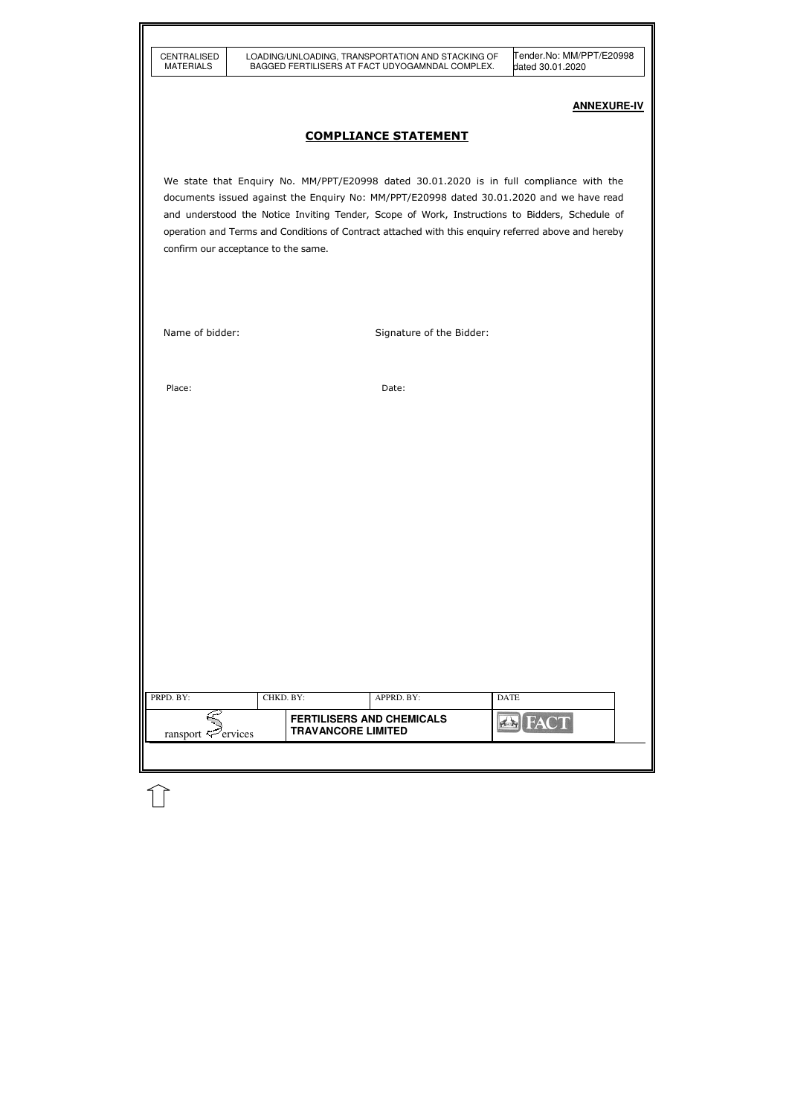| <b>CENTRALISED</b> |
|--------------------|
| MATERIALS          |

| PRPD. BY:               | CHKD. BY: |                           | APPRD. BY:                       | <b>DATE</b>    |  |
|-------------------------|-----------|---------------------------|----------------------------------|----------------|--|
| ransport $\leq$ ervices |           | <b>TRAVANCORE LIMITED</b> | <b>FERTILISERS AND CHEMICALS</b> | <b>EN FACT</b> |  |
|                         |           |                           |                                  |                |  |

# **ANNEXURE-IV**

# COMPLIANCE STATEMENT

We state that Enquiry No. MM/PPT/E20998 dated 30.01.2020 is in full compliance with the documents issued against the Enquiry No: MM/PPT/E20998 dated 30.01.2020 and we have read and understood the Notice Inviting Tender, Scope of Work, Instructions to Bidders, Schedule of operation and Terms and Conditions of Contract attached with this enquiry referred above and hereby confirm our acceptance to the same.

Name of bidder: Signature of the Bidder:

Place: Date: Date: Date: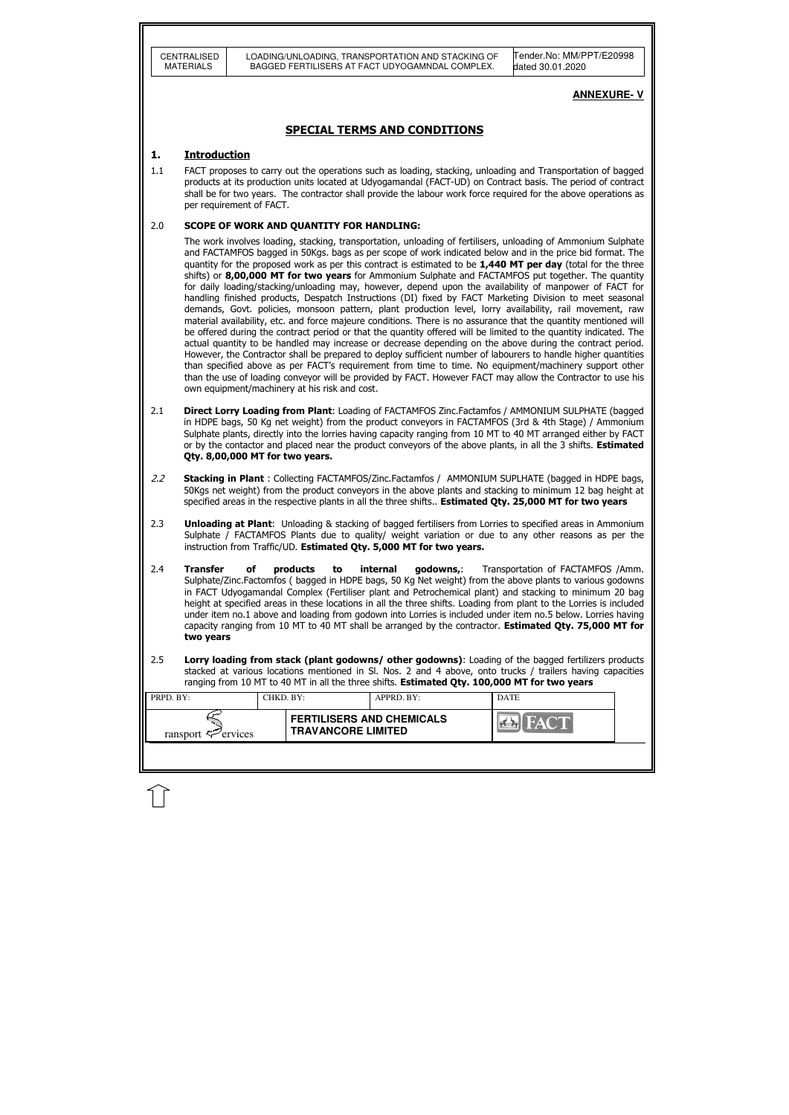| Tender.No: MM/PPT/E20998<br>CENTRALISED<br>LOADING/UNLOADING, TRANSPORTATION AND STACKING OF<br><b>MATERIALS</b><br>BAGGED FERTILISERS AT FACT UDYOGAMNDAL COMPLEX.<br>dated 30.01.2020<br><b>ANNEXURE-V</b><br><b>SPECIAL TERMS AND CONDITIONS</b><br><b>Introduction</b><br>1.<br>1.1<br>FACT proposes to carry out the operations such as loading, stacking, unloading and Transportation of bagged<br>products at its production units located at Udyogamandal (FACT-UD) on Contract basis. The period of contract<br>shall be for two years. The contractor shall provide the labour work force required for the above operations as<br>per requirement of FACT.<br>2.0<br><b>SCOPE OF WORK AND QUANTITY FOR HANDLING:</b><br>The work involves loading, stacking, transportation, unloading of fertilisers, unloading of Ammonium Sulphate<br>and FACTAMFOS bagged in 50Kgs. bags as per scope of work indicated below and in the price bid format. The<br>quantity for the proposed work as per this contract is estimated to be 1,440 MT per day (total for the three<br>shifts) or 8,00,000 MT for two years for Ammonium Sulphate and FACTAMFOS put together. The quantity<br>for daily loading/stacking/unloading may, however, depend upon the availability of manpower of FACT for<br>handling finished products, Despatch Instructions (DI) fixed by FACT Marketing Division to meet seasonal<br>demands, Govt. policies, monsoon pattern, plant production level, lorry availability, rail movement, raw<br>material availability, etc. and force majeure conditions. There is no assurance that the quantity mentioned will<br>be offered during the contract period or that the quantity offered will be limited to the quantity indicated. The<br>actual quantity to be handled may increase or decrease depending on the above during the contract period.<br>However, the Contractor shall be prepared to deploy sufficient number of labourers to handle higher quantities<br>than specified above as per FACT's requirement from time to time. No equipment/machinery support other<br>than the use of loading conveyor will be provided by FACT. However FACT may allow the Contractor to use his<br>own equipment/machinery at his risk and cost.<br>2.1<br>Direct Lorry Loading from Plant: Loading of FACTAMFOS Zinc.Factamfos / AMMONIUM SULPHATE (bagged |
|--------------------------------------------------------------------------------------------------------------------------------------------------------------------------------------------------------------------------------------------------------------------------------------------------------------------------------------------------------------------------------------------------------------------------------------------------------------------------------------------------------------------------------------------------------------------------------------------------------------------------------------------------------------------------------------------------------------------------------------------------------------------------------------------------------------------------------------------------------------------------------------------------------------------------------------------------------------------------------------------------------------------------------------------------------------------------------------------------------------------------------------------------------------------------------------------------------------------------------------------------------------------------------------------------------------------------------------------------------------------------------------------------------------------------------------------------------------------------------------------------------------------------------------------------------------------------------------------------------------------------------------------------------------------------------------------------------------------------------------------------------------------------------------------------------------------------------------------------------------------------------------------------------------------------------------------------------------------------------------------------------------------------------------------------------------------------------------------------------------------------------------------------------------------------------------------------------------------------------------------------------------------------------------------------------------------------------------------------------------------------------------|
|                                                                                                                                                                                                                                                                                                                                                                                                                                                                                                                                                                                                                                                                                                                                                                                                                                                                                                                                                                                                                                                                                                                                                                                                                                                                                                                                                                                                                                                                                                                                                                                                                                                                                                                                                                                                                                                                                                                                                                                                                                                                                                                                                                                                                                                                                                                                                                                      |
|                                                                                                                                                                                                                                                                                                                                                                                                                                                                                                                                                                                                                                                                                                                                                                                                                                                                                                                                                                                                                                                                                                                                                                                                                                                                                                                                                                                                                                                                                                                                                                                                                                                                                                                                                                                                                                                                                                                                                                                                                                                                                                                                                                                                                                                                                                                                                                                      |
|                                                                                                                                                                                                                                                                                                                                                                                                                                                                                                                                                                                                                                                                                                                                                                                                                                                                                                                                                                                                                                                                                                                                                                                                                                                                                                                                                                                                                                                                                                                                                                                                                                                                                                                                                                                                                                                                                                                                                                                                                                                                                                                                                                                                                                                                                                                                                                                      |
|                                                                                                                                                                                                                                                                                                                                                                                                                                                                                                                                                                                                                                                                                                                                                                                                                                                                                                                                                                                                                                                                                                                                                                                                                                                                                                                                                                                                                                                                                                                                                                                                                                                                                                                                                                                                                                                                                                                                                                                                                                                                                                                                                                                                                                                                                                                                                                                      |
|                                                                                                                                                                                                                                                                                                                                                                                                                                                                                                                                                                                                                                                                                                                                                                                                                                                                                                                                                                                                                                                                                                                                                                                                                                                                                                                                                                                                                                                                                                                                                                                                                                                                                                                                                                                                                                                                                                                                                                                                                                                                                                                                                                                                                                                                                                                                                                                      |
|                                                                                                                                                                                                                                                                                                                                                                                                                                                                                                                                                                                                                                                                                                                                                                                                                                                                                                                                                                                                                                                                                                                                                                                                                                                                                                                                                                                                                                                                                                                                                                                                                                                                                                                                                                                                                                                                                                                                                                                                                                                                                                                                                                                                                                                                                                                                                                                      |
|                                                                                                                                                                                                                                                                                                                                                                                                                                                                                                                                                                                                                                                                                                                                                                                                                                                                                                                                                                                                                                                                                                                                                                                                                                                                                                                                                                                                                                                                                                                                                                                                                                                                                                                                                                                                                                                                                                                                                                                                                                                                                                                                                                                                                                                                                                                                                                                      |
| in HDPE bags, 50 Kg net weight) from the product conveyors in FACTAMFOS (3rd & 4th Stage) / Ammonium<br>Sulphate plants, directly into the lorries having capacity ranging from 10 MT to 40 MT arranged either by FACT<br>or by the contactor and placed near the product conveyors of the above plants, in all the 3 shifts. <b>Estimated</b><br>Qty. 8,00,000 MT for two years.                                                                                                                                                                                                                                                                                                                                                                                                                                                                                                                                                                                                                                                                                                                                                                                                                                                                                                                                                                                                                                                                                                                                                                                                                                                                                                                                                                                                                                                                                                                                                                                                                                                                                                                                                                                                                                                                                                                                                                                                    |
| 2.2<br><b>Stacking in Plant</b> : Collecting FACTAMFOS/Zinc.Factamfos / AMMONIUM SUPLHATE (bagged in HDPE bags,<br>50Kgs net weight) from the product conveyors in the above plants and stacking to minimum 12 bag height at<br>specified areas in the respective plants in all the three shifts Estimated Qty. 25,000 MT for two years                                                                                                                                                                                                                                                                                                                                                                                                                                                                                                                                                                                                                                                                                                                                                                                                                                                                                                                                                                                                                                                                                                                                                                                                                                                                                                                                                                                                                                                                                                                                                                                                                                                                                                                                                                                                                                                                                                                                                                                                                                              |
| 2.3<br><b>Unloading at Plant:</b> Unloading & stacking of bagged fertilisers from Lorries to specified areas in Ammonium<br>Sulphate / FACTAMFOS Plants due to quality/ weight variation or due to any other reasons as per the<br>instruction from Traffic/UD. Estimated Qty. 5,000 MT for two years.                                                                                                                                                                                                                                                                                                                                                                                                                                                                                                                                                                                                                                                                                                                                                                                                                                                                                                                                                                                                                                                                                                                                                                                                                                                                                                                                                                                                                                                                                                                                                                                                                                                                                                                                                                                                                                                                                                                                                                                                                                                                               |
| 2.4<br><b>Transfer</b><br>internal<br>of<br>products<br>godowns,:<br>Transportation of FACTAMFOS /Amm.<br>to<br>Sulphate/Zinc.Factomfos ( bagged in HDPE bags, 50 Kg Net weight) from the above plants to various godowns<br>in FACT Udyogamandal Complex (Fertiliser plant and Petrochemical plant) and stacking to minimum 20 bag<br>height at specified areas in these locations in all the three shifts. Loading from plant to the Lorries is included<br>under item no.1 above and loading from godown into Lorries is included under item no.5 below. Lorries having<br>capacity ranging from 10 MT to 40 MT shall be arranged by the contractor. Estimated Qty. 75,000 MT for<br>two years                                                                                                                                                                                                                                                                                                                                                                                                                                                                                                                                                                                                                                                                                                                                                                                                                                                                                                                                                                                                                                                                                                                                                                                                                                                                                                                                                                                                                                                                                                                                                                                                                                                                                    |
| 2.5<br>Lorry loading from stack (plant godowns/ other godowns): Loading of the bagged fertilizers products<br>stacked at various locations mentioned in Sl. Nos. 2 and 4 above, onto trucks / trailers having capacities<br>ranging from 10 MT to 40 MT in all the three shifts. Estimated Qty. 100,000 MT for two years                                                                                                                                                                                                                                                                                                                                                                                                                                                                                                                                                                                                                                                                                                                                                                                                                                                                                                                                                                                                                                                                                                                                                                                                                                                                                                                                                                                                                                                                                                                                                                                                                                                                                                                                                                                                                                                                                                                                                                                                                                                             |
| PRPD. BY:<br>CHKD. BY:<br>APPRD. BY:<br><b>DATE</b>                                                                                                                                                                                                                                                                                                                                                                                                                                                                                                                                                                                                                                                                                                                                                                                                                                                                                                                                                                                                                                                                                                                                                                                                                                                                                                                                                                                                                                                                                                                                                                                                                                                                                                                                                                                                                                                                                                                                                                                                                                                                                                                                                                                                                                                                                                                                  |
| <b>FERTILISERS AND CHEMICALS</b><br><b>TRAVANCORE LIMITED</b><br>ransport $\sharp$ <sup><math>\mathcal{P}</math></sup> ervices                                                                                                                                                                                                                                                                                                                                                                                                                                                                                                                                                                                                                                                                                                                                                                                                                                                                                                                                                                                                                                                                                                                                                                                                                                                                                                                                                                                                                                                                                                                                                                                                                                                                                                                                                                                                                                                                                                                                                                                                                                                                                                                                                                                                                                                       |

l

 $\widehat{\mathbb{U}}$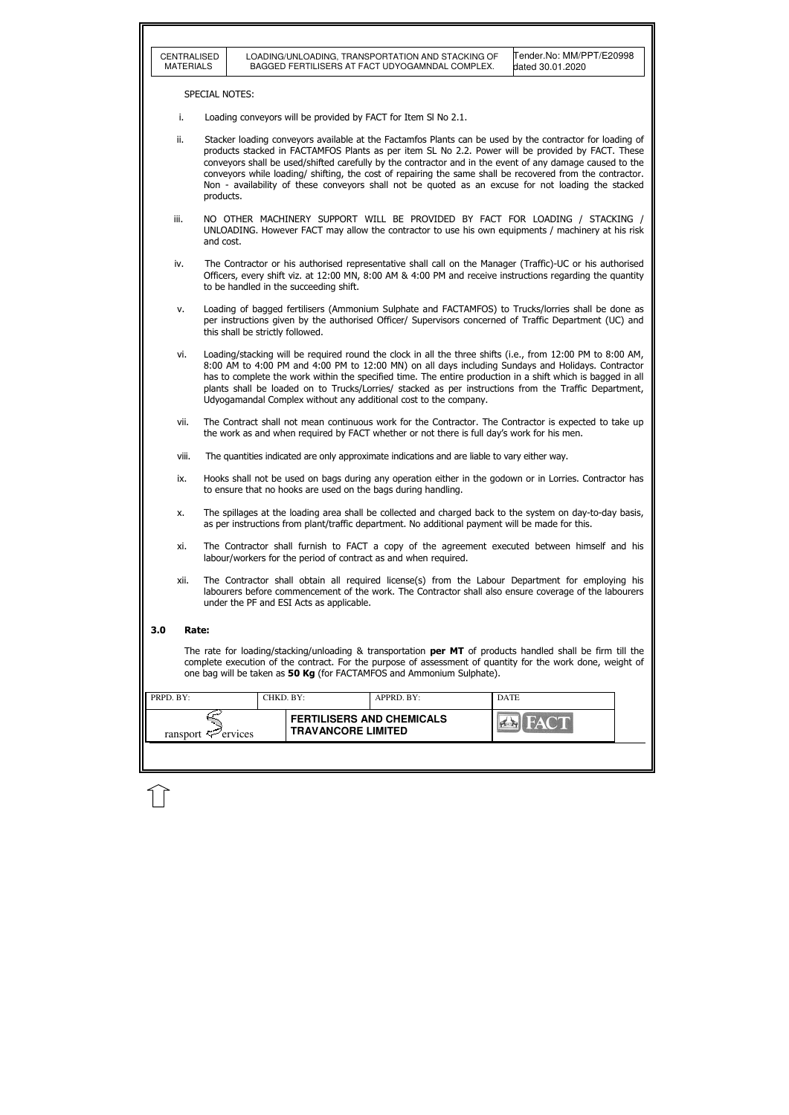|           | CENTRALISED<br><b>MATERIALS</b>                                                                                                                                                                                                                                                                                                                                                                                                                                                                                                                                  |                                                                                                                                                                                                                                                                                                                                                                                                                                                                                                              |                                                                                                                                                                                                 |           |                                        |  | LOADING/UNLOADING, TRANSPORTATION AND STACKING OF<br>BAGGED FERTILISERS AT FACT UDYOGAMNDAL COMPLEX.                                                                                                                  |  |             | Tender.No: MM/PPT/E20998<br>dated 30.01.2020 |  |  |
|-----------|------------------------------------------------------------------------------------------------------------------------------------------------------------------------------------------------------------------------------------------------------------------------------------------------------------------------------------------------------------------------------------------------------------------------------------------------------------------------------------------------------------------------------------------------------------------|--------------------------------------------------------------------------------------------------------------------------------------------------------------------------------------------------------------------------------------------------------------------------------------------------------------------------------------------------------------------------------------------------------------------------------------------------------------------------------------------------------------|-------------------------------------------------------------------------------------------------------------------------------------------------------------------------------------------------|-----------|----------------------------------------|--|-----------------------------------------------------------------------------------------------------------------------------------------------------------------------------------------------------------------------|--|-------------|----------------------------------------------|--|--|
|           |                                                                                                                                                                                                                                                                                                                                                                                                                                                                                                                                                                  | <b>SPECIAL NOTES:</b>                                                                                                                                                                                                                                                                                                                                                                                                                                                                                        |                                                                                                                                                                                                 |           |                                        |  |                                                                                                                                                                                                                       |  |             |                                              |  |  |
|           | i.                                                                                                                                                                                                                                                                                                                                                                                                                                                                                                                                                               |                                                                                                                                                                                                                                                                                                                                                                                                                                                                                                              |                                                                                                                                                                                                 |           |                                        |  | Loading conveyors will be provided by FACT for Item SI No 2.1.                                                                                                                                                        |  |             |                                              |  |  |
|           | Stacker loading conveyors available at the Factamfos Plants can be used by the contractor for loading of<br>ii.<br>products stacked in FACTAMFOS Plants as per item SL No 2.2. Power will be provided by FACT. These<br>conveyors shall be used/shifted carefully by the contractor and in the event of any damage caused to the<br>conveyors while loading/ shifting, the cost of repairing the same shall be recovered from the contractor.<br>Non - availability of these conveyors shall not be quoted as an excuse for not loading the stacked<br>products. |                                                                                                                                                                                                                                                                                                                                                                                                                                                                                                              |                                                                                                                                                                                                 |           |                                        |  |                                                                                                                                                                                                                       |  |             |                                              |  |  |
|           | iii.                                                                                                                                                                                                                                                                                                                                                                                                                                                                                                                                                             |                                                                                                                                                                                                                                                                                                                                                                                                                                                                                                              | NO OTHER MACHINERY SUPPORT WILL BE PROVIDED BY FACT FOR LOADING / STACKING /<br>UNLOADING. However FACT may allow the contractor to use his own equipments / machinery at his risk<br>and cost. |           |                                        |  |                                                                                                                                                                                                                       |  |             |                                              |  |  |
|           | iv.                                                                                                                                                                                                                                                                                                                                                                                                                                                                                                                                                              |                                                                                                                                                                                                                                                                                                                                                                                                                                                                                                              |                                                                                                                                                                                                 |           | to be handled in the succeeding shift. |  | The Contractor or his authorised representative shall call on the Manager (Traffic)-UC or his authorised<br>Officers, every shift viz. at 12:00 MN, 8:00 AM & 4:00 PM and receive instructions regarding the quantity |  |             |                                              |  |  |
|           | v.                                                                                                                                                                                                                                                                                                                                                                                                                                                                                                                                                               |                                                                                                                                                                                                                                                                                                                                                                                                                                                                                                              |                                                                                                                                                                                                 |           | this shall be strictly followed.       |  | Loading of bagged fertilisers (Ammonium Sulphate and FACTAMFOS) to Trucks/lorries shall be done as<br>per instructions given by the authorised Officer/ Supervisors concerned of Traffic Department (UC) and          |  |             |                                              |  |  |
|           | vi.                                                                                                                                                                                                                                                                                                                                                                                                                                                                                                                                                              | Loading/stacking will be required round the clock in all the three shifts (i.e., from 12:00 PM to 8:00 AM,<br>8:00 AM to 4:00 PM and 4:00 PM to 12:00 MN) on all days including Sundays and Holidays. Contractor<br>has to complete the work within the specified time. The entire production in a shift which is bagged in all<br>plants shall be loaded on to Trucks/Lorries/ stacked as per instructions from the Traffic Department,<br>Udyogamandal Complex without any additional cost to the company. |                                                                                                                                                                                                 |           |                                        |  |                                                                                                                                                                                                                       |  |             |                                              |  |  |
|           | vii.                                                                                                                                                                                                                                                                                                                                                                                                                                                                                                                                                             | The Contract shall not mean continuous work for the Contractor. The Contractor is expected to take up<br>the work as and when required by FACT whether or not there is full day's work for his men.                                                                                                                                                                                                                                                                                                          |                                                                                                                                                                                                 |           |                                        |  |                                                                                                                                                                                                                       |  |             |                                              |  |  |
|           | viii.                                                                                                                                                                                                                                                                                                                                                                                                                                                                                                                                                            |                                                                                                                                                                                                                                                                                                                                                                                                                                                                                                              |                                                                                                                                                                                                 |           |                                        |  | The quantities indicated are only approximate indications and are liable to vary either way.                                                                                                                          |  |             |                                              |  |  |
|           | ix.                                                                                                                                                                                                                                                                                                                                                                                                                                                                                                                                                              |                                                                                                                                                                                                                                                                                                                                                                                                                                                                                                              |                                                                                                                                                                                                 |           |                                        |  | Hooks shall not be used on bags during any operation either in the godown or in Lorries. Contractor has<br>to ensure that no hooks are used on the bags during handling.                                              |  |             |                                              |  |  |
|           | x.                                                                                                                                                                                                                                                                                                                                                                                                                                                                                                                                                               |                                                                                                                                                                                                                                                                                                                                                                                                                                                                                                              |                                                                                                                                                                                                 |           |                                        |  | The spillages at the loading area shall be collected and charged back to the system on day-to-day basis,<br>as per instructions from plant/traffic department. No additional payment will be made for this.           |  |             |                                              |  |  |
|           | xi.                                                                                                                                                                                                                                                                                                                                                                                                                                                                                                                                                              |                                                                                                                                                                                                                                                                                                                                                                                                                                                                                                              |                                                                                                                                                                                                 |           |                                        |  | The Contractor shall furnish to FACT a copy of the agreement executed between himself and his<br>labour/workers for the period of contract as and when required.                                                      |  |             |                                              |  |  |
|           | The Contractor shall obtain all required license(s) from the Labour Department for employing his<br>xii.<br>labourers before commencement of the work. The Contractor shall also ensure coverage of the labourers<br>under the PF and ESI Acts as applicable.                                                                                                                                                                                                                                                                                                    |                                                                                                                                                                                                                                                                                                                                                                                                                                                                                                              |                                                                                                                                                                                                 |           |                                        |  |                                                                                                                                                                                                                       |  |             |                                              |  |  |
| 3.0       | Rate:                                                                                                                                                                                                                                                                                                                                                                                                                                                                                                                                                            |                                                                                                                                                                                                                                                                                                                                                                                                                                                                                                              |                                                                                                                                                                                                 |           |                                        |  |                                                                                                                                                                                                                       |  |             |                                              |  |  |
|           | The rate for loading/stacking/unloading & transportation <b>per MT</b> of products handled shall be firm till the<br>complete execution of the contract. For the purpose of assessment of quantity for the work done, weight of<br>one bag will be taken as 50 Kg (for FACTAMFOS and Ammonium Sulphate).                                                                                                                                                                                                                                                         |                                                                                                                                                                                                                                                                                                                                                                                                                                                                                                              |                                                                                                                                                                                                 |           |                                        |  |                                                                                                                                                                                                                       |  |             |                                              |  |  |
| PRPD. BY: |                                                                                                                                                                                                                                                                                                                                                                                                                                                                                                                                                                  |                                                                                                                                                                                                                                                                                                                                                                                                                                                                                                              |                                                                                                                                                                                                 | CHKD. BY: |                                        |  | APPRD. BY:                                                                                                                                                                                                            |  | <b>DATE</b> |                                              |  |  |
|           | ransport $\ddot{\sim}$                                                                                                                                                                                                                                                                                                                                                                                                                                                                                                                                           |                                                                                                                                                                                                                                                                                                                                                                                                                                                                                                              | ervices                                                                                                                                                                                         |           | <b>TRAVANCORE LIMITED</b>              |  | <b>FERTILISERS AND CHEMICALS</b>                                                                                                                                                                                      |  |             |                                              |  |  |
|           |                                                                                                                                                                                                                                                                                                                                                                                                                                                                                                                                                                  |                                                                                                                                                                                                                                                                                                                                                                                                                                                                                                              |                                                                                                                                                                                                 |           |                                        |  |                                                                                                                                                                                                                       |  |             |                                              |  |  |
|           |                                                                                                                                                                                                                                                                                                                                                                                                                                                                                                                                                                  |                                                                                                                                                                                                                                                                                                                                                                                                                                                                                                              |                                                                                                                                                                                                 |           |                                        |  |                                                                                                                                                                                                                       |  |             |                                              |  |  |
|           |                                                                                                                                                                                                                                                                                                                                                                                                                                                                                                                                                                  |                                                                                                                                                                                                                                                                                                                                                                                                                                                                                                              |                                                                                                                                                                                                 |           |                                        |  |                                                                                                                                                                                                                       |  |             |                                              |  |  |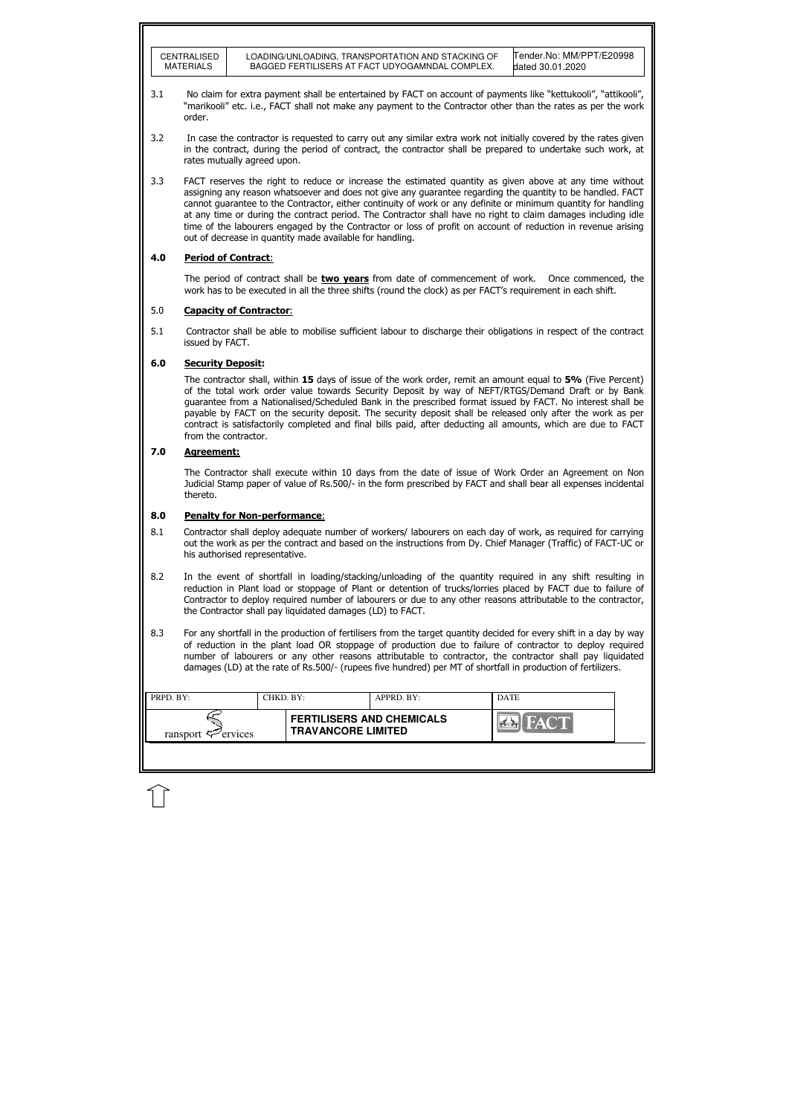| CENTRALISED | LOADING/UNLOADING, TRANSPORTATION AND STACKING OF | Tender.No: MM/PPT/E20998 |
|-------------|---------------------------------------------------|--------------------------|
| MATERIALS   | BAGGED FERTILISERS AT FACT UDYOGAMNDAL COMPLEX.   | dated 30.01.2020         |

| <b>PRPD. BY:</b>               |  | CHKD. BY:                                                     | APPRD. BY: | <b>DATE</b> |  |
|--------------------------------|--|---------------------------------------------------------------|------------|-------------|--|
| ransport $\mathcal{F}$ ervices |  | <b>FERTILISERS AND CHEMICALS</b><br><b>TRAVANCORE LIMITED</b> |            |             |  |
|                                |  |                                                               |            |             |  |

The period of contract shall be **two years** from date of commencement of work. Once commenced, the work has to be executed in all the three shifts (round the clock) as per FACT's requirement in each shift.

### 5.0 Capacity of Contractor:

- 3.1 No claim for extra payment shall be entertained by FACT on account of payments like "kettukooli", "attikooli", "marikooli" etc. i.e., FACT shall not make any payment to the Contractor other than the rates as per the work order.
- 3.2 In case the contractor is requested to carry out any similar extra work not initially covered by the rates given in the contract, during the period of contract, the contractor shall be prepared to undertake such work, at rates mutually agreed upon.
- 3.3 FACT reserves the right to reduce or increase the estimated quantity as given above at any time without assigning any reason whatsoever and does not give any guarantee regarding the quantity to be handled. FACT cannot guarantee to the Contractor, either continuity of work or any definite or minimum quantity for handling at any time or during the contract period. The Contractor shall have no right to claim damages including idle time of the labourers engaged by the Contractor or loss of profit on account of reduction in revenue arising out of decrease in quantity made available for handling.

The contractor shall, within 15 days of issue of the work order, remit an amount equal to 5% (Five Percent) of the total work order value towards Security Deposit by way of NEFT/RTGS/Demand Draft or by Bank guarantee from a Nationalised/Scheduled Bank in the prescribed format issued by FACT. No interest shall be payable by FACT on the security deposit. The security deposit shall be released only after the work as per contract is satisfactorily completed and final bills paid, after deducting all amounts, which are due to FACT from the contractor.

## 4.0 Period of Contract:

5.1 Contractor shall be able to mobilise sufficient labour to discharge their obligations in respect of the contract issued by FACT.

### 6.0 Security Deposit:

## 7.0 Agreement:

The Contractor shall execute within 10 days from the date of issue of Work Order an Agreement on Non Judicial Stamp paper of value of Rs.500/- in the form prescribed by FACT and shall bear all expenses incidental thereto.

#### 8.0 Penalty for Non-performance:

- 8.1 Contractor shall deploy adequate number of workers/ labourers on each day of work, as required for carrying out the work as per the contract and based on the instructions from Dy. Chief Manager (Traffic) of FACT-UC or his authorised representative.
- 8.2 In the event of shortfall in loading/stacking/unloading of the quantity required in any shift resulting in reduction in Plant load or stoppage of Plant or detention of trucks/lorries placed by FACT due to failure of Contractor to deploy required number of labourers or due to any other reasons attributable to the contractor, the Contractor shall pay liquidated damages (LD) to FACT.
- 8.3 For any shortfall in the production of fertilisers from the target quantity decided for every shift in a day by way of reduction in the plant load OR stoppage of production due to failure of contractor to deploy required number of labourers or any other reasons attributable to contractor, the contractor shall pay liquidated damages (LD) at the rate of Rs.500/- (rupees five hundred) per MT of shortfall in production of fertilizers.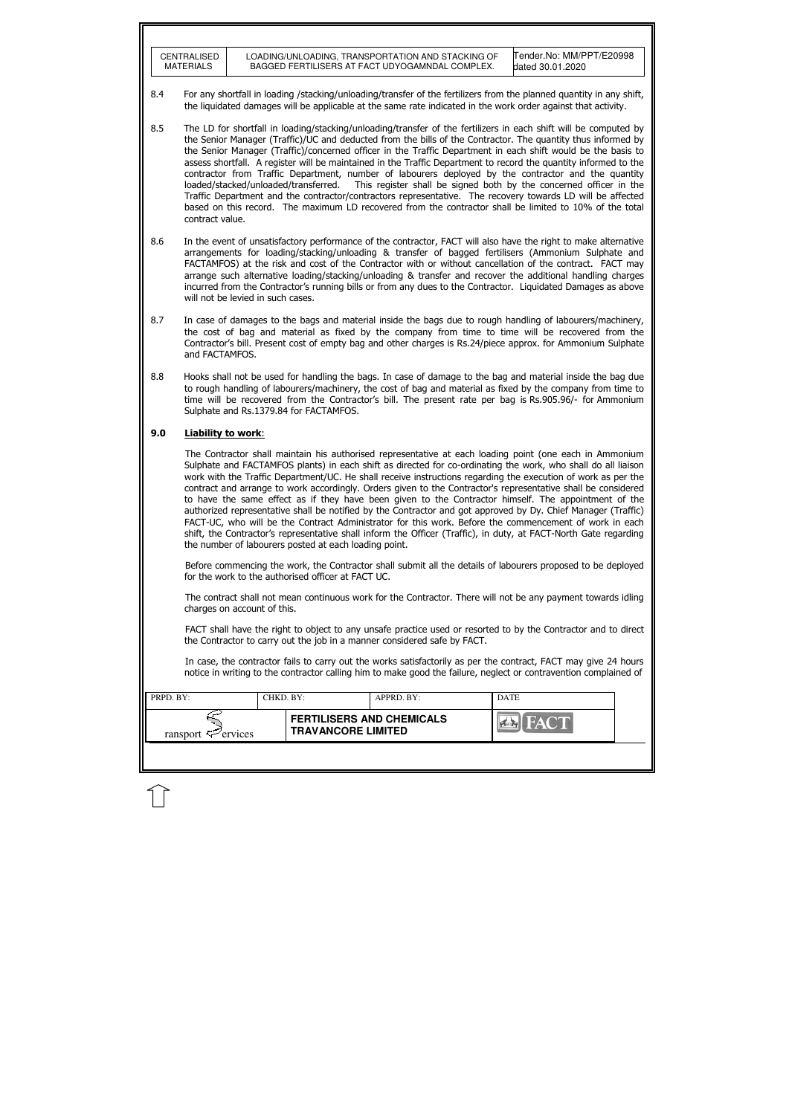|           | <b>CENTRALISED</b><br><b>MATERIALS</b>                                                                                                                                                                                                                                                                                                                                                                                                                                                                                                                                                                                                                                                                                                                                                                                                                                                                                                                                     |                                                                                                                                                                                                                                                                                                                                                                                 |                                                    | LOADING/UNLOADING, TRANSPORTATION AND STACKING OF<br>BAGGED FERTILISERS AT FACT UDYOGAMNDAL COMPLEX. | Tender.No: MM/PPT/E20998<br>dated 30.01.2020                                                                                                                                                                                        |  |  |  |  |
|-----------|----------------------------------------------------------------------------------------------------------------------------------------------------------------------------------------------------------------------------------------------------------------------------------------------------------------------------------------------------------------------------------------------------------------------------------------------------------------------------------------------------------------------------------------------------------------------------------------------------------------------------------------------------------------------------------------------------------------------------------------------------------------------------------------------------------------------------------------------------------------------------------------------------------------------------------------------------------------------------|---------------------------------------------------------------------------------------------------------------------------------------------------------------------------------------------------------------------------------------------------------------------------------------------------------------------------------------------------------------------------------|----------------------------------------------------|------------------------------------------------------------------------------------------------------|-------------------------------------------------------------------------------------------------------------------------------------------------------------------------------------------------------------------------------------|--|--|--|--|
| 8.4       | For any shortfall in loading /stacking/unloading/transfer of the fertilizers from the planned quantity in any shift,<br>the liquidated damages will be applicable at the same rate indicated in the work order against that activity.                                                                                                                                                                                                                                                                                                                                                                                                                                                                                                                                                                                                                                                                                                                                      |                                                                                                                                                                                                                                                                                                                                                                                 |                                                    |                                                                                                      |                                                                                                                                                                                                                                     |  |  |  |  |
| 8.5       | The LD for shortfall in loading/stacking/unloading/transfer of the fertilizers in each shift will be computed by<br>the Senior Manager (Traffic)/UC and deducted from the bills of the Contractor. The quantity thus informed by<br>the Senior Manager (Traffic)/concerned officer in the Traffic Department in each shift would be the basis to<br>assess shortfall. A register will be maintained in the Traffic Department to record the quantity informed to the<br>contractor from Traffic Department, number of labourers deployed by the contractor and the quantity<br>This register shall be signed both by the concerned officer in the<br>loaded/stacked/unloaded/transferred.<br>Traffic Department and the contractor/contractors representative. The recovery towards LD will be affected<br>based on this record. The maximum LD recovered from the contractor shall be limited to 10% of the total<br>contract value.                                      |                                                                                                                                                                                                                                                                                                                                                                                 |                                                    |                                                                                                      |                                                                                                                                                                                                                                     |  |  |  |  |
| 8.6       | In the event of unsatisfactory performance of the contractor, FACT will also have the right to make alternative<br>arrangements for loading/stacking/unloading & transfer of bagged fertilisers (Ammonium Sulphate and<br>FACTAMFOS) at the risk and cost of the Contractor with or without cancellation of the contract. FACT may<br>arrange such alternative loading/stacking/unloading & transfer and recover the additional handling charges<br>incurred from the Contractor's running bills or from any dues to the Contractor. Liguidated Damages as above<br>will not be levied in such cases.                                                                                                                                                                                                                                                                                                                                                                      |                                                                                                                                                                                                                                                                                                                                                                                 |                                                    |                                                                                                      |                                                                                                                                                                                                                                     |  |  |  |  |
| 8.7       | In case of damages to the bags and material inside the bags due to rough handling of labourers/machinery,<br>the cost of bag and material as fixed by the company from time to time will be recovered from the<br>Contractor's bill. Present cost of empty bag and other charges is Rs.24/piece approx. for Ammonium Sulphate<br>and FACTAMFOS.                                                                                                                                                                                                                                                                                                                                                                                                                                                                                                                                                                                                                            |                                                                                                                                                                                                                                                                                                                                                                                 |                                                    |                                                                                                      |                                                                                                                                                                                                                                     |  |  |  |  |
| 8.8       |                                                                                                                                                                                                                                                                                                                                                                                                                                                                                                                                                                                                                                                                                                                                                                                                                                                                                                                                                                            | Hooks shall not be used for handling the bags. In case of damage to the bag and material inside the bag due<br>to rough handling of labourers/machinery, the cost of bag and material as fixed by the company from time to<br>time will be recovered from the Contractor's bill. The present rate per bag is Rs.905.96/- for Ammonium<br>Sulphate and Rs.1379.84 for FACTAMFOS. |                                                    |                                                                                                      |                                                                                                                                                                                                                                     |  |  |  |  |
| 9.0       | <b>Liability to work:</b>                                                                                                                                                                                                                                                                                                                                                                                                                                                                                                                                                                                                                                                                                                                                                                                                                                                                                                                                                  |                                                                                                                                                                                                                                                                                                                                                                                 |                                                    |                                                                                                      |                                                                                                                                                                                                                                     |  |  |  |  |
|           | The Contractor shall maintain his authorised representative at each loading point (one each in Ammonium<br>Sulphate and FACTAMFOS plants) in each shift as directed for co-ordinating the work, who shall do all liaison<br>work with the Traffic Department/UC. He shall receive instructions regarding the execution of work as per the<br>contract and arrange to work accordingly. Orders given to the Contractor's representative shall be considered<br>to have the same effect as if they have been given to the Contractor himself. The appointment of the<br>authorized representative shall be notified by the Contractor and got approved by Dy. Chief Manager (Traffic)<br>FACT-UC, who will be the Contract Administrator for this work. Before the commencement of work in each<br>shift, the Contractor's representative shall inform the Officer (Traffic), in duty, at FACT-North Gate regarding<br>the number of labourers posted at each loading point. |                                                                                                                                                                                                                                                                                                                                                                                 |                                                    |                                                                                                      |                                                                                                                                                                                                                                     |  |  |  |  |
|           |                                                                                                                                                                                                                                                                                                                                                                                                                                                                                                                                                                                                                                                                                                                                                                                                                                                                                                                                                                            |                                                                                                                                                                                                                                                                                                                                                                                 | for the work to the authorised officer at FACT UC. |                                                                                                      | Before commencing the work, the Contractor shall submit all the details of labourers proposed to be deployed                                                                                                                        |  |  |  |  |
|           | The contract shall not mean continuous work for the Contractor. There will not be any payment towards idling<br>charges on account of this.                                                                                                                                                                                                                                                                                                                                                                                                                                                                                                                                                                                                                                                                                                                                                                                                                                |                                                                                                                                                                                                                                                                                                                                                                                 |                                                    |                                                                                                      |                                                                                                                                                                                                                                     |  |  |  |  |
|           | FACT shall have the right to object to any unsafe practice used or resorted to by the Contractor and to direct<br>the Contractor to carry out the job in a manner considered safe by FACT.                                                                                                                                                                                                                                                                                                                                                                                                                                                                                                                                                                                                                                                                                                                                                                                 |                                                                                                                                                                                                                                                                                                                                                                                 |                                                    |                                                                                                      |                                                                                                                                                                                                                                     |  |  |  |  |
|           |                                                                                                                                                                                                                                                                                                                                                                                                                                                                                                                                                                                                                                                                                                                                                                                                                                                                                                                                                                            |                                                                                                                                                                                                                                                                                                                                                                                 |                                                    |                                                                                                      | In case, the contractor fails to carry out the works satisfactorily as per the contract, FACT may give 24 hours<br>notice in writing to the contractor calling him to make good the failure, neglect or contravention complained of |  |  |  |  |
| PRPD. BY: |                                                                                                                                                                                                                                                                                                                                                                                                                                                                                                                                                                                                                                                                                                                                                                                                                                                                                                                                                                            |                                                                                                                                                                                                                                                                                                                                                                                 | CHKD. BY:                                          | APPRD. BY:                                                                                           | <b>DATE</b>                                                                                                                                                                                                                         |  |  |  |  |
|           | ransport $\mathcal{L}$ ervices                                                                                                                                                                                                                                                                                                                                                                                                                                                                                                                                                                                                                                                                                                                                                                                                                                                                                                                                             |                                                                                                                                                                                                                                                                                                                                                                                 | <b>TRAVANCORE LIMITED</b>                          | <b>FERTILISERS AND CHEMICALS</b>                                                                     |                                                                                                                                                                                                                                     |  |  |  |  |
|           |                                                                                                                                                                                                                                                                                                                                                                                                                                                                                                                                                                                                                                                                                                                                                                                                                                                                                                                                                                            |                                                                                                                                                                                                                                                                                                                                                                                 |                                                    |                                                                                                      |                                                                                                                                                                                                                                     |  |  |  |  |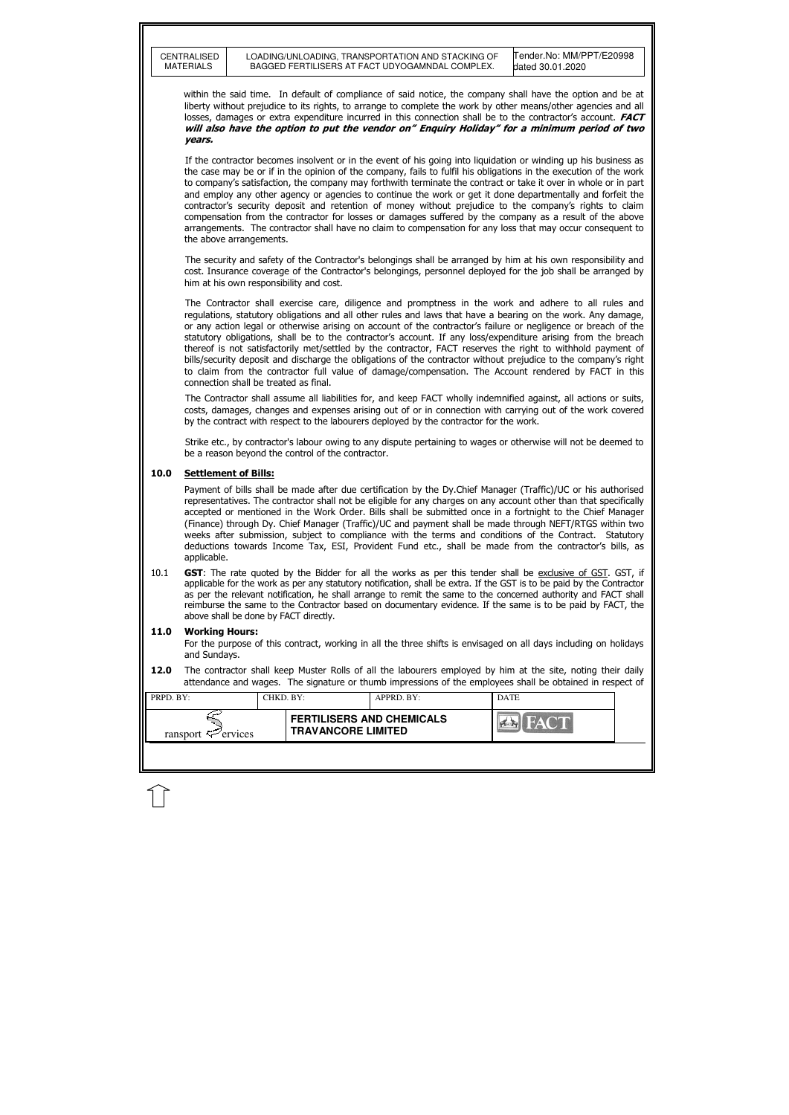|           | <b>CENTRALISED</b><br><b>MATERIALS</b> |           | LOADING/UNLOADING, TRANSPORTATION AND STACKING OF<br>BAGGED FERTILISERS AT FACT UDYOGAMNDAL COMPLEX. |            | Tender.No: MM/PPT/E20998<br>dated 30.01.2020                                                                                                                                                                                                                                                                                                                                                                                                                                                                                                                                                                                                                                                                                                                                                              |  |
|-----------|----------------------------------------|-----------|------------------------------------------------------------------------------------------------------|------------|-----------------------------------------------------------------------------------------------------------------------------------------------------------------------------------------------------------------------------------------------------------------------------------------------------------------------------------------------------------------------------------------------------------------------------------------------------------------------------------------------------------------------------------------------------------------------------------------------------------------------------------------------------------------------------------------------------------------------------------------------------------------------------------------------------------|--|
|           | years.                                 |           |                                                                                                      |            | within the said time. In default of compliance of said notice, the company shall have the option and be at<br>liberty without prejudice to its rights, to arrange to complete the work by other means/other agencies and all<br>losses, damages or extra expenditure incurred in this connection shall be to the contractor's account. <b>FACT</b><br>will also have the option to put the vendor on" Enquiry Holiday" for a minimum period of two                                                                                                                                                                                                                                                                                                                                                        |  |
|           | the above arrangements.                |           |                                                                                                      |            | If the contractor becomes insolvent or in the event of his going into liquidation or winding up his business as<br>the case may be or if in the opinion of the company, fails to fulfil his obligations in the execution of the work<br>to company's satisfaction, the company may forthwith terminate the contract or take it over in whole or in part<br>and employ any other agency or agencies to continue the work or get it done departmentally and forfeit the<br>contractor's security deposit and retention of money without prejudice to the company's rights to claim<br>compensation from the contractor for losses or damages suffered by the company as a result of the above<br>arrangements. The contractor shall have no claim to compensation for any loss that may occur consequent to |  |
|           |                                        |           | him at his own responsibility and cost.                                                              |            | The security and safety of the Contractor's belongings shall be arranged by him at his own responsibility and<br>cost. Insurance coverage of the Contractor's belongings, personnel deployed for the job shall be arranged by                                                                                                                                                                                                                                                                                                                                                                                                                                                                                                                                                                             |  |
|           |                                        |           | connection shall be treated as final.                                                                |            | The Contractor shall exercise care, diligence and promptness in the work and adhere to all rules and<br>regulations, statutory obligations and all other rules and laws that have a bearing on the work. Any damage,<br>or any action legal or otherwise arising on account of the contractor's failure or negligence or breach of the<br>statutory obligations, shall be to the contractor's account. If any loss/expenditure arising from the breach<br>thereof is not satisfactorily met/settled by the contractor, FACT reserves the right to withhold payment of<br>bills/security deposit and discharge the obligations of the contractor without prejudice to the company's right<br>to claim from the contractor full value of damage/compensation. The Account rendered by FACT in this          |  |
|           |                                        |           | by the contract with respect to the labourers deployed by the contractor for the work.               |            | The Contractor shall assume all liabilities for, and keep FACT wholly indemnified against, all actions or suits,<br>costs, damages, changes and expenses arising out of or in connection with carrying out of the work covered                                                                                                                                                                                                                                                                                                                                                                                                                                                                                                                                                                            |  |
|           |                                        |           | be a reason beyond the control of the contractor.                                                    |            | Strike etc., by contractor's labour owing to any dispute pertaining to wages or otherwise will not be deemed to                                                                                                                                                                                                                                                                                                                                                                                                                                                                                                                                                                                                                                                                                           |  |
| 10.0      | <b>Settlement of Bills:</b>            |           |                                                                                                      |            |                                                                                                                                                                                                                                                                                                                                                                                                                                                                                                                                                                                                                                                                                                                                                                                                           |  |
|           | applicable.                            |           |                                                                                                      |            | Payment of bills shall be made after due certification by the Dy.Chief Manager (Traffic)/UC or his authorised<br>representatives. The contractor shall not be eligible for any charges on any account other than that specifically<br>accepted or mentioned in the Work Order. Bills shall be submitted once in a fortnight to the Chief Manager<br>(Finance) through Dy. Chief Manager (Traffic)/UC and payment shall be made through NEFT/RTGS within two<br>weeks after submission, subject to compliance with the terms and conditions of the Contract. Statutory<br>deductions towards Income Tax, ESI, Provident Fund etc., shall be made from the contractor's bills, as                                                                                                                           |  |
| 10.1      |                                        |           | above shall be done by FACT directly.                                                                |            | <b>GST:</b> The rate quoted by the Bidder for all the works as per this tender shall be exclusive of GST. GST, if<br>applicable for the work as per any statutory notification, shall be extra. If the GST is to be paid by the Contractor<br>as per the relevant notification, he shall arrange to remit the same to the concerned authority and FACT shall<br>reimburse the same to the Contractor based on documentary evidence. If the same is to be paid by FACT, the                                                                                                                                                                                                                                                                                                                                |  |
| 11.0      | <b>Working Hours:</b><br>and Sundays.  |           |                                                                                                      |            | For the purpose of this contract, working in all the three shifts is envisaged on all days including on holidays                                                                                                                                                                                                                                                                                                                                                                                                                                                                                                                                                                                                                                                                                          |  |
| 12.0      |                                        |           |                                                                                                      |            | The contractor shall keep Muster Rolls of all the labourers employed by him at the site, noting their daily<br>attendance and wages. The signature or thumb impressions of the employees shall be obtained in respect of                                                                                                                                                                                                                                                                                                                                                                                                                                                                                                                                                                                  |  |
| PRPD. BY: |                                        | CHKD. BY: |                                                                                                      | APPRD. BY: | <b>DATE</b>                                                                                                                                                                                                                                                                                                                                                                                                                                                                                                                                                                                                                                                                                                                                                                                               |  |
|           | ransport $\mathcal{F}$ ervices         |           | <b>FERTILISERS AND CHEMICALS</b><br><b>TRAVANCORE LIMITED</b>                                        |            |                                                                                                                                                                                                                                                                                                                                                                                                                                                                                                                                                                                                                                                                                                                                                                                                           |  |
|           |                                        |           |                                                                                                      |            |                                                                                                                                                                                                                                                                                                                                                                                                                                                                                                                                                                                                                                                                                                                                                                                                           |  |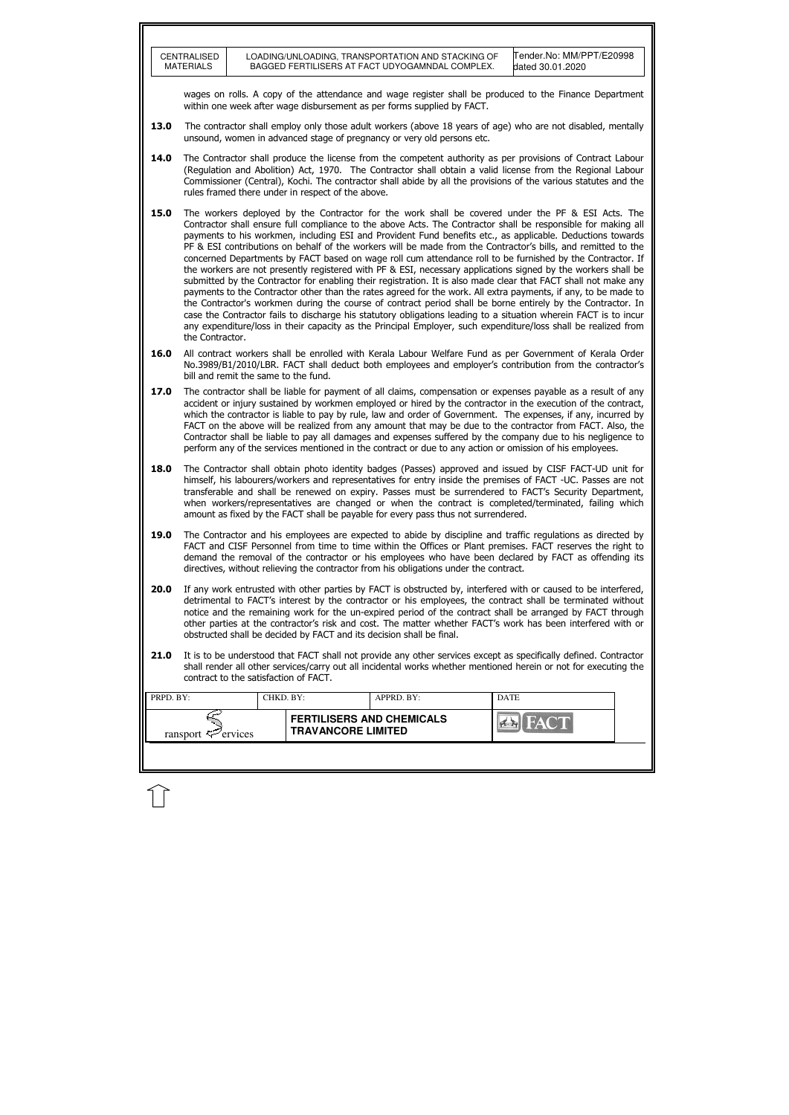|           | <b>CENTRALISED</b><br><b>MATERIALS</b> |           |                                                   | LOADING/UNLOADING, TRANSPORTATION AND STACKING OF<br>BAGGED FERTILISERS AT FACT UDYOGAMNDAL COMPLEX. | Tender.No: MM/PPT/E20998<br>dated 30.01.2020                                                                                                                                                                                                                                                                                                                                                                                                                                                                                                                                                                                                                                                                                                                                                                                                                                                                                                                                                                                                                                                                                                                                                                                                                               |
|-----------|----------------------------------------|-----------|---------------------------------------------------|------------------------------------------------------------------------------------------------------|----------------------------------------------------------------------------------------------------------------------------------------------------------------------------------------------------------------------------------------------------------------------------------------------------------------------------------------------------------------------------------------------------------------------------------------------------------------------------------------------------------------------------------------------------------------------------------------------------------------------------------------------------------------------------------------------------------------------------------------------------------------------------------------------------------------------------------------------------------------------------------------------------------------------------------------------------------------------------------------------------------------------------------------------------------------------------------------------------------------------------------------------------------------------------------------------------------------------------------------------------------------------------|
|           |                                        |           |                                                   | within one week after wage disbursement as per forms supplied by FACT.                               | wages on rolls. A copy of the attendance and wage register shall be produced to the Finance Department                                                                                                                                                                                                                                                                                                                                                                                                                                                                                                                                                                                                                                                                                                                                                                                                                                                                                                                                                                                                                                                                                                                                                                     |
| 13.0      |                                        |           |                                                   | unsound, women in advanced stage of pregnancy or very old persons etc.                               | The contractor shall employ only those adult workers (above 18 years of age) who are not disabled, mentally                                                                                                                                                                                                                                                                                                                                                                                                                                                                                                                                                                                                                                                                                                                                                                                                                                                                                                                                                                                                                                                                                                                                                                |
| 14.0      |                                        |           | rules framed there under in respect of the above. |                                                                                                      | The Contractor shall produce the license from the competent authority as per provisions of Contract Labour<br>(Regulation and Abolition) Act, 1970. The Contractor shall obtain a valid license from the Regional Labour<br>Commissioner (Central), Kochi. The contractor shall abide by all the provisions of the various statutes and the                                                                                                                                                                                                                                                                                                                                                                                                                                                                                                                                                                                                                                                                                                                                                                                                                                                                                                                                |
| 15.0      | the Contractor.                        |           |                                                   |                                                                                                      | The workers deployed by the Contractor for the work shall be covered under the PF & ESI Acts. The<br>Contractor shall ensure full compliance to the above Acts. The Contractor shall be responsible for making all<br>payments to his workmen, including ESI and Provident Fund benefits etc., as applicable. Deductions towards<br>PF & ESI contributions on behalf of the workers will be made from the Contractor's bills, and remitted to the<br>concerned Departments by FACT based on wage roll cum attendance roll to be furnished by the Contractor. If<br>the workers are not presently registered with PF & ESI, necessary applications signed by the workers shall be<br>submitted by the Contractor for enabling their registration. It is also made clear that FACT shall not make any<br>payments to the Contractor other than the rates agreed for the work. All extra payments, if any, to be made to<br>the Contractor's workmen during the course of contract period shall be borne entirely by the Contractor. In<br>case the Contractor fails to discharge his statutory obligations leading to a situation wherein FACT is to incur<br>any expenditure/loss in their capacity as the Principal Employer, such expenditure/loss shall be realized from |
| 16.0      | bill and remit the same to the fund.   |           |                                                   |                                                                                                      | All contract workers shall be enrolled with Kerala Labour Welfare Fund as per Government of Kerala Order<br>No.3989/B1/2010/LBR. FACT shall deduct both employees and employer's contribution from the contractor's                                                                                                                                                                                                                                                                                                                                                                                                                                                                                                                                                                                                                                                                                                                                                                                                                                                                                                                                                                                                                                                        |
| 17.0      |                                        |           |                                                   |                                                                                                      | The contractor shall be liable for payment of all claims, compensation or expenses payable as a result of any<br>accident or injury sustained by workmen employed or hired by the contractor in the execution of the contract,<br>which the contractor is liable to pay by rule, law and order of Government. The expenses, if any, incurred by<br>FACT on the above will be realized from any amount that may be due to the contractor from FACT. Also, the<br>Contractor shall be liable to pay all damages and expenses suffered by the company due to his negligence to<br>perform any of the services mentioned in the contract or due to any action or omission of his employees.                                                                                                                                                                                                                                                                                                                                                                                                                                                                                                                                                                                    |
| 18.0      |                                        |           |                                                   | amount as fixed by the FACT shall be payable for every pass thus not surrendered.                    | The Contractor shall obtain photo identity badges (Passes) approved and issued by CISF FACT-UD unit for<br>himself, his labourers/workers and representatives for entry inside the premises of FACT -UC. Passes are not<br>transferable and shall be renewed on expiry. Passes must be surrendered to FACT's Security Department,<br>when workers/representatives are changed or when the contract is completed/terminated, failing which                                                                                                                                                                                                                                                                                                                                                                                                                                                                                                                                                                                                                                                                                                                                                                                                                                  |
| 19.0      |                                        |           |                                                   | directives, without relieving the contractor from his obligations under the contract.                | The Contractor and his employees are expected to abide by discipline and traffic regulations as directed by<br>FACT and CISF Personnel from time to time within the Offices or Plant premises. FACT reserves the right to<br>demand the removal of the contractor or his employees who have been declared by FACT as offending its                                                                                                                                                                                                                                                                                                                                                                                                                                                                                                                                                                                                                                                                                                                                                                                                                                                                                                                                         |
| 20.0      |                                        |           |                                                   | obstructed shall be decided by FACT and its decision shall be final.                                 | If any work entrusted with other parties by FACT is obstructed by, interfered with or caused to be interfered,<br>detrimental to FACT's interest by the contractor or his employees, the contract shall be terminated without<br>notice and the remaining work for the un-expired period of the contract shall be arranged by FACT through<br>other parties at the contractor's risk and cost. The matter whether FACT's work has been interfered with or                                                                                                                                                                                                                                                                                                                                                                                                                                                                                                                                                                                                                                                                                                                                                                                                                  |
| 21.0      | contract to the satisfaction of FACT.  |           |                                                   |                                                                                                      | It is to be understood that FACT shall not provide any other services except as specifically defined. Contractor<br>shall render all other services/carry out all incidental works whether mentioned herein or not for executing the                                                                                                                                                                                                                                                                                                                                                                                                                                                                                                                                                                                                                                                                                                                                                                                                                                                                                                                                                                                                                                       |
| PRPD. BY: |                                        | CHKD. BY: |                                                   | APPRD. BY:                                                                                           | <b>DATE</b>                                                                                                                                                                                                                                                                                                                                                                                                                                                                                                                                                                                                                                                                                                                                                                                                                                                                                                                                                                                                                                                                                                                                                                                                                                                                |
|           | ransport $\approx$ ervices             |           | <b>TRAVANCORE LIMITED</b>                         | <b>FERTILISERS AND CHEMICALS</b>                                                                     |                                                                                                                                                                                                                                                                                                                                                                                                                                                                                                                                                                                                                                                                                                                                                                                                                                                                                                                                                                                                                                                                                                                                                                                                                                                                            |
|           |                                        |           |                                                   |                                                                                                      |                                                                                                                                                                                                                                                                                                                                                                                                                                                                                                                                                                                                                                                                                                                                                                                                                                                                                                                                                                                                                                                                                                                                                                                                                                                                            |

 $\widehat{\mathbb{U}}$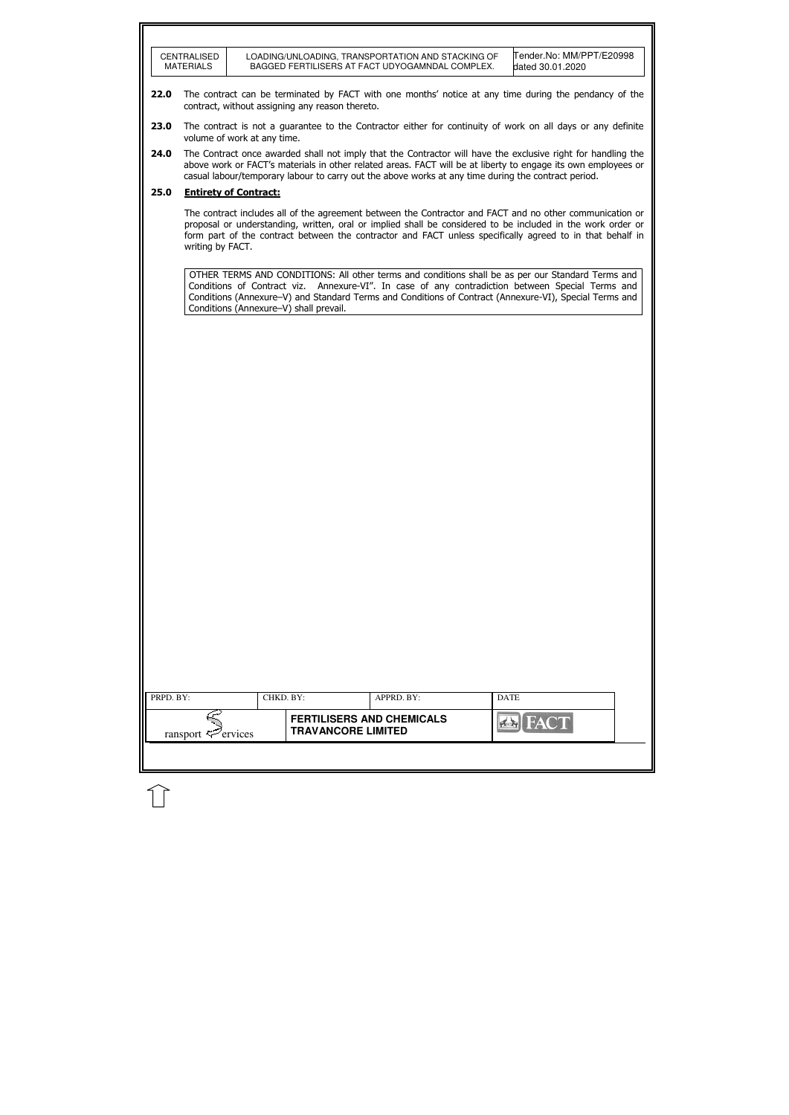|           | <b>CENTRALISED</b><br><b>MATERIALS</b>      |                              |                                                               | LOADING/UNLOADING, TRANSPORTATION AND STACKING OF<br>BAGGED FERTILISERS AT FACT UDYOGAMNDAL COMPLEX. | Tender.No: MM/PPT/E20998<br>dated 30.01.2020                                                                                                                                                                                                                                                                                         |
|-----------|---------------------------------------------|------------------------------|---------------------------------------------------------------|------------------------------------------------------------------------------------------------------|--------------------------------------------------------------------------------------------------------------------------------------------------------------------------------------------------------------------------------------------------------------------------------------------------------------------------------------|
| 22.0      |                                             |                              | contract, without assigning any reason thereto.               |                                                                                                      | The contract can be terminated by FACT with one months' notice at any time during the pendancy of the                                                                                                                                                                                                                                |
| 23.0      |                                             | volume of work at any time.  |                                                               |                                                                                                      | The contract is not a guarantee to the Contractor either for continuity of work on all days or any definite                                                                                                                                                                                                                          |
| 24.0      |                                             |                              |                                                               | casual labour/temporary labour to carry out the above works at any time during the contract period.  | The Contract once awarded shall not imply that the Contractor will have the exclusive right for handling the<br>above work or FACT's materials in other related areas. FACT will be at liberty to engage its own employees or                                                                                                        |
| 25.0      |                                             | <b>Entirety of Contract:</b> |                                                               |                                                                                                      |                                                                                                                                                                                                                                                                                                                                      |
|           | writing by FACT.                            |                              |                                                               |                                                                                                      | The contract includes all of the agreement between the Contractor and FACT and no other communication or<br>proposal or understanding, written, oral or implied shall be considered to be included in the work order or<br>form part of the contract between the contractor and FACT unless specifically agreed to in that behalf in |
|           |                                             |                              | Conditions (Annexure-V) shall prevail.                        |                                                                                                      | OTHER TERMS AND CONDITIONS: All other terms and conditions shall be as per our Standard Terms and<br>Conditions of Contract viz. Annexure-VI". In case of any contradiction between Special Terms and<br>Conditions (Annexure-V) and Standard Terms and Conditions of Contract (Annexure-VI), Special Terms and                      |
|           |                                             |                              |                                                               |                                                                                                      |                                                                                                                                                                                                                                                                                                                                      |
|           |                                             |                              |                                                               |                                                                                                      |                                                                                                                                                                                                                                                                                                                                      |
|           |                                             |                              |                                                               |                                                                                                      |                                                                                                                                                                                                                                                                                                                                      |
|           |                                             |                              |                                                               |                                                                                                      |                                                                                                                                                                                                                                                                                                                                      |
|           |                                             |                              |                                                               |                                                                                                      |                                                                                                                                                                                                                                                                                                                                      |
|           |                                             |                              |                                                               |                                                                                                      |                                                                                                                                                                                                                                                                                                                                      |
|           |                                             |                              |                                                               |                                                                                                      |                                                                                                                                                                                                                                                                                                                                      |
|           |                                             |                              |                                                               |                                                                                                      |                                                                                                                                                                                                                                                                                                                                      |
|           |                                             |                              |                                                               |                                                                                                      |                                                                                                                                                                                                                                                                                                                                      |
|           |                                             |                              |                                                               |                                                                                                      |                                                                                                                                                                                                                                                                                                                                      |
|           |                                             |                              |                                                               |                                                                                                      |                                                                                                                                                                                                                                                                                                                                      |
| PRPD. BY: |                                             |                              | CHKD. BY:                                                     | APPRD. BY:                                                                                           | <b>DATE</b>                                                                                                                                                                                                                                                                                                                          |
|           | ransport $\leq$ <sup><i>P</i></sup> ervices |                              | <b>FERTILISERS AND CHEMICALS</b><br><b>TRAVANCORE LIMITED</b> |                                                                                                      | <b>FACT</b>                                                                                                                                                                                                                                                                                                                          |
|           |                                             |                              |                                                               |                                                                                                      |                                                                                                                                                                                                                                                                                                                                      |

 $\widehat{\mathbb{U}}$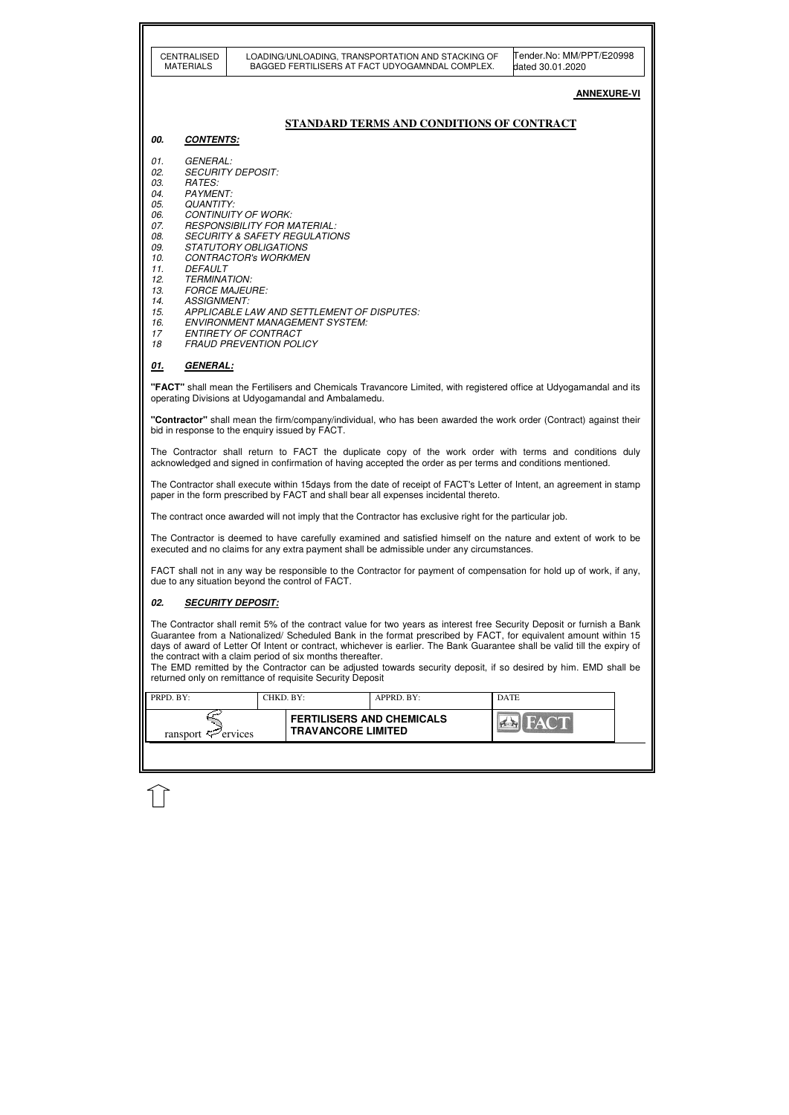| Tender.No: MM/PPT/E20998<br><b>CENTRALISED</b><br>LOADING/UNLOADING, TRANSPORTATION AND STACKING OF<br>BAGGED FERTILISERS AT FACT UDYOGAMNDAL COMPLEX.<br><b>MATERIALS</b><br>dated 30.01.2020<br><b>ANNEXURE-VI</b><br>STANDARD TERMS AND CONDITIONS OF CONTRACT<br>00.<br><b>CONTENTS:</b><br><b>GENERAL:</b><br>01.<br><b>SECURITY DEPOSIT:</b><br>02.<br><b>RATES:</b><br>03.<br><b>PAYMENT:</b><br>04.<br>05.<br><b>QUANTITY:</b><br><b>CONTINUITY OF WORK:</b><br>06.<br>07.<br><b>RESPONSIBILITY FOR MATERIAL:</b><br>08.<br><b>SECURITY &amp; SAFETY REGULATIONS</b><br>09.<br><b>STATUTORY OBLIGATIONS</b><br><b>CONTRACTOR'S WORKMEN</b><br>10.<br>11.<br>DEFAULT<br>12.<br><b>TERMINATION:</b><br>13.<br><b>FORCE MAJEURE:</b><br>14.<br><b>ASSIGNMENT:</b><br>APPLICABLE LAW AND SETTLEMENT OF DISPUTES:<br>15.<br><b>ENVIRONMENT MANAGEMENT SYSTEM:</b><br>16.<br><b>ENTIRETY OF CONTRACT</b><br>17<br><b>FRAUD PREVENTION POLICY</b><br>18<br>GENERAL:<br><u>01.</u><br>"FACT" shall mean the Fertilisers and Chemicals Travancore Limited, with registered office at Udyogamandal and its<br>operating Divisions at Udyogamandal and Ambalamedu.<br>"Contractor" shall mean the firm/company/individual, who has been awarded the work order (Contract) against their<br>bid in response to the enquiry issued by FACT.<br>The Contractor shall return to FACT the duplicate copy of the work order with terms and conditions duly<br>acknowledged and signed in confirmation of having accepted the order as per terms and conditions mentioned.<br>The Contractor shall execute within 15days from the date of receipt of FACT's Letter of Intent, an agreement in stamp<br>paper in the form prescribed by FACT and shall bear all expenses incidental thereto.<br>The contract once awarded will not imply that the Contractor has exclusive right for the particular job.<br>The Contractor is deemed to have carefully examined and satisfied himself on the nature and extent of work to be<br>executed and no claims for any extra payment shall be admissible under any circumstances.<br>FACT shall not in any way be responsible to the Contractor for payment of compensation for hold up of work, if any,<br>due to any situation beyond the control of FACT.<br>02.<br><b>SECURITY DEPOSIT:</b><br>The Contractor shall remit 5% of the contract value for two years as interest free Security Deposit or furnish a Bank<br>Guarantee from a Nationalized/ Scheduled Bank in the format prescribed by FACT, for equivalent amount within 15<br>days of award of Letter Of Intent or contract, whichever is earlier. The Bank Guarantee shall be valid till the expiry of<br>the contract with a claim period of six months thereafter.<br>The EMD remitted by the Contractor can be adjusted towards security deposit, if so desired by him. EMD shall be<br>returned only on remittance of requisite Security Deposit<br>PRPD. BY:<br>CHKD. BY:<br>APPRD. BY:<br><b>DATE</b><br><b>FERTILISERS AND CHEMICALS</b><br><b>TRAVANCORE LIMITED</b><br>ransport $\sharp\mathcal{P}$ ervices |  |  |  |  |
|---------------------------------------------------------------------------------------------------------------------------------------------------------------------------------------------------------------------------------------------------------------------------------------------------------------------------------------------------------------------------------------------------------------------------------------------------------------------------------------------------------------------------------------------------------------------------------------------------------------------------------------------------------------------------------------------------------------------------------------------------------------------------------------------------------------------------------------------------------------------------------------------------------------------------------------------------------------------------------------------------------------------------------------------------------------------------------------------------------------------------------------------------------------------------------------------------------------------------------------------------------------------------------------------------------------------------------------------------------------------------------------------------------------------------------------------------------------------------------------------------------------------------------------------------------------------------------------------------------------------------------------------------------------------------------------------------------------------------------------------------------------------------------------------------------------------------------------------------------------------------------------------------------------------------------------------------------------------------------------------------------------------------------------------------------------------------------------------------------------------------------------------------------------------------------------------------------------------------------------------------------------------------------------------------------------------------------------------------------------------------------------------------------------------------------------------------------------------------------------------------------------------------------------------------------------------------------------------------------------------------------------------------------------------------------------------------------------------------------------------------------------------------------------------------------------------------------------------------------------------------------------------------------------------------------------------------------------------------------------------------------------------------------------------------------------------------------------------------------------------|--|--|--|--|
|                                                                                                                                                                                                                                                                                                                                                                                                                                                                                                                                                                                                                                                                                                                                                                                                                                                                                                                                                                                                                                                                                                                                                                                                                                                                                                                                                                                                                                                                                                                                                                                                                                                                                                                                                                                                                                                                                                                                                                                                                                                                                                                                                                                                                                                                                                                                                                                                                                                                                                                                                                                                                                                                                                                                                                                                                                                                                                                                                                                                                                                                                                                     |  |  |  |  |
|                                                                                                                                                                                                                                                                                                                                                                                                                                                                                                                                                                                                                                                                                                                                                                                                                                                                                                                                                                                                                                                                                                                                                                                                                                                                                                                                                                                                                                                                                                                                                                                                                                                                                                                                                                                                                                                                                                                                                                                                                                                                                                                                                                                                                                                                                                                                                                                                                                                                                                                                                                                                                                                                                                                                                                                                                                                                                                                                                                                                                                                                                                                     |  |  |  |  |
|                                                                                                                                                                                                                                                                                                                                                                                                                                                                                                                                                                                                                                                                                                                                                                                                                                                                                                                                                                                                                                                                                                                                                                                                                                                                                                                                                                                                                                                                                                                                                                                                                                                                                                                                                                                                                                                                                                                                                                                                                                                                                                                                                                                                                                                                                                                                                                                                                                                                                                                                                                                                                                                                                                                                                                                                                                                                                                                                                                                                                                                                                                                     |  |  |  |  |
|                                                                                                                                                                                                                                                                                                                                                                                                                                                                                                                                                                                                                                                                                                                                                                                                                                                                                                                                                                                                                                                                                                                                                                                                                                                                                                                                                                                                                                                                                                                                                                                                                                                                                                                                                                                                                                                                                                                                                                                                                                                                                                                                                                                                                                                                                                                                                                                                                                                                                                                                                                                                                                                                                                                                                                                                                                                                                                                                                                                                                                                                                                                     |  |  |  |  |
|                                                                                                                                                                                                                                                                                                                                                                                                                                                                                                                                                                                                                                                                                                                                                                                                                                                                                                                                                                                                                                                                                                                                                                                                                                                                                                                                                                                                                                                                                                                                                                                                                                                                                                                                                                                                                                                                                                                                                                                                                                                                                                                                                                                                                                                                                                                                                                                                                                                                                                                                                                                                                                                                                                                                                                                                                                                                                                                                                                                                                                                                                                                     |  |  |  |  |
|                                                                                                                                                                                                                                                                                                                                                                                                                                                                                                                                                                                                                                                                                                                                                                                                                                                                                                                                                                                                                                                                                                                                                                                                                                                                                                                                                                                                                                                                                                                                                                                                                                                                                                                                                                                                                                                                                                                                                                                                                                                                                                                                                                                                                                                                                                                                                                                                                                                                                                                                                                                                                                                                                                                                                                                                                                                                                                                                                                                                                                                                                                                     |  |  |  |  |
|                                                                                                                                                                                                                                                                                                                                                                                                                                                                                                                                                                                                                                                                                                                                                                                                                                                                                                                                                                                                                                                                                                                                                                                                                                                                                                                                                                                                                                                                                                                                                                                                                                                                                                                                                                                                                                                                                                                                                                                                                                                                                                                                                                                                                                                                                                                                                                                                                                                                                                                                                                                                                                                                                                                                                                                                                                                                                                                                                                                                                                                                                                                     |  |  |  |  |
|                                                                                                                                                                                                                                                                                                                                                                                                                                                                                                                                                                                                                                                                                                                                                                                                                                                                                                                                                                                                                                                                                                                                                                                                                                                                                                                                                                                                                                                                                                                                                                                                                                                                                                                                                                                                                                                                                                                                                                                                                                                                                                                                                                                                                                                                                                                                                                                                                                                                                                                                                                                                                                                                                                                                                                                                                                                                                                                                                                                                                                                                                                                     |  |  |  |  |
|                                                                                                                                                                                                                                                                                                                                                                                                                                                                                                                                                                                                                                                                                                                                                                                                                                                                                                                                                                                                                                                                                                                                                                                                                                                                                                                                                                                                                                                                                                                                                                                                                                                                                                                                                                                                                                                                                                                                                                                                                                                                                                                                                                                                                                                                                                                                                                                                                                                                                                                                                                                                                                                                                                                                                                                                                                                                                                                                                                                                                                                                                                                     |  |  |  |  |
|                                                                                                                                                                                                                                                                                                                                                                                                                                                                                                                                                                                                                                                                                                                                                                                                                                                                                                                                                                                                                                                                                                                                                                                                                                                                                                                                                                                                                                                                                                                                                                                                                                                                                                                                                                                                                                                                                                                                                                                                                                                                                                                                                                                                                                                                                                                                                                                                                                                                                                                                                                                                                                                                                                                                                                                                                                                                                                                                                                                                                                                                                                                     |  |  |  |  |
|                                                                                                                                                                                                                                                                                                                                                                                                                                                                                                                                                                                                                                                                                                                                                                                                                                                                                                                                                                                                                                                                                                                                                                                                                                                                                                                                                                                                                                                                                                                                                                                                                                                                                                                                                                                                                                                                                                                                                                                                                                                                                                                                                                                                                                                                                                                                                                                                                                                                                                                                                                                                                                                                                                                                                                                                                                                                                                                                                                                                                                                                                                                     |  |  |  |  |
|                                                                                                                                                                                                                                                                                                                                                                                                                                                                                                                                                                                                                                                                                                                                                                                                                                                                                                                                                                                                                                                                                                                                                                                                                                                                                                                                                                                                                                                                                                                                                                                                                                                                                                                                                                                                                                                                                                                                                                                                                                                                                                                                                                                                                                                                                                                                                                                                                                                                                                                                                                                                                                                                                                                                                                                                                                                                                                                                                                                                                                                                                                                     |  |  |  |  |
|                                                                                                                                                                                                                                                                                                                                                                                                                                                                                                                                                                                                                                                                                                                                                                                                                                                                                                                                                                                                                                                                                                                                                                                                                                                                                                                                                                                                                                                                                                                                                                                                                                                                                                                                                                                                                                                                                                                                                                                                                                                                                                                                                                                                                                                                                                                                                                                                                                                                                                                                                                                                                                                                                                                                                                                                                                                                                                                                                                                                                                                                                                                     |  |  |  |  |
|                                                                                                                                                                                                                                                                                                                                                                                                                                                                                                                                                                                                                                                                                                                                                                                                                                                                                                                                                                                                                                                                                                                                                                                                                                                                                                                                                                                                                                                                                                                                                                                                                                                                                                                                                                                                                                                                                                                                                                                                                                                                                                                                                                                                                                                                                                                                                                                                                                                                                                                                                                                                                                                                                                                                                                                                                                                                                                                                                                                                                                                                                                                     |  |  |  |  |
|                                                                                                                                                                                                                                                                                                                                                                                                                                                                                                                                                                                                                                                                                                                                                                                                                                                                                                                                                                                                                                                                                                                                                                                                                                                                                                                                                                                                                                                                                                                                                                                                                                                                                                                                                                                                                                                                                                                                                                                                                                                                                                                                                                                                                                                                                                                                                                                                                                                                                                                                                                                                                                                                                                                                                                                                                                                                                                                                                                                                                                                                                                                     |  |  |  |  |
|                                                                                                                                                                                                                                                                                                                                                                                                                                                                                                                                                                                                                                                                                                                                                                                                                                                                                                                                                                                                                                                                                                                                                                                                                                                                                                                                                                                                                                                                                                                                                                                                                                                                                                                                                                                                                                                                                                                                                                                                                                                                                                                                                                                                                                                                                                                                                                                                                                                                                                                                                                                                                                                                                                                                                                                                                                                                                                                                                                                                                                                                                                                     |  |  |  |  |
|                                                                                                                                                                                                                                                                                                                                                                                                                                                                                                                                                                                                                                                                                                                                                                                                                                                                                                                                                                                                                                                                                                                                                                                                                                                                                                                                                                                                                                                                                                                                                                                                                                                                                                                                                                                                                                                                                                                                                                                                                                                                                                                                                                                                                                                                                                                                                                                                                                                                                                                                                                                                                                                                                                                                                                                                                                                                                                                                                                                                                                                                                                                     |  |  |  |  |
|                                                                                                                                                                                                                                                                                                                                                                                                                                                                                                                                                                                                                                                                                                                                                                                                                                                                                                                                                                                                                                                                                                                                                                                                                                                                                                                                                                                                                                                                                                                                                                                                                                                                                                                                                                                                                                                                                                                                                                                                                                                                                                                                                                                                                                                                                                                                                                                                                                                                                                                                                                                                                                                                                                                                                                                                                                                                                                                                                                                                                                                                                                                     |  |  |  |  |
|                                                                                                                                                                                                                                                                                                                                                                                                                                                                                                                                                                                                                                                                                                                                                                                                                                                                                                                                                                                                                                                                                                                                                                                                                                                                                                                                                                                                                                                                                                                                                                                                                                                                                                                                                                                                                                                                                                                                                                                                                                                                                                                                                                                                                                                                                                                                                                                                                                                                                                                                                                                                                                                                                                                                                                                                                                                                                                                                                                                                                                                                                                                     |  |  |  |  |

 $\bigcup$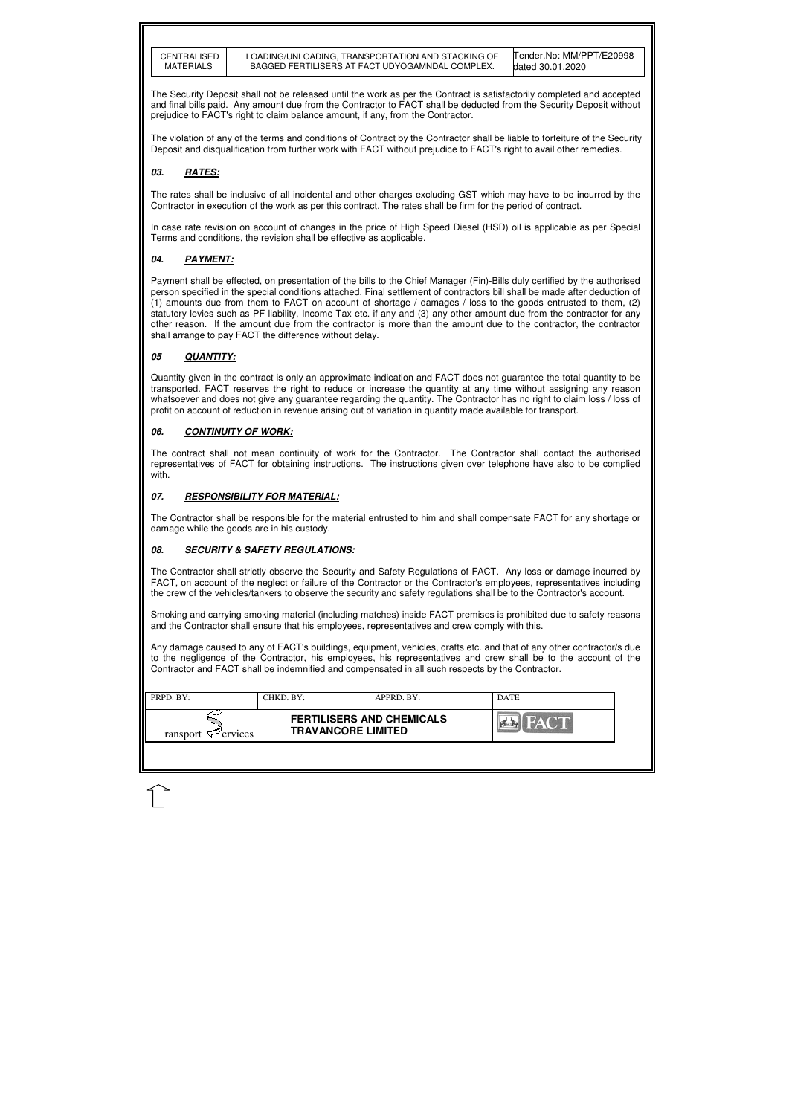| CENTRALISED |
|-------------|
| MATERIALS   |

| PRPD. BY:                      | CHKD. BY: |                                                               | APPRD. BY: | <b>DATE</b> |
|--------------------------------|-----------|---------------------------------------------------------------|------------|-------------|
| ransport $\mathcal{F}$ ervices |           | <b>FERTILISERS AND CHEMICALS</b><br><b>TRAVANCORE LIMITED</b> |            |             |
|                                |           |                                                               |            |             |

The Security Deposit shall not be released until the work as per the Contract is satisfactorily completed and accepted and final bills paid. Any amount due from the Contractor to FACT shall be deducted from the Security Deposit without prejudice to FACT's right to claim balance amount, if any, from the Contractor.

The violation of any of the terms and conditions of Contract by the Contractor shall be liable to forfeiture of the Security Deposit and disqualification from further work with FACT without prejudice to FACT's right to avail other remedies.

# **03. RATES:**

The rates shall be inclusive of all incidental and other charges excluding GST which may have to be incurred by the Contractor in execution of the work as per this contract. The rates shall be firm for the period of contract.

In case rate revision on account of changes in the price of High Speed Diesel (HSD) oil is applicable as per Special Terms and conditions, the revision shall be effective as applicable.

## **04. PAYMENT:**

Payment shall be effected, on presentation of the bills to the Chief Manager (Fin)-Bills duly certified by the authorised person specified in the special conditions attached. Final settlement of contractors bill shall be made after deduction of (1) amounts due from them to FACT on account of shortage / damages / loss to the goods entrusted to them, (2) statutory levies such as PF liability, Income Tax etc. if any and (3) any other amount due from the contractor for any other reason. If the amount due from the contractor is more than the amount due to the contractor, the contractor shall arrange to pay FACT the difference without delay.

### **05 QUANTITY:**

Quantity given in the contract is only an approximate indication and FACT does not guarantee the total quantity to be transported. FACT reserves the right to reduce or increase the quantity at any time without assigning any reason whatsoever and does not give any guarantee regarding the quantity. The Contractor has no right to claim loss / loss of profit on account of reduction in revenue arising out of variation in quantity made available for transport.

## **06. CONTINUITY OF WORK:**

The contract shall not mean continuity of work for the Contractor. The Contractor shall contact the authorised representatives of FACT for obtaining instructions. The instructions given over telephone have also to be complied with.

## **07. RESPONSIBILITY FOR MATERIAL:**

The Contractor shall be responsible for the material entrusted to him and shall compensate FACT for any shortage or damage while the goods are in his custody.

#### **08. SECURITY & SAFETY REGULATIONS:**

The Contractor shall strictly observe the Security and Safety Regulations of FACT. Any loss or damage incurred by FACT, on account of the neglect or failure of the Contractor or the Contractor's employees, representatives including the crew of the vehicles/tankers to observe the security and safety regulations shall be to the Contractor's account.

Smoking and carrying smoking material (including matches) inside FACT premises is prohibited due to safety reasons and the Contractor shall ensure that his employees, representatives and crew comply with this.

Any damage caused to any of FACT's buildings, equipment, vehicles, crafts etc. and that of any other contractor/s due to the negligence of the Contractor, his employees, his representatives and crew shall be to the account of the Contractor and FACT shall be indemnified and compensated in all such respects by the Contractor.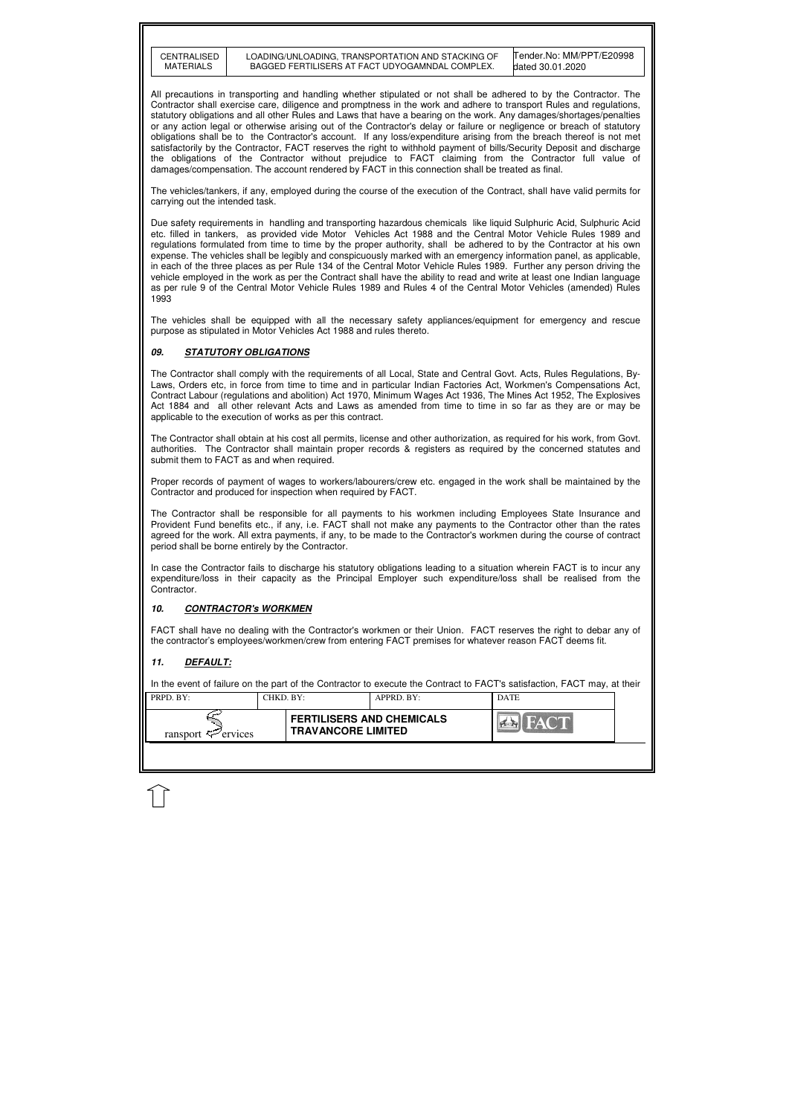| CENTRALISED      |
|------------------|
|                  |
| <b>MATERIALS</b> |
|                  |

| PRPD. BY:                      | CHKD. BY: |                                                               | APPRD. BY: | <b>DATE</b> |  |
|--------------------------------|-----------|---------------------------------------------------------------|------------|-------------|--|
| ransport $\mathcal{F}$ ervices |           | <b>FERTILISERS AND CHEMICALS</b><br><b>TRAVANCORE LIMITED</b> |            | <b>FACT</b> |  |
|                                |           |                                                               |            |             |  |

Tender.No: MM/PPT/E20998 dated 30.01.2020

All precautions in transporting and handling whether stipulated or not shall be adhered to by the Contractor. The Contractor shall exercise care, diligence and promptness in the work and adhere to transport Rules and regulations, statutory obligations and all other Rules and Laws that have a bearing on the work. Any damages/shortages/penalties or any action legal or otherwise arising out of the Contractor's delay or failure or negligence or breach of statutory obligations shall be to the Contractor's account. If any loss/expenditure arising from the breach thereof is not met satisfactorily by the Contractor, FACT reserves the right to withhold payment of bills/Security Deposit and discharge the obligations of the Contractor without prejudice to FACT claiming from the Contractor full value of damages/compensation. The account rendered by FACT in this connection shall be treated as final.

The vehicles/tankers, if any, employed during the course of the execution of the Contract, shall have valid permits for carrying out the intended task.

Due safety requirements in handling and transporting hazardous chemicals like liquid Sulphuric Acid, Sulphuric Acid etc. filled in tankers, as provided vide Motor Vehicles Act 1988 and the Central Motor Vehicle Rules 1989 and regulations formulated from time to time by the proper authority, shall be adhered to by the Contractor at his own expense. The vehicles shall be legibly and conspicuously marked with an emergency information panel, as applicable, in each of the three places as per Rule 134 of the Central Motor Vehicle Rules 1989. Further any person driving the vehicle employed in the work as per the Contract shall have the ability to read and write at least one Indian language as per rule 9 of the Central Motor Vehicle Rules 1989 and Rules 4 of the Central Motor Vehicles (amended) Rules 1993

The vehicles shall be equipped with all the necessary safety appliances/equipment for emergency and rescue purpose as stipulated in Motor Vehicles Act 1988 and rules thereto.

#### **09. STATUTORY OBLIGATIONS**

The Contractor shall comply with the requirements of all Local, State and Central Govt. Acts, Rules Regulations, By-Laws, Orders etc, in force from time to time and in particular Indian Factories Act, Workmen's Compensations Act, Contract Labour (regulations and abolition) Act 1970, Minimum Wages Act 1936, The Mines Act 1952, The Explosives Act 1884 and all other relevant Acts and Laws as amended from time to time in so far as they are or may be applicable to the execution of works as per this contract.

The Contractor shall obtain at his cost all permits, license and other authorization, as required for his work, from Govt. authorities. The Contractor shall maintain proper records & registers as required by the concerned statutes and submit them to FACT as and when required.

Proper records of payment of wages to workers/labourers/crew etc. engaged in the work shall be maintained by the Contractor and produced for inspection when required by FACT.

The Contractor shall be responsible for all payments to his workmen including Employees State Insurance and Provident Fund benefits etc., if any, i.e. FACT shall not make any payments to the Contractor other than the rates agreed for the work. All extra payments, if any, to be made to the Contractor's workmen during the course of contract period shall be borne entirely by the Contractor.

In case the Contractor fails to discharge his statutory obligations leading to a situation wherein FACT is to incur any expenditure/loss in their capacity as the Principal Employer such expenditure/loss shall be realised from the Contractor.

#### **10. CONTRACTOR's WORKMEN**

FACT shall have no dealing with the Contractor's workmen or their Union. FACT reserves the right to debar any of the contractor's employees/workmen/crew from entering FACT premises for whatever reason FACT deems fit.

# **11. DEFAULT:**

In the event of failure on the part of the Contractor to execute the Contract to FACT's satisfaction, FACT may, at their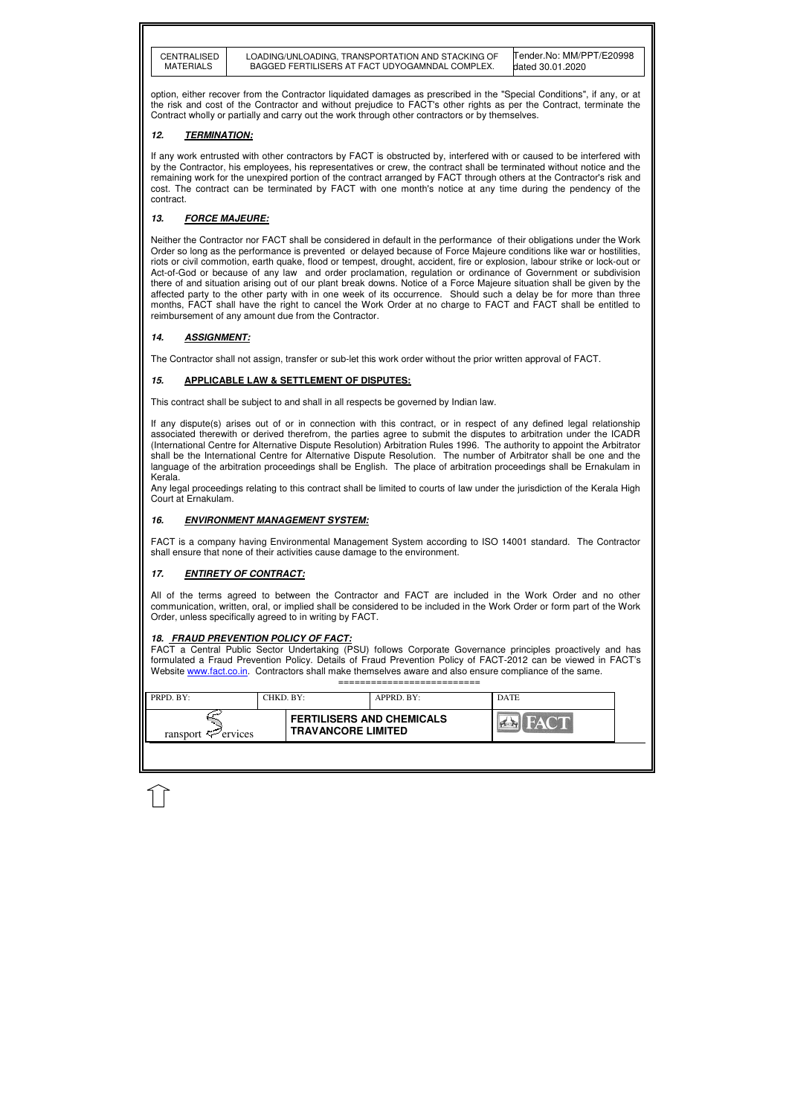| <b>CENTRALISED</b> |  |
|--------------------|--|
| MATERIALS          |  |
|                    |  |

| $\blacksquare$ PRPD. BY:       | CHKD. BY:                                                     | APPRD. BY: | <b>DATE</b> |  |
|--------------------------------|---------------------------------------------------------------|------------|-------------|--|
| ransport $\mathcal{F}$ ervices | <b>FERTILISERS AND CHEMICALS</b><br><b>TRAVANCORE LIMITED</b> |            |             |  |
|                                |                                                               |            |             |  |

Tender.No: MM/PPT/E20998 dated 30.01.2020

option, either recover from the Contractor liquidated damages as prescribed in the "Special Conditions", if any, or at the risk and cost of the Contractor and without prejudice to FACT's other rights as per the Contract, terminate the Contract wholly or partially and carry out the work through other contractors or by themselves.

## **12. TERMINATION:**

If any work entrusted with other contractors by FACT is obstructed by, interfered with or caused to be interfered with by the Contractor, his employees, his representatives or crew, the contract shall be terminated without notice and the remaining work for the unexpired portion of the contract arranged by FACT through others at the Contractor's risk and cost. The contract can be terminated by FACT with one month's notice at any time during the pendency of the contract.

# **13. FORCE MAJEURE:**

Neither the Contractor nor FACT shall be considered in default in the performance of their obligations under the Work Order so long as the performance is prevented or delayed because of Force Majeure conditions like war or hostilities, riots or civil commotion, earth quake, flood or tempest, drought, accident, fire or explosion, labour strike or lock-out or Act-of-God or because of any law and order proclamation, regulation or ordinance of Government or subdivision there of and situation arising out of our plant break downs. Notice of a Force Majeure situation shall be given by the affected party to the other party with in one week of its occurrence. Should such a delay be for more than three months, FACT shall have the right to cancel the Work Order at no charge to FACT and FACT shall be entitled to reimbursement of any amount due from the Contractor.

## **14. ASSIGNMENT:**

The Contractor shall not assign, transfer or sub-let this work order without the prior written approval of FACT.

# **15. APPLICABLE LAW & SETTLEMENT OF DISPUTES:**

This contract shall be subject to and shall in all respects be governed by Indian law.

If any dispute(s) arises out of or in connection with this contract, or in respect of any defined legal relationship associated therewith or derived therefrom, the parties agree to submit the disputes to arbitration under the ICADR (International Centre for Alternative Dispute Resolution) Arbitration Rules 1996. The authority to appoint the Arbitrator shall be the International Centre for Alternative Dispute Resolution. The number of Arbitrator shall be one and the language of the arbitration proceedings shall be English. The place of arbitration proceedings shall be Ernakulam in Kerala.

Any legal proceedings relating to this contract shall be limited to courts of law under the jurisdiction of the Kerala High Court at Ernakulam.

## **16. ENVIRONMENT MANAGEMENT SYSTEM:**

FACT is a company having Environmental Management System according to ISO 14001 standard. The Contractor shall ensure that none of their activities cause damage to the environment.

# **17. ENTIRETY OF CONTRACT:**

All of the terms agreed to between the Contractor and FACT are included in the Work Order and no other communication, written, oral, or implied shall be considered to be included in the Work Order or form part of the Work Order, unless specifically agreed to in writing by FACT.

## **18. FRAUD PREVENTION POLICY OF FACT:**

FACT a Central Public Sector Undertaking (PSU) follows Corporate Governance principles proactively and has formulated a Fraud Prevention Policy. Details of Fraud Prevention Policy of FACT-2012 can be viewed in FACT's Website www.fact.co.in. Contractors shall make themselves aware and also ensure compliance of the same. ==========================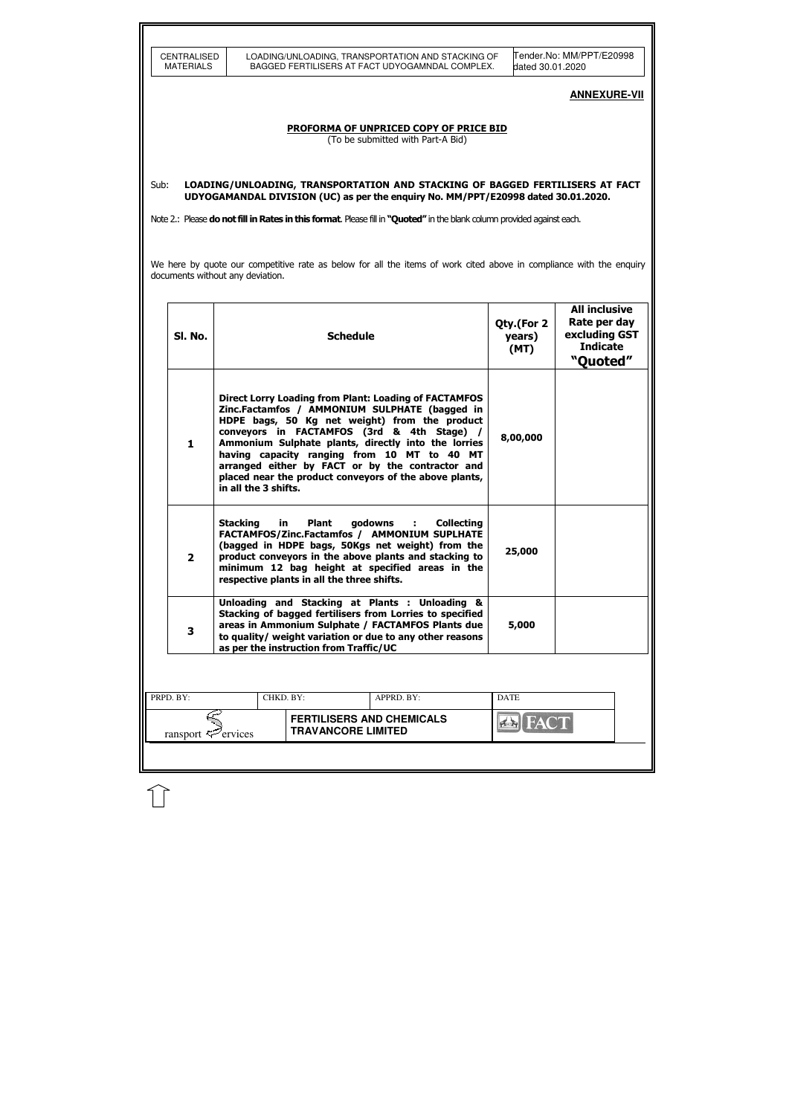| <b>CENTRALISED</b><br><b>MATERIALS</b> |                                  |                                                        | LOADING/UNLOADING, TRANSPORTATION AND STACKING OF<br>BAGGED FERTILISERS AT FACT UDYOGAMNDAL COMPLEX.                                                                                                                                                                                                                                                                                                                             |                              | lTender.No: MM/PPT/E20998                                                            |
|----------------------------------------|----------------------------------|--------------------------------------------------------|----------------------------------------------------------------------------------------------------------------------------------------------------------------------------------------------------------------------------------------------------------------------------------------------------------------------------------------------------------------------------------------------------------------------------------|------------------------------|--------------------------------------------------------------------------------------|
|                                        |                                  |                                                        |                                                                                                                                                                                                                                                                                                                                                                                                                                  | dated 30.01.2020             | <b>ANNEXURE-VII</b>                                                                  |
|                                        |                                  |                                                        | PROFORMA OF UNPRICED COPY OF PRICE BID<br>(To be submitted with Part-A Bid)                                                                                                                                                                                                                                                                                                                                                      |                              |                                                                                      |
| Sub:                                   |                                  |                                                        | LOADING/UNLOADING, TRANSPORTATION AND STACKING OF BAGGED FERTILISERS AT FACT<br>UDYOGAMANDAL DIVISION (UC) as per the enquiry No. MM/PPT/E20998 dated 30.01.2020.<br>Note 2.: Please do not fill in Rates in this format. Please fill in "Quoted" in the blank column provided against each.                                                                                                                                     |                              |                                                                                      |
|                                        |                                  |                                                        | We here by quote our competitive rate as below for all the items of work cited above in compliance with the enquiry                                                                                                                                                                                                                                                                                                              |                              |                                                                                      |
|                                        | documents without any deviation. |                                                        |                                                                                                                                                                                                                                                                                                                                                                                                                                  |                              |                                                                                      |
| SI. No.                                |                                  | <b>Schedule</b>                                        |                                                                                                                                                                                                                                                                                                                                                                                                                                  | Qty.(For 2<br>years)<br>(MT) | <b>All inclusive</b><br>Rate per day<br>excluding GST<br><b>Indicate</b><br>"Quoted" |
| 1                                      | in all the 3 shifts.             |                                                        | <b>Direct Lorry Loading from Plant: Loading of FACTAMFOS</b><br>Zinc.Factamfos / AMMONIUM SULPHATE (bagged in<br>HDPE bags, 50 Kg net weight) from the product<br>conveyors in FACTAMFOS (3rd & 4th Stage) /<br>Ammonium Sulphate plants, directly into the lorries<br>having capacity ranging from 10 MT to 40 MT<br>arranged either by FACT or by the contractor and<br>placed near the product conveyors of the above plants, | 8,00,000                     |                                                                                      |
| $\overline{2}$                         | <b>Stacking</b>                  | in Plant<br>respective plants in all the three shifts. | godowns : Collecting<br>FACTAMFOS/Zinc.Factamfos / AMMONIUM SUPLHATE<br>(bagged in HDPE bags, 50Kgs net weight) from the<br>product conveyors in the above plants and stacking to<br>minimum 12 bag height at specified areas in the                                                                                                                                                                                             | 25,000                       |                                                                                      |
| 3                                      |                                  | as per the instruction from Traffic/UC                 | Unloading and Stacking at Plants : Unloading &<br>Stacking of bagged fertilisers from Lorries to specified<br>areas in Ammonium Sulphate / FACTAMFOS Plants due<br>to quality/ weight variation or due to any other reasons                                                                                                                                                                                                      | 5,000                        |                                                                                      |
|                                        |                                  |                                                        |                                                                                                                                                                                                                                                                                                                                                                                                                                  |                              |                                                                                      |
| PRPD. BY:                              |                                  | CHKD. BY:                                              | APPRD. BY:                                                                                                                                                                                                                                                                                                                                                                                                                       | <b>DATE</b>                  |                                                                                      |
|                                        |                                  |                                                        | <b>FERTILISERS AND CHEMICALS</b>                                                                                                                                                                                                                                                                                                                                                                                                 |                              |                                                                                      |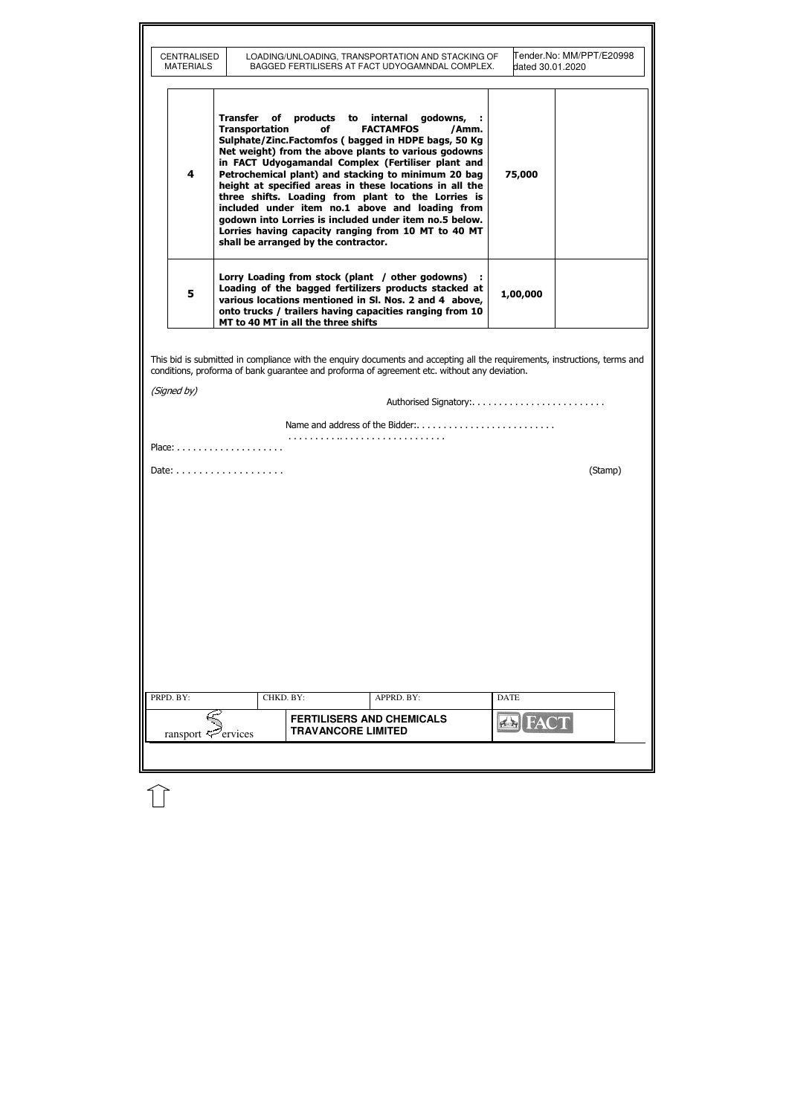| <b>MATERIALS</b> | CENTRALISED                                                        | LOADING/UNLOADING, TRANSPORTATION AND STACKING OF<br>BAGGED FERTILISERS AT FACT UDYOGAMNDAL COMPLEX.                                                                                                                                                                                                                                                                                                                                                                                                                                                                                 | dated 30.01.2020 | Tender.No: MM/PPT/E20998 |
|------------------|--------------------------------------------------------------------|--------------------------------------------------------------------------------------------------------------------------------------------------------------------------------------------------------------------------------------------------------------------------------------------------------------------------------------------------------------------------------------------------------------------------------------------------------------------------------------------------------------------------------------------------------------------------------------|------------------|--------------------------|
| 4                | Transfer<br>Transportation<br>shall be arranged by the contractor. | of products to internal godowns,<br>of<br><b>FACTAMFOS</b><br>/Amm.<br>Sulphate/Zinc.Factomfos (bagged in HDPE bags, 50 Kg<br>Net weight) from the above plants to various godowns<br>in FACT Udyogamandal Complex (Fertiliser plant and<br>Petrochemical plant) and stacking to minimum 20 bag<br>height at specified areas in these locations in all the<br>three shifts. Loading from plant to the Lorries is<br>included under item no.1 above and loading from<br>godown into Lorries is included under item no.5 below.<br>Lorries having capacity ranging from 10 MT to 40 MT | 75,000           |                          |
| 5                | MT to 40 MT in all the three shifts                                | Lorry Loading from stock (plant / other godowns)<br>Loading of the bagged fertilizers products stacked at<br>various locations mentioned in SI. Nos. 2 and 4 above,<br>onto trucks / trailers having capacities ranging from 10                                                                                                                                                                                                                                                                                                                                                      | 1,00,000         |                          |
|                  |                                                                    |                                                                                                                                                                                                                                                                                                                                                                                                                                                                                                                                                                                      |                  |                          |
|                  | Place: $\dots\dots\dots\dots\dots\dots\dots\dots\dots$             |                                                                                                                                                                                                                                                                                                                                                                                                                                                                                                                                                                                      |                  | (Stamp)                  |
|                  |                                                                    |                                                                                                                                                                                                                                                                                                                                                                                                                                                                                                                                                                                      |                  |                          |
|                  |                                                                    |                                                                                                                                                                                                                                                                                                                                                                                                                                                                                                                                                                                      |                  |                          |
|                  |                                                                    |                                                                                                                                                                                                                                                                                                                                                                                                                                                                                                                                                                                      |                  |                          |
|                  |                                                                    |                                                                                                                                                                                                                                                                                                                                                                                                                                                                                                                                                                                      |                  |                          |
|                  |                                                                    |                                                                                                                                                                                                                                                                                                                                                                                                                                                                                                                                                                                      |                  |                          |
|                  |                                                                    |                                                                                                                                                                                                                                                                                                                                                                                                                                                                                                                                                                                      |                  |                          |
|                  |                                                                    |                                                                                                                                                                                                                                                                                                                                                                                                                                                                                                                                                                                      |                  |                          |
|                  |                                                                    |                                                                                                                                                                                                                                                                                                                                                                                                                                                                                                                                                                                      |                  |                          |
| PRPD. BY:        | CHKD. BY:                                                          | APPRD. BY:                                                                                                                                                                                                                                                                                                                                                                                                                                                                                                                                                                           | <b>DATE</b>      |                          |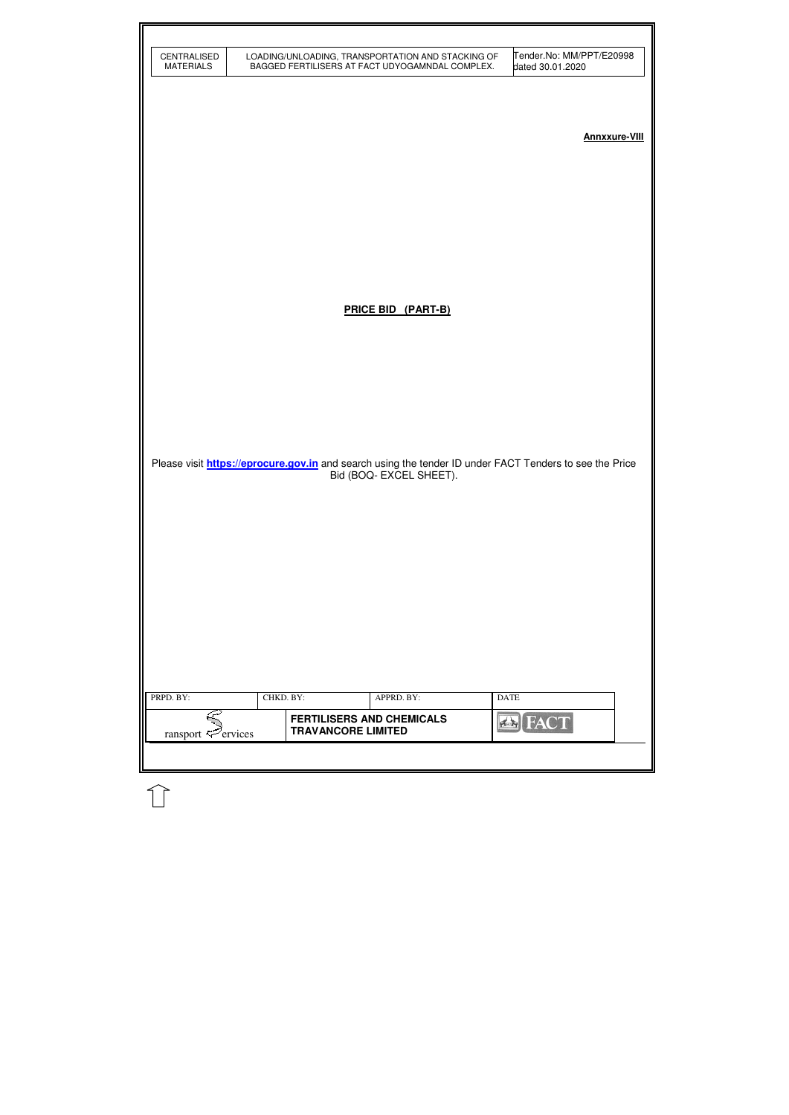| CENTRALISED<br><b>MATERIALS</b> |                           | LOADING/UNLOADING, TRANSPORTATION AND STACKING OF<br>BAGGED FERTILISERS AT FACT UDYOGAMNDAL COMPLEX. |             | Tender.No: MM/PPT/E20998<br>dated 30.01.2020                                                                   |                      |
|---------------------------------|---------------------------|------------------------------------------------------------------------------------------------------|-------------|----------------------------------------------------------------------------------------------------------------|----------------------|
|                                 |                           |                                                                                                      |             |                                                                                                                | <b>Annxxure-VIII</b> |
|                                 |                           |                                                                                                      |             |                                                                                                                |                      |
|                                 |                           | PRICE BID (PART-B)                                                                                   |             |                                                                                                                |                      |
|                                 |                           |                                                                                                      |             |                                                                                                                |                      |
|                                 |                           |                                                                                                      |             |                                                                                                                |                      |
|                                 |                           | Bid (BOQ- EXCEL SHEET).                                                                              |             | Please visit <b>https://eprocure.gov.in</b> and search using the tender ID under FACT Tenders to see the Price |                      |
|                                 |                           |                                                                                                      |             |                                                                                                                |                      |
|                                 |                           |                                                                                                      |             |                                                                                                                |                      |
|                                 |                           |                                                                                                      |             |                                                                                                                |                      |
| PRPD. BY:                       | CHKD. BY:                 | APPRD. BY:                                                                                           | <b>DATE</b> |                                                                                                                |                      |
| ransport $\mathcal{F}$ ervices  | <b>TRAVANCORE LIMITED</b> | <b>FERTILISERS AND CHEMICALS</b>                                                                     |             | <b>BIEACT</b>                                                                                                  |                      |
|                                 |                           |                                                                                                      |             |                                                                                                                |                      |

 $\widehat{\mathbb{U}}$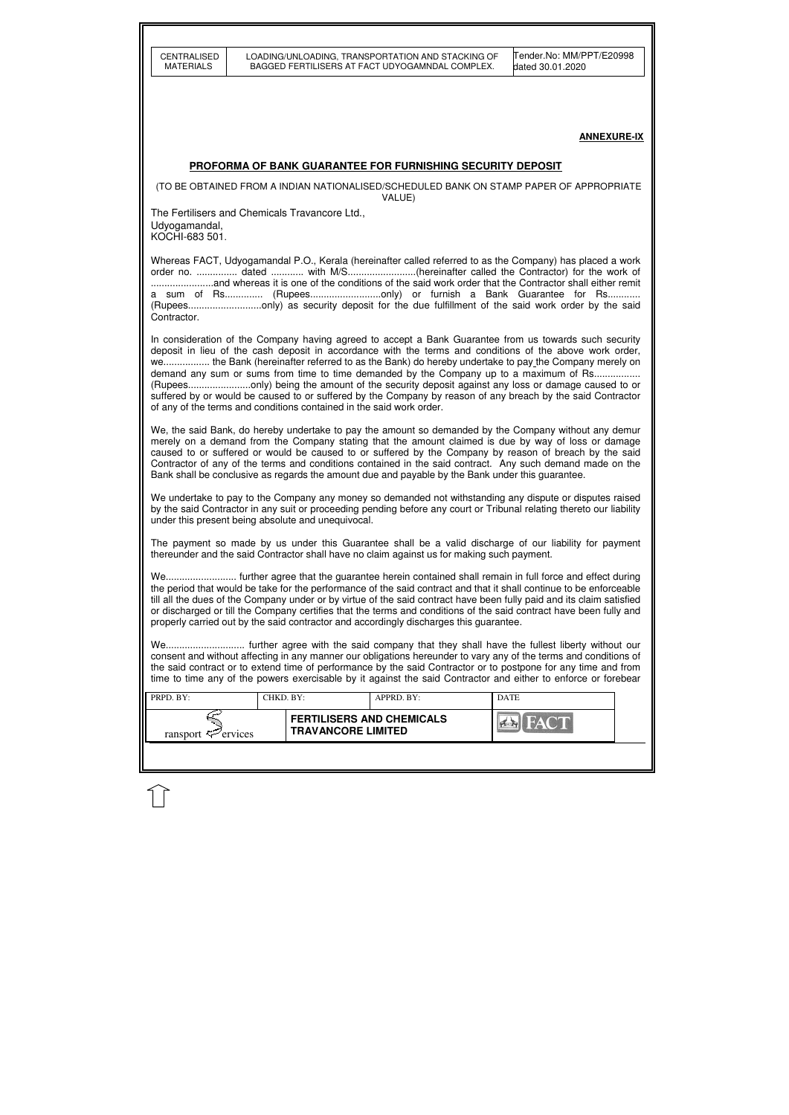| CENTRALISED<br><b>MATERIALS</b>                                                                                                                                                                                                                                                                                                                                                                                                                                                                                                                                                                                                                                                                            |                                                               | LOADING/UNLOADING, TRANSPORTATION AND STACKING OF<br>BAGGED FERTILISERS AT FACT UDYOGAMNDAL COMPLEX. | Tender.No: MM/PPT/E20998<br>dated 30.01.2020                                                                                                                                                                                                                                                                                                                                                                                        |  |  |  |  |
|------------------------------------------------------------------------------------------------------------------------------------------------------------------------------------------------------------------------------------------------------------------------------------------------------------------------------------------------------------------------------------------------------------------------------------------------------------------------------------------------------------------------------------------------------------------------------------------------------------------------------------------------------------------------------------------------------------|---------------------------------------------------------------|------------------------------------------------------------------------------------------------------|-------------------------------------------------------------------------------------------------------------------------------------------------------------------------------------------------------------------------------------------------------------------------------------------------------------------------------------------------------------------------------------------------------------------------------------|--|--|--|--|
|                                                                                                                                                                                                                                                                                                                                                                                                                                                                                                                                                                                                                                                                                                            |                                                               |                                                                                                      |                                                                                                                                                                                                                                                                                                                                                                                                                                     |  |  |  |  |
|                                                                                                                                                                                                                                                                                                                                                                                                                                                                                                                                                                                                                                                                                                            |                                                               |                                                                                                      |                                                                                                                                                                                                                                                                                                                                                                                                                                     |  |  |  |  |
|                                                                                                                                                                                                                                                                                                                                                                                                                                                                                                                                                                                                                                                                                                            |                                                               |                                                                                                      | <b>ANNEXURE-IX</b>                                                                                                                                                                                                                                                                                                                                                                                                                  |  |  |  |  |
|                                                                                                                                                                                                                                                                                                                                                                                                                                                                                                                                                                                                                                                                                                            |                                                               | PROFORMA OF BANK GUARANTEE FOR FURNISHING SECURITY DEPOSIT                                           |                                                                                                                                                                                                                                                                                                                                                                                                                                     |  |  |  |  |
|                                                                                                                                                                                                                                                                                                                                                                                                                                                                                                                                                                                                                                                                                                            |                                                               | VALUE)                                                                                               | (TO BE OBTAINED FROM A INDIAN NATIONALISED/SCHEDULED BANK ON STAMP PAPER OF APPROPRIATE                                                                                                                                                                                                                                                                                                                                             |  |  |  |  |
| The Fertilisers and Chemicals Travancore Ltd.,                                                                                                                                                                                                                                                                                                                                                                                                                                                                                                                                                                                                                                                             |                                                               |                                                                                                      |                                                                                                                                                                                                                                                                                                                                                                                                                                     |  |  |  |  |
| Udyogamandal,<br>KOCHI-683 501.                                                                                                                                                                                                                                                                                                                                                                                                                                                                                                                                                                                                                                                                            |                                                               |                                                                                                      |                                                                                                                                                                                                                                                                                                                                                                                                                                     |  |  |  |  |
| Contractor.                                                                                                                                                                                                                                                                                                                                                                                                                                                                                                                                                                                                                                                                                                |                                                               |                                                                                                      | Whereas FACT, Udyogamandal P.O., Kerala (hereinafter called referred to as the Company) has placed a work<br>order no.  dated  with M/S(hereinafter called the Contractor) for the work of<br>a sum of Rs (Rupeesonly) or furnish a Bank Guarantee for Rs<br>(Rupeesonly) as security deposit for the due fulfillment of the said work order by the said                                                                            |  |  |  |  |
| In consideration of the Company having agreed to accept a Bank Guarantee from us towards such security<br>deposit in lieu of the cash deposit in accordance with the terms and conditions of the above work order,<br>we the Bank (hereinafter referred to as the Bank) do hereby undertake to pay the Company merely on<br>demand any sum or sums from time to time demanded by the Company up to a maximum of Rs<br>(Rupeesonly) being the amount of the security deposit against any loss or damage caused to or<br>suffered by or would be caused to or suffered by the Company by reason of any breach by the said Contractor<br>of any of the terms and conditions contained in the said work order. |                                                               |                                                                                                      |                                                                                                                                                                                                                                                                                                                                                                                                                                     |  |  |  |  |
| Bank shall be conclusive as regards the amount due and payable by the Bank under this guarantee.                                                                                                                                                                                                                                                                                                                                                                                                                                                                                                                                                                                                           |                                                               |                                                                                                      | We, the said Bank, do hereby undertake to pay the amount so demanded by the Company without any demur<br>merely on a demand from the Company stating that the amount claimed is due by way of loss or damage<br>caused to or suffered or would be caused to or suffered by the Company by reason of breach by the said<br>Contractor of any of the terms and conditions contained in the said contract. Any such demand made on the |  |  |  |  |
| under this present being absolute and unequivocal.                                                                                                                                                                                                                                                                                                                                                                                                                                                                                                                                                                                                                                                         |                                                               |                                                                                                      | We undertake to pay to the Company any money so demanded not withstanding any dispute or disputes raised<br>by the said Contractor in any suit or proceeding pending before any court or Tribunal relating thereto our liability                                                                                                                                                                                                    |  |  |  |  |
| thereunder and the said Contractor shall have no claim against us for making such payment.                                                                                                                                                                                                                                                                                                                                                                                                                                                                                                                                                                                                                 |                                                               |                                                                                                      | The payment so made by us under this Guarantee shall be a valid discharge of our liability for payment                                                                                                                                                                                                                                                                                                                              |  |  |  |  |
| We further agree that the guarantee herein contained shall remain in full force and effect during<br>the period that would be take for the performance of the said contract and that it shall continue to be enforceable<br>till all the dues of the Company under or by virtue of the said contract have been fully paid and its claim satisfied<br>or discharged or till the Company certifies that the terms and conditions of the said contract have been fully and<br>properly carried out by the said contractor and accordingly discharges this guarantee.                                                                                                                                          |                                                               |                                                                                                      |                                                                                                                                                                                                                                                                                                                                                                                                                                     |  |  |  |  |
| We further agree with the said company that they shall have the fullest liberty without our<br>consent and without affecting in any manner our obligations hereunder to vary any of the terms and conditions of<br>the said contract or to extend time of performance by the said Contractor or to postpone for any time and from<br>time to time any of the powers exercisable by it against the said Contractor and either to enforce or forebear                                                                                                                                                                                                                                                        |                                                               |                                                                                                      |                                                                                                                                                                                                                                                                                                                                                                                                                                     |  |  |  |  |
| PRPD. BY:                                                                                                                                                                                                                                                                                                                                                                                                                                                                                                                                                                                                                                                                                                  | CHKD. BY:                                                     | APPRD. BY:                                                                                           | <b>DATE</b>                                                                                                                                                                                                                                                                                                                                                                                                                         |  |  |  |  |
| ransport $\leq$ ervices                                                                                                                                                                                                                                                                                                                                                                                                                                                                                                                                                                                                                                                                                    | <b>FERTILISERS AND CHEMICALS</b><br><b>TRAVANCORE LIMITED</b> |                                                                                                      |                                                                                                                                                                                                                                                                                                                                                                                                                                     |  |  |  |  |
|                                                                                                                                                                                                                                                                                                                                                                                                                                                                                                                                                                                                                                                                                                            |                                                               |                                                                                                      |                                                                                                                                                                                                                                                                                                                                                                                                                                     |  |  |  |  |
|                                                                                                                                                                                                                                                                                                                                                                                                                                                                                                                                                                                                                                                                                                            |                                                               |                                                                                                      |                                                                                                                                                                                                                                                                                                                                                                                                                                     |  |  |  |  |

 $\mathbb{\hat{U}}$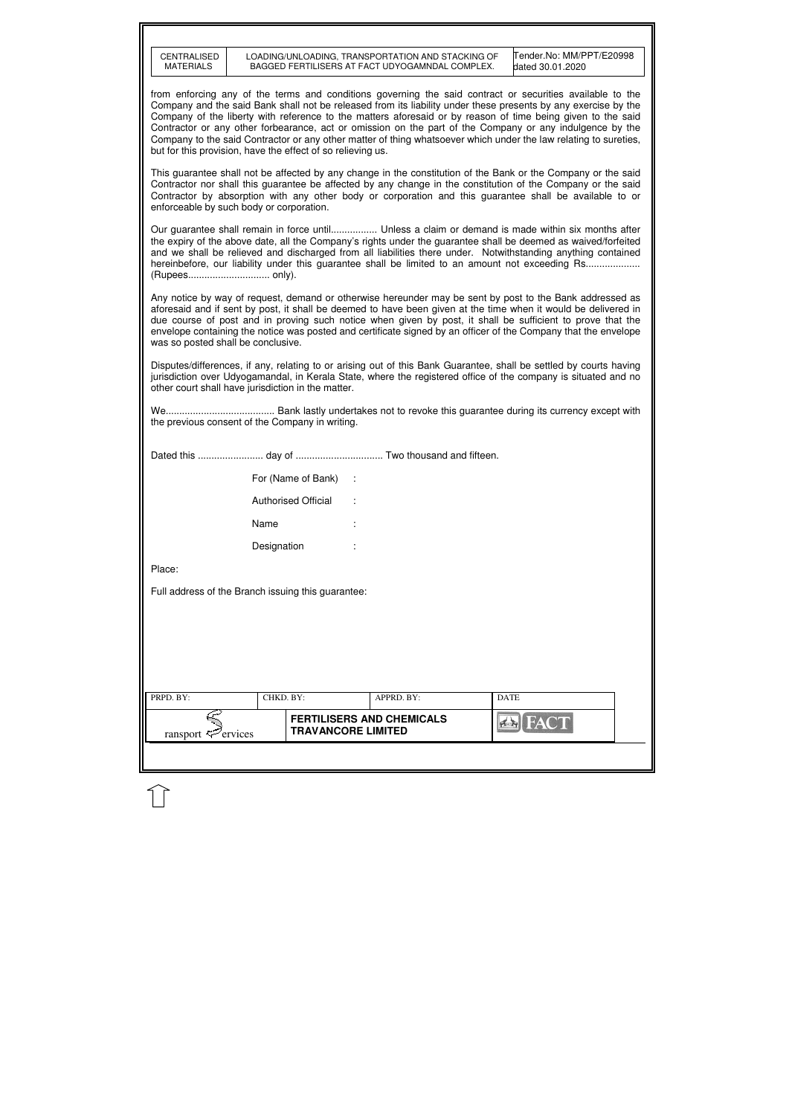| <b>CENTRALISED</b><br><b>MATERIALS</b>                                                                                                                               |                            |                           | LOADING/UNLOADING, TRANSPORTATION AND STACKING OF<br>BAGGED FERTILISERS AT FACT UDYOGAMNDAL COMPLEX. | Tender.No: MM/PPT/E20998<br>dated 30.01.2020                                                                                                                                                                                                                                                                                                                                                                                                                                                                                                                               |  |
|----------------------------------------------------------------------------------------------------------------------------------------------------------------------|----------------------------|---------------------------|------------------------------------------------------------------------------------------------------|----------------------------------------------------------------------------------------------------------------------------------------------------------------------------------------------------------------------------------------------------------------------------------------------------------------------------------------------------------------------------------------------------------------------------------------------------------------------------------------------------------------------------------------------------------------------------|--|
| but for this provision, have the effect of so relieving us.                                                                                                          |                            |                           |                                                                                                      | from enforcing any of the terms and conditions governing the said contract or securities available to the<br>Company and the said Bank shall not be released from its liability under these presents by any exercise by the<br>Company of the liberty with reference to the matters aforesaid or by reason of time being given to the said<br>Contractor or any other forbearance, act or omission on the part of the Company or any indulgence by the<br>Company to the said Contractor or any other matter of thing whatsoever which under the law relating to sureties, |  |
| enforceable by such body or corporation.                                                                                                                             |                            |                           |                                                                                                      | This guarantee shall not be affected by any change in the constitution of the Bank or the Company or the said<br>Contractor nor shall this guarantee be affected by any change in the constitution of the Company or the said<br>Contractor by absorption with any other body or corporation and this guarantee shall be available to or                                                                                                                                                                                                                                   |  |
|                                                                                                                                                                      |                            |                           |                                                                                                      | Our guarantee shall remain in force until Unless a claim or demand is made within six months after<br>the expiry of the above date, all the Company's rights under the guarantee shall be deemed as waived/forfeited<br>and we shall be relieved and discharged from all liabilities there under. Notwithstanding anything contained<br>hereinbefore, our liability under this guarantee shall be limited to an amount not exceeding Rs                                                                                                                                    |  |
| was so posted shall be conclusive.                                                                                                                                   |                            |                           |                                                                                                      | Any notice by way of request, demand or otherwise hereunder may be sent by post to the Bank addressed as<br>aforesaid and if sent by post, it shall be deemed to have been given at the time when it would be delivered in<br>due course of post and in proving such notice when given by post, it shall be sufficient to prove that the<br>envelope containing the notice was posted and certificate signed by an officer of the Company that the envelope                                                                                                                |  |
|                                                                                                                                                                      |                            |                           |                                                                                                      | Disputes/differences, if any, relating to or arising out of this Bank Guarantee, shall be settled by courts having                                                                                                                                                                                                                                                                                                                                                                                                                                                         |  |
| jurisdiction over Udyogamandal, in Kerala State, where the registered office of the company is situated and no<br>other court shall have jurisdiction in the matter. |                            |                           |                                                                                                      |                                                                                                                                                                                                                                                                                                                                                                                                                                                                                                                                                                            |  |
| We<br>the previous consent of the Company in writing.                                                                                                                |                            |                           |                                                                                                      | Bank lastly undertakes not to revoke this guarantee during its currency except with                                                                                                                                                                                                                                                                                                                                                                                                                                                                                        |  |
|                                                                                                                                                                      |                            |                           |                                                                                                      |                                                                                                                                                                                                                                                                                                                                                                                                                                                                                                                                                                            |  |
|                                                                                                                                                                      |                            | For (Name of Bank) :      |                                                                                                      |                                                                                                                                                                                                                                                                                                                                                                                                                                                                                                                                                                            |  |
|                                                                                                                                                                      | <b>Authorised Official</b> |                           |                                                                                                      |                                                                                                                                                                                                                                                                                                                                                                                                                                                                                                                                                                            |  |
|                                                                                                                                                                      | Name                       |                           |                                                                                                      |                                                                                                                                                                                                                                                                                                                                                                                                                                                                                                                                                                            |  |
|                                                                                                                                                                      | Designation                |                           |                                                                                                      |                                                                                                                                                                                                                                                                                                                                                                                                                                                                                                                                                                            |  |
| Place:                                                                                                                                                               |                            |                           |                                                                                                      |                                                                                                                                                                                                                                                                                                                                                                                                                                                                                                                                                                            |  |
|                                                                                                                                                                      |                            |                           |                                                                                                      |                                                                                                                                                                                                                                                                                                                                                                                                                                                                                                                                                                            |  |
| Full address of the Branch issuing this guarantee:                                                                                                                   |                            |                           |                                                                                                      |                                                                                                                                                                                                                                                                                                                                                                                                                                                                                                                                                                            |  |
|                                                                                                                                                                      |                            |                           |                                                                                                      |                                                                                                                                                                                                                                                                                                                                                                                                                                                                                                                                                                            |  |
|                                                                                                                                                                      |                            |                           |                                                                                                      |                                                                                                                                                                                                                                                                                                                                                                                                                                                                                                                                                                            |  |
|                                                                                                                                                                      |                            |                           |                                                                                                      |                                                                                                                                                                                                                                                                                                                                                                                                                                                                                                                                                                            |  |
| PRPD. BY:                                                                                                                                                            | CHKD. BY:                  |                           | APPRD. BY:                                                                                           | <b>DATE</b>                                                                                                                                                                                                                                                                                                                                                                                                                                                                                                                                                                |  |
| ransport $\mathcal{L}$ ervices                                                                                                                                       |                            | <b>TRAVANCORE LIMITED</b> | <b>FERTILISERS AND CHEMICALS</b>                                                                     | <b>AN FACT</b>                                                                                                                                                                                                                                                                                                                                                                                                                                                                                                                                                             |  |

 $\bigcup$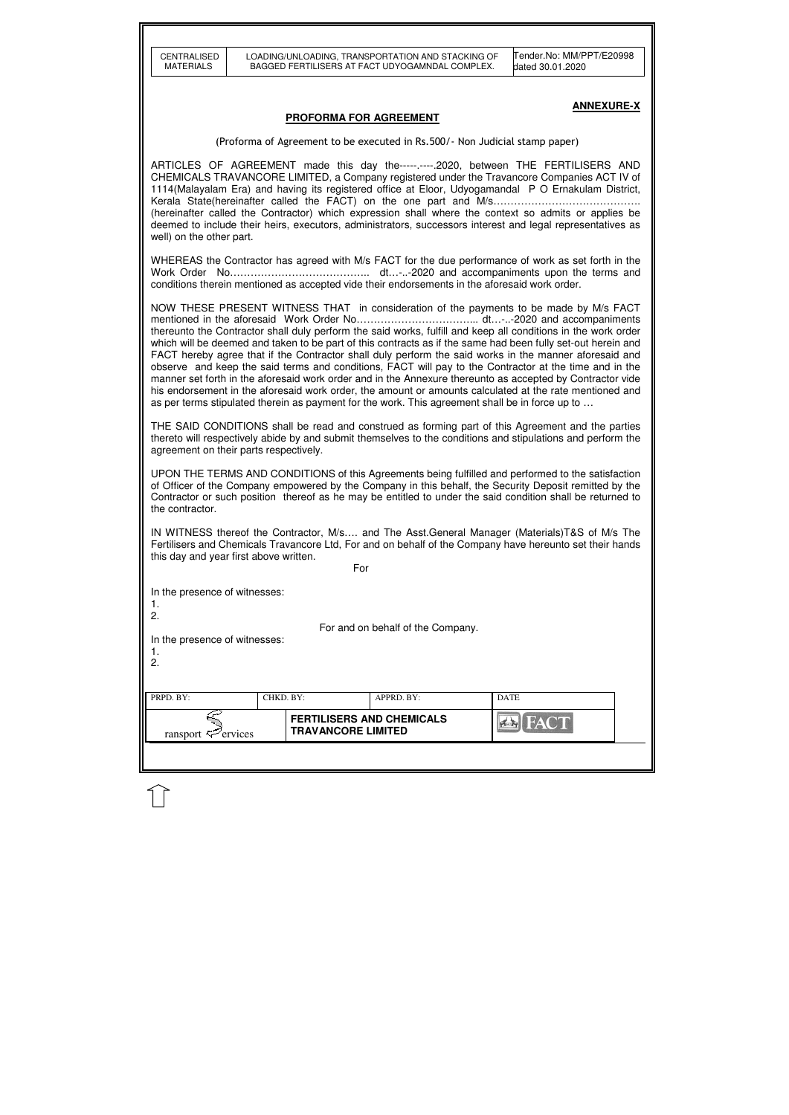| CENTRALISED<br><b>MATERIALS</b>                                                                                                                                                                                                                                                                                                                                                                                                                                                                                                                                                                                                                                                                                                                                                                                                                                        |                                                               | LOADING/UNLOADING, TRANSPORTATION AND STACKING OF<br>BAGGED FERTILISERS AT FACT UDYOGAMNDAL COMPLEX. | Tender.No: MM/PPT/E20998<br>dated 30.01.2020                                                                                                                                                                                                                                                                                                                                                                                                                                                                    |  |  |  |  |  |
|------------------------------------------------------------------------------------------------------------------------------------------------------------------------------------------------------------------------------------------------------------------------------------------------------------------------------------------------------------------------------------------------------------------------------------------------------------------------------------------------------------------------------------------------------------------------------------------------------------------------------------------------------------------------------------------------------------------------------------------------------------------------------------------------------------------------------------------------------------------------|---------------------------------------------------------------|------------------------------------------------------------------------------------------------------|-----------------------------------------------------------------------------------------------------------------------------------------------------------------------------------------------------------------------------------------------------------------------------------------------------------------------------------------------------------------------------------------------------------------------------------------------------------------------------------------------------------------|--|--|--|--|--|
| <b>ANNEXURE-X</b><br>PROFORMA FOR AGREEMENT                                                                                                                                                                                                                                                                                                                                                                                                                                                                                                                                                                                                                                                                                                                                                                                                                            |                                                               |                                                                                                      |                                                                                                                                                                                                                                                                                                                                                                                                                                                                                                                 |  |  |  |  |  |
|                                                                                                                                                                                                                                                                                                                                                                                                                                                                                                                                                                                                                                                                                                                                                                                                                                                                        |                                                               | (Proforma of Agreement to be executed in Rs.500/- Non Judicial stamp paper)                          |                                                                                                                                                                                                                                                                                                                                                                                                                                                                                                                 |  |  |  |  |  |
| well) on the other part.                                                                                                                                                                                                                                                                                                                                                                                                                                                                                                                                                                                                                                                                                                                                                                                                                                               |                                                               |                                                                                                      | ARTICLES OF AGREEMENT made this day the-----.----2020, between THE FERTILISERS AND<br>CHEMICALS TRAVANCORE LIMITED, a Company registered under the Travancore Companies ACT IV of<br>1114 (Malayalam Era) and having its registered office at Eloor, Udyogamandal P O Ernakulam District,<br>(hereinafter called the Contractor) which expression shall where the context so admits or applies be<br>deemed to include their heirs, executors, administrators, successors interest and legal representatives as |  |  |  |  |  |
|                                                                                                                                                                                                                                                                                                                                                                                                                                                                                                                                                                                                                                                                                                                                                                                                                                                                        |                                                               | conditions therein mentioned as accepted vide their endorsements in the aforesaid work order.        | WHEREAS the Contractor has agreed with M/s FACT for the due performance of work as set forth in the                                                                                                                                                                                                                                                                                                                                                                                                             |  |  |  |  |  |
| NOW THESE PRESENT WITNESS THAT in consideration of the payments to be made by M/s FACT<br>thereunto the Contractor shall duly perform the said works, fulfill and keep all conditions in the work order<br>which will be deemed and taken to be part of this contracts as if the same had been fully set-out herein and<br>FACT hereby agree that if the Contractor shall duly perform the said works in the manner aforesaid and<br>observe and keep the said terms and conditions, FACT will pay to the Contractor at the time and in the<br>manner set forth in the aforesaid work order and in the Annexure thereunto as accepted by Contractor vide<br>his endorsement in the aforesaid work order, the amount or amounts calculated at the rate mentioned and<br>as per terms stipulated therein as payment for the work. This agreement shall be in force up to |                                                               |                                                                                                      |                                                                                                                                                                                                                                                                                                                                                                                                                                                                                                                 |  |  |  |  |  |
| agreement on their parts respectively.                                                                                                                                                                                                                                                                                                                                                                                                                                                                                                                                                                                                                                                                                                                                                                                                                                 |                                                               |                                                                                                      | THE SAID CONDITIONS shall be read and construed as forming part of this Agreement and the parties<br>thereto will respectively abide by and submit themselves to the conditions and stipulations and perform the                                                                                                                                                                                                                                                                                                |  |  |  |  |  |
| the contractor.                                                                                                                                                                                                                                                                                                                                                                                                                                                                                                                                                                                                                                                                                                                                                                                                                                                        |                                                               |                                                                                                      | UPON THE TERMS AND CONDITIONS of this Agreements being fulfilled and performed to the satisfaction<br>of Officer of the Company empowered by the Company in this behalf, the Security Deposit remitted by the<br>Contractor or such position thereof as he may be entitled to under the said condition shall be returned to                                                                                                                                                                                     |  |  |  |  |  |
| IN WITNESS thereof the Contractor, M/s and The Asst.General Manager (Materials)T&S of M/s The<br>Fertilisers and Chemicals Travancore Ltd, For and on behalf of the Company have hereunto set their hands<br>this day and year first above written.<br>For                                                                                                                                                                                                                                                                                                                                                                                                                                                                                                                                                                                                             |                                                               |                                                                                                      |                                                                                                                                                                                                                                                                                                                                                                                                                                                                                                                 |  |  |  |  |  |
| In the presence of witnesses:<br>1.<br>2.                                                                                                                                                                                                                                                                                                                                                                                                                                                                                                                                                                                                                                                                                                                                                                                                                              |                                                               |                                                                                                      |                                                                                                                                                                                                                                                                                                                                                                                                                                                                                                                 |  |  |  |  |  |
| For and on behalf of the Company.<br>In the presence of witnesses:<br>1.<br>2.                                                                                                                                                                                                                                                                                                                                                                                                                                                                                                                                                                                                                                                                                                                                                                                         |                                                               |                                                                                                      |                                                                                                                                                                                                                                                                                                                                                                                                                                                                                                                 |  |  |  |  |  |
| PRPD. BY:                                                                                                                                                                                                                                                                                                                                                                                                                                                                                                                                                                                                                                                                                                                                                                                                                                                              | CHKD. BY:                                                     | APPRD. BY:                                                                                           | <b>DATE</b>                                                                                                                                                                                                                                                                                                                                                                                                                                                                                                     |  |  |  |  |  |
| ransport <sup>2</sup> ervices                                                                                                                                                                                                                                                                                                                                                                                                                                                                                                                                                                                                                                                                                                                                                                                                                                          | <b>FERTILISERS AND CHEMICALS</b><br><b>TRAVANCORE LIMITED</b> |                                                                                                      | $7 - 1$                                                                                                                                                                                                                                                                                                                                                                                                                                                                                                         |  |  |  |  |  |
|                                                                                                                                                                                                                                                                                                                                                                                                                                                                                                                                                                                                                                                                                                                                                                                                                                                                        |                                                               |                                                                                                      |                                                                                                                                                                                                                                                                                                                                                                                                                                                                                                                 |  |  |  |  |  |

 $\mathbb{\hat{U}}$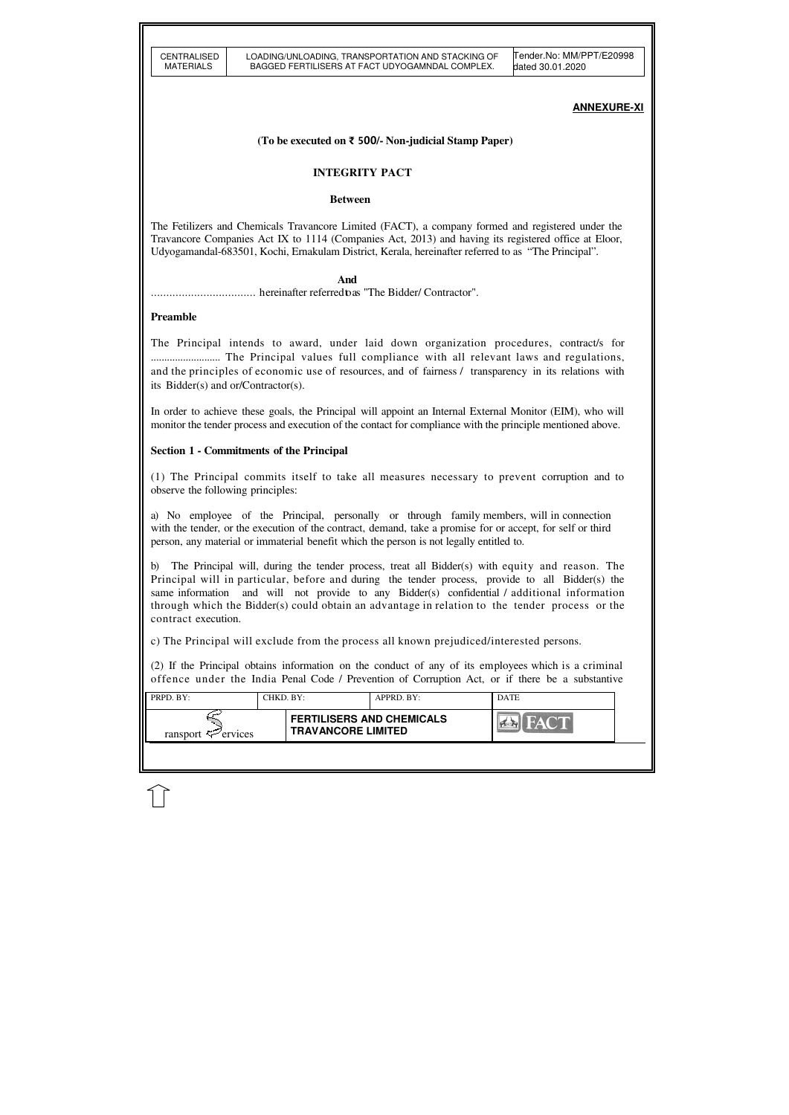| PRPD. BY:                      | CHKD. BY: |                                                               | APPRD. BY: | <b>DATE</b> |  |
|--------------------------------|-----------|---------------------------------------------------------------|------------|-------------|--|
| ransport $\mathcal{F}$ ervices |           | <b>FERTILISERS AND CHEMICALS</b><br><b>TRAVANCORE LIMITED</b> |            |             |  |
|                                |           |                                                               |            |             |  |

## **ANNEXURE-XI**

## **(To be executed on** ₹ 500**/- Non-judicial Stamp Paper)**

## **INTEGRITY PACT**

### **Between**

The Fetilizers and Chemicals Travancore Limited (FACT), a company formed and registered under the Travancore Companies Act IX to 1114 (Companies Act, 2013) and having its registered office at Eloor, Udyogamandal-683501, Kochi, Ernakulam District, Kerala, hereinafter referred to as "The Principal".

 **And**

.................................. hereinafter referred to as "The Bidder/ Contractor".

# **Preamble**

The Principal intends to award, under laid down organization procedures, contract/s for .......................... The Principal values full compliance with all relevant laws and regulations, and the principles of economic use of resources, and of fairness / transparency in its relations with its Bidder(s) and or/Contractor(s).

In order to achieve these goals, the Principal will appoint an Internal External Monitor (EIM), who will monitor the tender process and execution of the contact for compliance with the principle mentioned above.

## **Section 1 - Commitments of the Principal**

(1) The Principal commits itself to take all measures necessary to prevent corruption and to observe the following principles:

a) No employee of the Principal, personally or through family members, will in connection with the tender, or the execution of the contract, demand, take a promise for or accept, for self or third person, any material or immaterial benefit which the person is not legally entitled to.

b) The Principal will, during the tender process, treat all Bidder(s) with equity and reason. The Principal will in particular, before and during the tender process, provide to all Bidder(s) the same information and will not provide to any Bidder(s) confidential / additional information through which the Bidder(s) could obtain an advantage in relation to the tender process or the contract execution.

c) The Principal will exclude from the process all known prejudiced/interested persons.

(2) If the Principal obtains information on the conduct of any of its employees which is a criminal offence under the India Penal Code / Prevention of Corruption Act, or if there be a substantive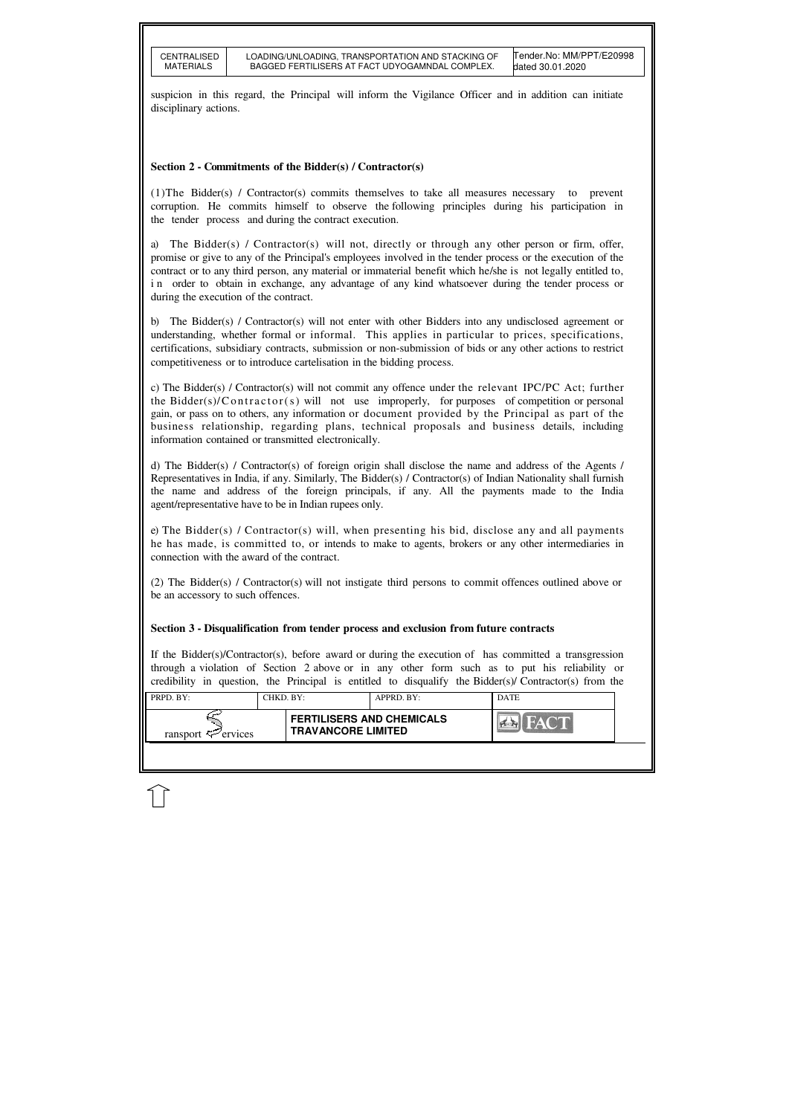| $\blacksquare$ PRPD. BY:   | CHKD. BY:                 | $APPRD$ . BY:                    | <b>DATE</b> |  |
|----------------------------|---------------------------|----------------------------------|-------------|--|
| ransport $\approx$ ervices | <b>TRAVANCORE LIMITED</b> | <b>FERTILISERS AND CHEMICALS</b> |             |  |
|                            |                           |                                  |             |  |

suspicion in this regard, the Principal will inform the Vigilance Officer and in addition can initiate disciplinary actions.

# **Section 2 - Commitments of the Bidder(s) / Contractor(s)**

a) The Bidder(s) / Contractor(s) will not, directly or through any other person or firm, offer, promise or give to any of the Principal's employees involved in the tender process or the execution of the contract or to any third person, any material or immaterial benefit which he/she is not legally entitled to, i n order to obtain in exchange, any advantage of any kind whatsoever during the tender process or during the execution of the contract.

(1)The Bidder(s) / Contractor(s) commits themselves to take all measures necessary to prevent corruption. He commits himself to observe the following principles during his participation in the tender process and during the contract execution.

b) The Bidder(s) / Contractor(s) will not enter with other Bidders into any undisclosed agreement or understanding, whether formal or informal. This applies in particular to prices, specifications, certifications, subsidiary contracts, submission or non-submission of bids or any other actions to restrict competitiveness or to introduce cartelisation in the bidding process.

c) The Bidder(s) / Contractor(s) will not commit any offence under the relevant IPC/PC Act; further the Bidder(s)/ $\text{Contractor}(s)$  will not use improperly, for purposes of competition or personal gain, or pass on to others, any information or document provided by the Principal as part of the business relationship, regarding plans, technical proposals and business details, including information contained or transmitted electronically.

d) The Bidder(s) / Contractor(s) of foreign origin shall disclose the name and address of the Agents / Representatives in India, if any. Similarly, The Bidder(s) / Contractor(s) of Indian Nationality shall furnish the name and address of the foreign principals, if any. All the payments made to the India agent/representative have to be in Indian rupees only.

e) The Bidder(s) / Contractor(s) will, when presenting his bid, disclose any and all payments he has made, is committed to, or intends to make to agents, brokers or any other intermediaries in connection with the award of the contract.

(2) The Bidder(s) / Contractor(s) will not instigate third persons to commit offences outlined above or be an accessory to such offences.

# **Section 3 - Disqualification from tender process and exclusion from future contracts**

If the Bidder(s)/Contractor(s), before award or during the execution of has committed a transgression through a violation of Section 2 above or in any other form such as to put his reliability or credibility in question, the Principal is entitled to disqualify the Bidder(s)/ Contractor(s) from the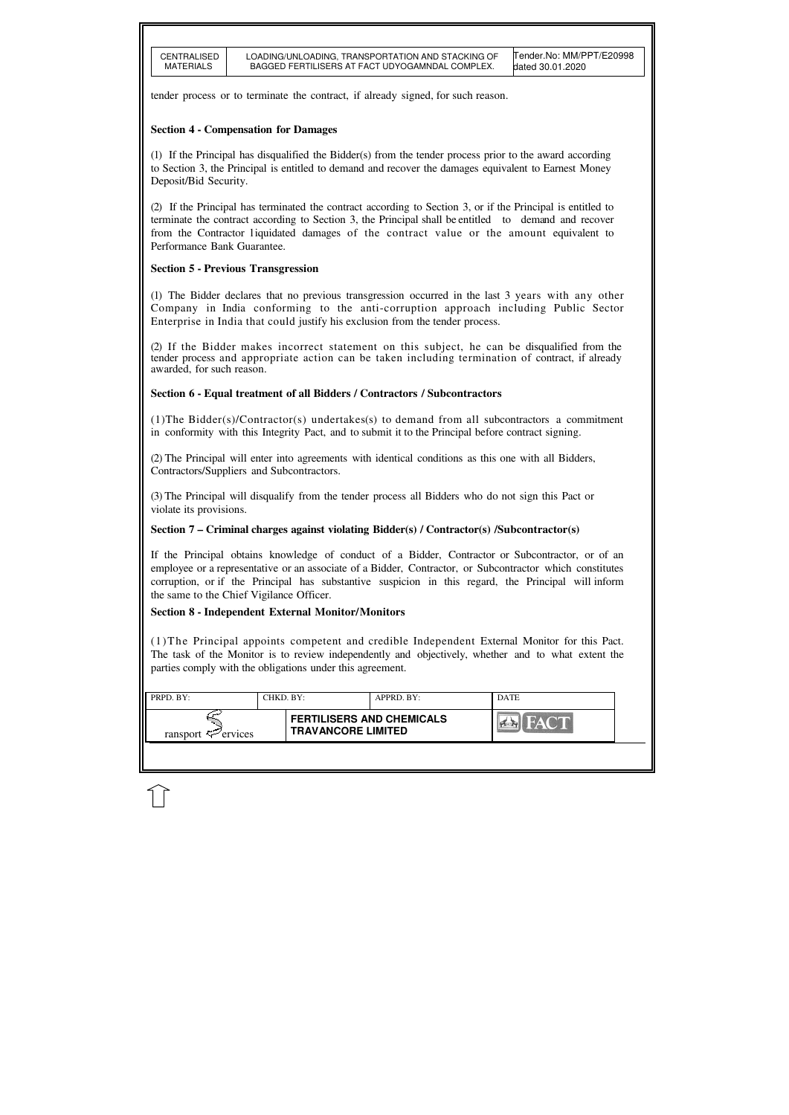| CENTRALISED<br>MATFRIAI S |  |
|---------------------------|--|

| $\blacksquare$ PRPD. BY:       | CHKD. BY: |                                                               | APPRD. BY: | <b>DATE</b> |
|--------------------------------|-----------|---------------------------------------------------------------|------------|-------------|
| ransport $\mathcal{F}$ ervices |           | <b>FERTILISERS AND CHEMICALS</b><br><b>TRAVANCORE LIMITED</b> |            |             |
|                                |           |                                                               |            |             |

tender process or to terminate the contract, if already signed, for such reason.

## **Section 4 - Compensation for Damages**

(1) If the Principal has disqualified the Bidder(s) from the tender process prior to the award according to Section 3, the Principal is entitled to demand and recover the damages equivalent to Earnest Money Deposit/Bid Security.

(2) If the Principal has terminated the contract according to Section 3, or if the Principal is entitled to terminate the contract according to Section 3, the Principal shall be entitled to demand and recover from the Contractor liquidated damages of the contract value or the amount equivalent to Performance Bank Guarantee.

# **Section 5 - Previous Transgression**

(1) The Bidder declares that no previous transgression occurred in the last 3 years with any other Company in India conforming to the anti-corruption approach including Public Sector Enterprise in India that could justify his exclusion from the tender process.

(2) If the Bidder makes incorrect statement on this subject, he can be disqualified from the tender process and appropriate action can be taken including termination of contract, if already awarded, for such reason.

## **Section 6 - Equal treatment of all Bidders / Contractors / Subcontractors**

(1)The Bidder(s)/Contractor(s) undertakes(s) to demand from all subcontractors a commitment in conformity with this Integrity Pact, and to submit it to the Principal before contract signing.

(2) The Principal will enter into agreements with identical conditions as this one with all Bidders, Contractors/Suppliers and Subcontractors.

(3) The Principal will disqualify from the tender process all Bidders who do not sign this Pact or violate its provisions.

## **Section 7 – Criminal charges against violating Bidder(s) / Contractor(s) /Subcontractor(s)**

If the Principal obtains knowledge of conduct of a Bidder, Contractor or Subcontractor, or of an employee or a representative or an associate of a Bidder, Contractor, or Subcontractor which constitutes corruption, or if the Principal has substantive suspicion in this regard, the Principal will inform the same to the Chief Vigilance Officer.

## **Section 8 - Independent External Monitor/Monitors**

(1)The Principal appoints competent and credible Independent External Monitor for this Pact. The task of the Monitor is to review independently and objectively, whether and to what extent the parties comply with the obligations under this agreement.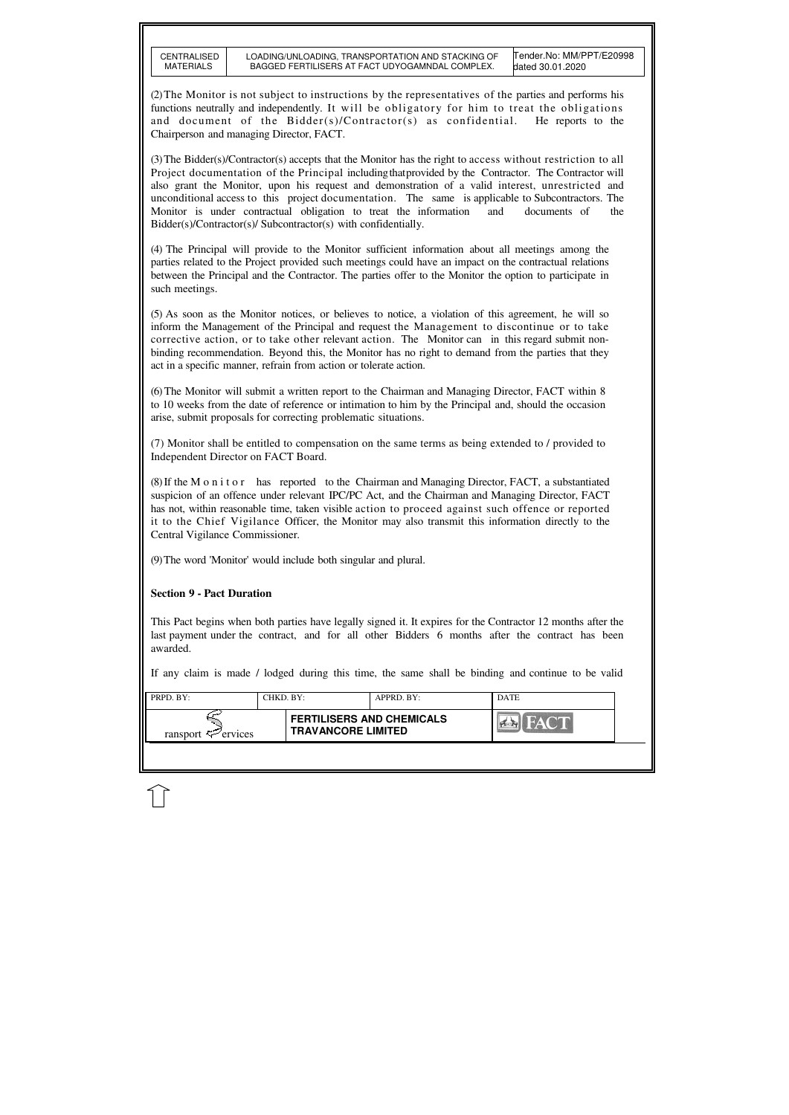| PRPD. BY:                      | CHKD. BY: |                                                               | APPRD. BY: | <b>DATE</b>        |  |
|--------------------------------|-----------|---------------------------------------------------------------|------------|--------------------|--|
| ransport $\mathcal{F}$ ervices |           | <b>FERTILISERS AND CHEMICALS</b><br><b>TRAVANCORE LIMITED</b> |            | HA( "I<br>$\alpha$ |  |
|                                |           |                                                               |            |                    |  |

(2) The Monitor is not subject to instructions by the representatives of the parties and performs his functions neutrally and independently. It will be obligatory for him to treat the obligations and document of the Bidder(s)/Contractor(s) as confidential. He reports to the Chairperson and managing Director, FACT.

(3) The Bidder(s)/Contractor(s) accepts that the Monitor has the right to access without restriction to all Project documentation of the Principal including that provided by the Contractor. The Contractor will also grant the Monitor, upon his request and demonstration of a valid interest, unrestricted and unconditional access to this project documentation. The same is applicable to Subcontractors. The Monitor is under contractual obligation to treat the information and documents of the Bidder(s)/Contractor(s)/ Subcontractor(s) with confidentially.

(4) The Principal will provide to the Monitor sufficient information about all meetings among the parties related to the Project provided such meetings could have an impact on the contractual relations between the Principal and the Contractor. The parties offer to the Monitor the option to participate in such meetings.

(5) As soon as the Monitor notices, or believes to notice, a violation of this agreement, he will so inform the Management of the Principal and request the Management to discontinue or to take corrective action, or to take other relevant action. The Monitor can in this regard submit nonbinding recommendation. Beyond this, the Monitor has no right to demand from the parties that they act in a specific manner, refrain from action or tolerate action.

(6) The Monitor will submit a written report to the Chairman and Managing Director, FACT within 8 to 10 weeks from the date of reference or intimation to him by the Principal and, should the occasion arise, submit proposals for correcting problematic situations.

(7) Monitor shall be entitled to compensation on the same terms as being extended to / provided to Independent Director on FACT Board.

(8) If the M o n i t o r has reported to the Chairman and Managing Director, FACT, a substantiated suspicion of an offence under relevant IPC/PC Act, and the Chairman and Managing Director, FACT has not, within reasonable time, taken visible action to proceed against such offence or reported it to the Chief Vigilance Officer, the Monitor may also transmit this information directly to the Central Vigilance Commissioner.

(9) The word 'Monitor' would include both singular and plural.

## **Section 9 - Pact Duration**

This Pact begins when both parties have legally signed it. It expires for the Contractor 12 months after the last payment under the contract, and for all other Bidders 6 months after the contract has been awarded.

If any claim is made / lodged during this time, the same shall be binding and continue to be valid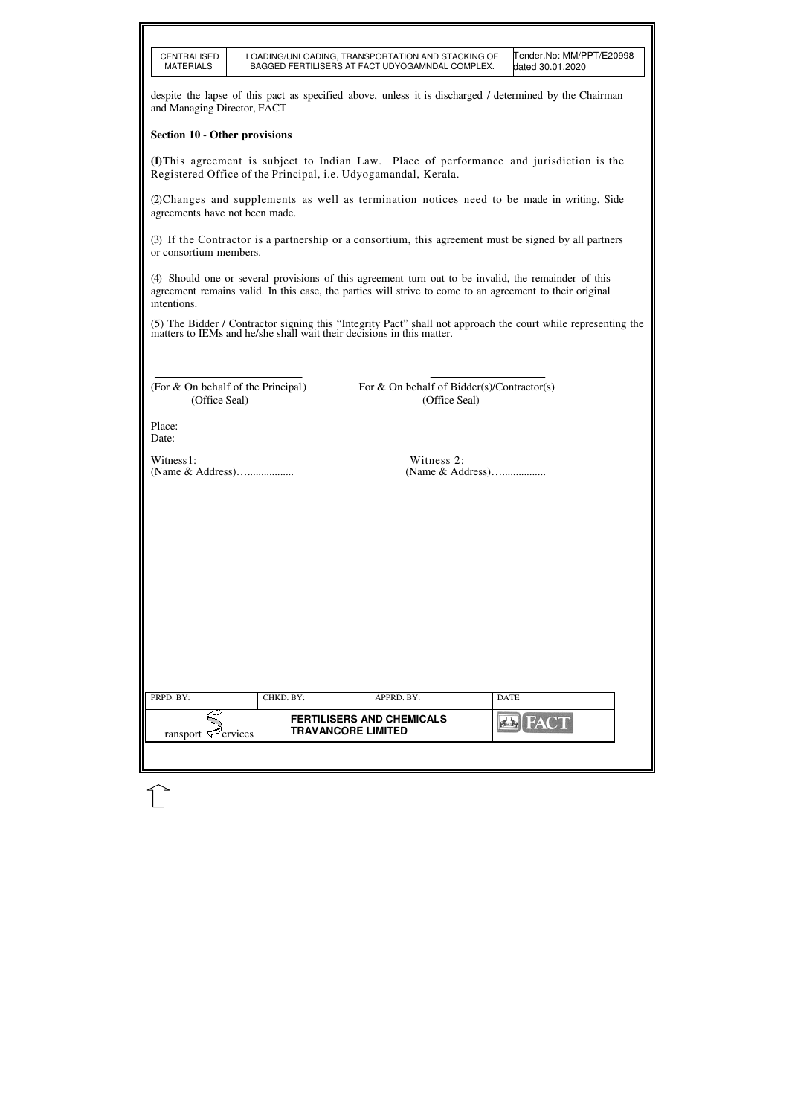| CENTRALISED<br><b>MATERIALS</b>                                                                                                                                                                                                 |                           | LOADING/UNLOADING, TRANSPORTATION AND STACKING OF<br>BAGGED FERTILISERS AT FACT UDYOGAMNDAL COMPLEX. | Tender.No: MM/PPT/E20998<br>dated 30.01.2020                                                                                                                                        |  |  |  |  |  |
|---------------------------------------------------------------------------------------------------------------------------------------------------------------------------------------------------------------------------------|---------------------------|------------------------------------------------------------------------------------------------------|-------------------------------------------------------------------------------------------------------------------------------------------------------------------------------------|--|--|--|--|--|
| despite the lapse of this pact as specified above, unless it is discharged / determined by the Chairman<br>and Managing Director, FACT                                                                                          |                           |                                                                                                      |                                                                                                                                                                                     |  |  |  |  |  |
| <b>Section 10 - Other provisions</b>                                                                                                                                                                                            |                           |                                                                                                      |                                                                                                                                                                                     |  |  |  |  |  |
| (1) This agreement is subject to Indian Law. Place of performance and jurisdiction is the<br>Registered Office of the Principal, i.e. Udyogamandal, Kerala.                                                                     |                           |                                                                                                      |                                                                                                                                                                                     |  |  |  |  |  |
| (2) Changes and supplements as well as termination notices need to be made in writing. Side<br>agreements have not been made.                                                                                                   |                           |                                                                                                      |                                                                                                                                                                                     |  |  |  |  |  |
| (3) If the Contractor is a partnership or a consortium, this agreement must be signed by all partners<br>or consortium members.                                                                                                 |                           |                                                                                                      |                                                                                                                                                                                     |  |  |  |  |  |
| (4) Should one or several provisions of this agreement turn out to be invalid, the remainder of this<br>agreement remains valid. In this case, the parties will strive to come to an agreement to their original<br>intentions. |                           |                                                                                                      |                                                                                                                                                                                     |  |  |  |  |  |
|                                                                                                                                                                                                                                 |                           |                                                                                                      | (5) The Bidder / Contractor signing this "Integrity Pact" shall not approach the court while representing the matters to IEMs and he/she shall wait their decisions in this matter. |  |  |  |  |  |
|                                                                                                                                                                                                                                 |                           |                                                                                                      |                                                                                                                                                                                     |  |  |  |  |  |
| (For & On behalf of the Principal)<br>(Office Seal)                                                                                                                                                                             |                           | For & On behalf of Bidder(s)/Contractor(s)<br>(Office Seal)                                          |                                                                                                                                                                                     |  |  |  |  |  |
| Place:<br>Date:                                                                                                                                                                                                                 |                           |                                                                                                      |                                                                                                                                                                                     |  |  |  |  |  |
| Witness 1:<br>(Name & Address)                                                                                                                                                                                                  |                           | Witness 2:<br>(Name & Address)                                                                       |                                                                                                                                                                                     |  |  |  |  |  |
|                                                                                                                                                                                                                                 |                           |                                                                                                      |                                                                                                                                                                                     |  |  |  |  |  |
|                                                                                                                                                                                                                                 |                           |                                                                                                      |                                                                                                                                                                                     |  |  |  |  |  |
|                                                                                                                                                                                                                                 |                           |                                                                                                      |                                                                                                                                                                                     |  |  |  |  |  |
|                                                                                                                                                                                                                                 |                           |                                                                                                      |                                                                                                                                                                                     |  |  |  |  |  |
|                                                                                                                                                                                                                                 |                           |                                                                                                      |                                                                                                                                                                                     |  |  |  |  |  |
|                                                                                                                                                                                                                                 |                           |                                                                                                      |                                                                                                                                                                                     |  |  |  |  |  |
|                                                                                                                                                                                                                                 |                           |                                                                                                      |                                                                                                                                                                                     |  |  |  |  |  |
|                                                                                                                                                                                                                                 |                           |                                                                                                      |                                                                                                                                                                                     |  |  |  |  |  |
| PRPD. BY:                                                                                                                                                                                                                       | CHKD. BY:                 | APPRD. BY:                                                                                           | <b>DATE</b>                                                                                                                                                                         |  |  |  |  |  |
| ransport $\mathbb{Z}^2$ ervices                                                                                                                                                                                                 | <b>TRAVANCORE LIMITED</b> | <b>FERTILISERS AND CHEMICALS</b>                                                                     | <b>AI FACT</b>                                                                                                                                                                      |  |  |  |  |  |
|                                                                                                                                                                                                                                 |                           |                                                                                                      |                                                                                                                                                                                     |  |  |  |  |  |
|                                                                                                                                                                                                                                 |                           |                                                                                                      |                                                                                                                                                                                     |  |  |  |  |  |

ו ר